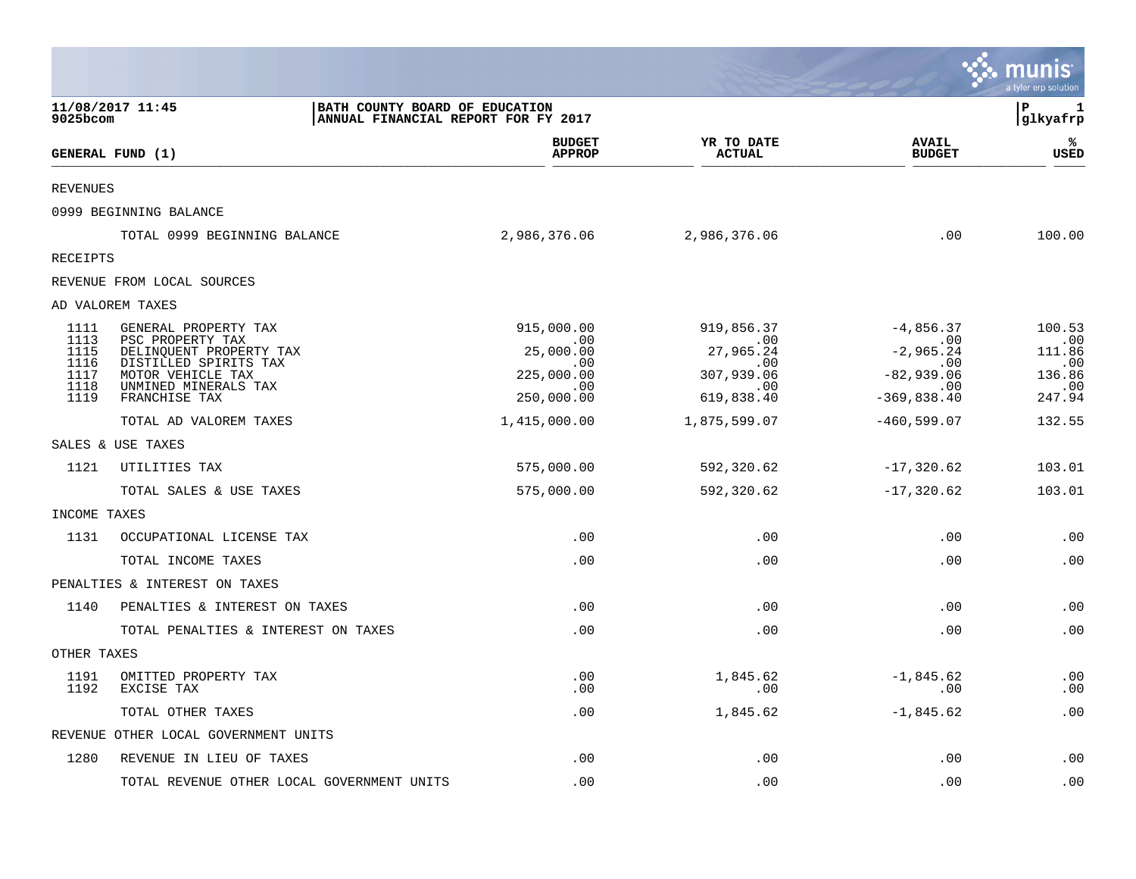|                 |                                                  |                                                                       |                             |                               | munis<br>a tyler erp solution |
|-----------------|--------------------------------------------------|-----------------------------------------------------------------------|-----------------------------|-------------------------------|-------------------------------|
| 9025bcom        | 11/08/2017 11:45                                 | BATH COUNTY BOARD OF EDUCATION<br>ANNUAL FINANCIAL REPORT FOR FY 2017 |                             |                               | ΙP<br>1<br>glkyafrp           |
|                 | GENERAL FUND (1)                                 | <b>BUDGET</b><br><b>APPROP</b>                                        | YR TO DATE<br><b>ACTUAL</b> | <b>AVAIL</b><br><b>BUDGET</b> | ℁<br>USED                     |
| <b>REVENUES</b> |                                                  |                                                                       |                             |                               |                               |
|                 | 0999 BEGINNING BALANCE                           |                                                                       |                             |                               |                               |
|                 | TOTAL 0999 BEGINNING BALANCE                     | 2,986,376.06                                                          | 2,986,376.06                | .00                           | 100.00                        |
| RECEIPTS        |                                                  |                                                                       |                             |                               |                               |
|                 | REVENUE FROM LOCAL SOURCES                       |                                                                       |                             |                               |                               |
|                 | AD VALOREM TAXES                                 |                                                                       |                             |                               |                               |
| 1111<br>1113    | GENERAL PROPERTY TAX<br>PSC PROPERTY TAX         | 915,000.00<br>.00                                                     | 919,856.37<br>.00           | $-4,856.37$<br>.00            | 100.53<br>.00                 |
| 1115<br>1116    | DELINQUENT PROPERTY TAX<br>DISTILLED SPIRITS TAX | 25,000.00                                                             | 27,965.24                   | $-2,965.24$                   | 111.86                        |
| 1117            | MOTOR VEHICLE TAX                                | $.00 \,$<br>225,000.00                                                | $.00 \,$<br>307,939.06      | .00<br>$-82,939.06$           | .00<br>136.86                 |
| 1118<br>1119    | UNMINED MINERALS TAX<br>FRANCHISE TAX            | .00<br>250,000.00                                                     | $\sim$ 00<br>619,838.40     | $\sim$ 00<br>$-369, 838.40$   | $\ldots$ 00<br>247.94         |
|                 | TOTAL AD VALOREM TAXES                           | 1,415,000.00                                                          | 1,875,599.07                | $-460, 599.07$                | 132.55                        |
|                 | SALES & USE TAXES                                |                                                                       |                             |                               |                               |
| 1121            | UTILITIES TAX                                    | 575,000.00                                                            | 592,320.62                  | $-17,320.62$                  | 103.01                        |
|                 | TOTAL SALES & USE TAXES                          | 575,000.00                                                            | 592,320.62                  | $-17,320.62$                  | 103.01                        |
| INCOME TAXES    |                                                  |                                                                       |                             |                               |                               |
| 1131            | OCCUPATIONAL LICENSE TAX                         | .00                                                                   | .00                         | .00                           | .00                           |
|                 | TOTAL INCOME TAXES                               | .00                                                                   | .00                         | .00                           | .00                           |
|                 | PENALTIES & INTEREST ON TAXES                    |                                                                       |                             |                               |                               |
| 1140            | PENALTIES & INTEREST ON TAXES                    | .00                                                                   | .00                         | .00                           | .00                           |
|                 | TOTAL PENALTIES & INTEREST ON TAXES              | .00                                                                   | .00                         | .00                           | .00                           |
| OTHER TAXES     |                                                  |                                                                       |                             |                               |                               |
| 1191<br>1192    | OMITTED PROPERTY TAX<br>EXCISE TAX               | .00<br>$.00 \,$                                                       | 1,845.62<br>.00             | $-1,845.62$<br>.00            | .00<br>.00                    |
|                 | TOTAL OTHER TAXES                                | .00                                                                   | 1,845.62                    | $-1,845.62$                   | .00                           |
|                 | REVENUE OTHER LOCAL GOVERNMENT UNITS             |                                                                       |                             |                               |                               |
| 1280            | REVENUE IN LIEU OF TAXES                         | .00                                                                   | .00                         | .00                           | .00                           |
|                 | TOTAL REVENUE OTHER LOCAL GOVERNMENT UNITS       | .00                                                                   | .00                         | .00                           | .00                           |

 $\mathcal{L}^{\text{max}}$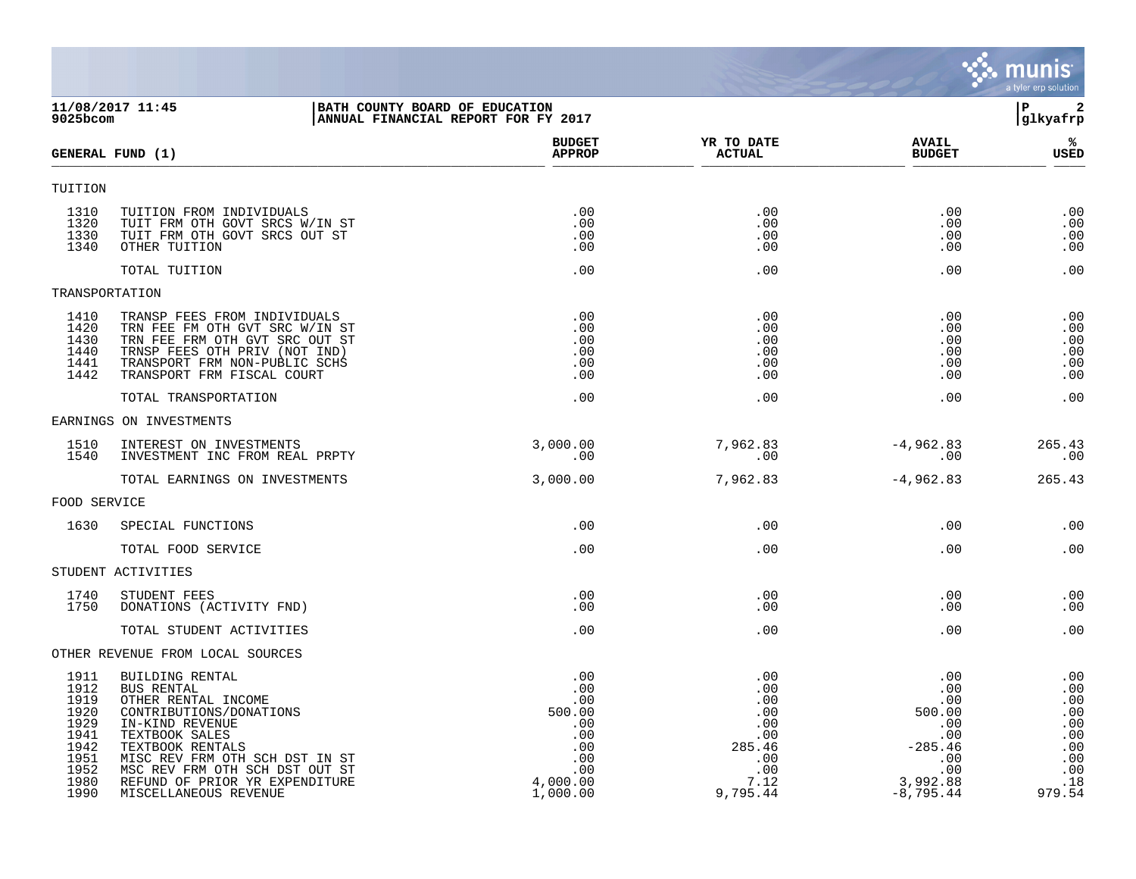|                                                                                      |                                                                                                                                                                                                                                                                         |                                                                                        |                                                                                    |                                                                                                 | <b>munis</b><br>a tyler erp solution                                         |
|--------------------------------------------------------------------------------------|-------------------------------------------------------------------------------------------------------------------------------------------------------------------------------------------------------------------------------------------------------------------------|----------------------------------------------------------------------------------------|------------------------------------------------------------------------------------|-------------------------------------------------------------------------------------------------|------------------------------------------------------------------------------|
| 9025bcom                                                                             | BATH COUNTY BOARD OF EDUCATION<br>11/08/2017 11:45                                                                                                                                                                                                                      | ANNUAL FINANCIAL REPORT FOR FY 2017                                                    |                                                                                    |                                                                                                 | $\mathbf{2}$<br>P<br>glkyafrp                                                |
|                                                                                      | GENERAL FUND (1)                                                                                                                                                                                                                                                        | <b>BUDGET</b><br><b>APPROP</b>                                                         | YR TO DATE<br><b>ACTUAL</b>                                                        | <b>AVAIL</b><br><b>BUDGET</b>                                                                   | %ร<br><b>USED</b>                                                            |
| TUITION                                                                              |                                                                                                                                                                                                                                                                         |                                                                                        |                                                                                    |                                                                                                 |                                                                              |
| 1310<br>1320<br>1330<br>1340                                                         | TUITION FROM INDIVIDUALS<br>TUIT FRM OTH GOVT SRCS W/IN ST<br>TUIT FRM OTH GOVT SRCS OUT ST<br>OTHER TUITION                                                                                                                                                            | .00<br>.00<br>.00<br>.00                                                               | .00<br>.00<br>.00<br>.00                                                           | .00<br>.00<br>.00<br>.00                                                                        | .00<br>.00<br>.00<br>.00                                                     |
|                                                                                      | TOTAL TUITION                                                                                                                                                                                                                                                           | .00                                                                                    | .00                                                                                | .00                                                                                             | .00                                                                          |
| TRANSPORTATION                                                                       |                                                                                                                                                                                                                                                                         |                                                                                        |                                                                                    |                                                                                                 |                                                                              |
| 1410<br>1420<br>1430<br>1440<br>1441<br>1442                                         | TRANSP FEES FROM INDIVIDUALS<br>TRN FEE FM OTH GVT SRC W/IN ST<br>TRN FEE FRM OTH GVT SRC OUT ST<br>TRNSP FEES OTH PRIV (NOT IND)<br>TRANSPORT FRM NON-PUBLIC SCHS<br>TRANSPORT FRM FISCAL COURT                                                                        | .00<br>.00<br>.00<br>.00<br>.00<br>.00                                                 | .00<br>.00<br>.00<br>.00<br>.00<br>.00                                             | .00<br>.00<br>.00<br>.00<br>.00<br>.00                                                          | .00<br>.00<br>.00<br>.00<br>.00<br>.00                                       |
|                                                                                      | TOTAL TRANSPORTATION                                                                                                                                                                                                                                                    | .00                                                                                    | .00                                                                                | .00                                                                                             | .00                                                                          |
|                                                                                      | EARNINGS ON INVESTMENTS                                                                                                                                                                                                                                                 |                                                                                        |                                                                                    |                                                                                                 |                                                                              |
| 1510<br>1540                                                                         | INTEREST ON INVESTMENTS<br>INVESTMENT INC FROM REAL PRPTY                                                                                                                                                                                                               | 3,000.00<br>.00                                                                        | 7,962.83<br>.00                                                                    | $-4,962.83$<br>.00                                                                              | 265.43<br>.00                                                                |
|                                                                                      | TOTAL EARNINGS ON INVESTMENTS                                                                                                                                                                                                                                           | 3,000.00                                                                               | 7,962.83                                                                           | $-4,962.83$                                                                                     | 265.43                                                                       |
| FOOD SERVICE                                                                         |                                                                                                                                                                                                                                                                         |                                                                                        |                                                                                    |                                                                                                 |                                                                              |
| 1630                                                                                 | SPECIAL FUNCTIONS                                                                                                                                                                                                                                                       | .00                                                                                    | .00                                                                                | .00                                                                                             | .00                                                                          |
|                                                                                      | TOTAL FOOD SERVICE                                                                                                                                                                                                                                                      | .00                                                                                    | .00                                                                                | .00                                                                                             | .00                                                                          |
|                                                                                      | STUDENT ACTIVITIES                                                                                                                                                                                                                                                      |                                                                                        |                                                                                    |                                                                                                 |                                                                              |
| 1740<br>1750                                                                         | STUDENT FEES<br>DONATIONS (ACTIVITY FND)                                                                                                                                                                                                                                | .00<br>.00                                                                             | .00<br>.00                                                                         | .00<br>.00                                                                                      | .00<br>.00                                                                   |
|                                                                                      | TOTAL STUDENT ACTIVITIES                                                                                                                                                                                                                                                | .00                                                                                    | .00                                                                                | .00                                                                                             | .00                                                                          |
|                                                                                      | OTHER REVENUE FROM LOCAL SOURCES                                                                                                                                                                                                                                        |                                                                                        |                                                                                    |                                                                                                 |                                                                              |
| 1911<br>1912<br>1919<br>1920<br>1929<br>1941<br>1942<br>1951<br>1952<br>1980<br>1990 | BUILDING RENTAL<br>BUS RENTAL<br>OTHER RENTAL INCOME<br>CONTRIBUTIONS/DONATIONS<br>IN-KIND REVENUE<br>TEXTBOOK SALES<br>TEXTBOOK RENTALS<br>MISC REV FRM OTH SCH DST IN ST<br>MSC REV FRM OTH SCH DST OUT ST<br>REFUND OF PRIOR YR EXPENDITURE<br>MISCELLANEOUS REVENUE | .00<br>.00<br>.00<br>500.00<br>.00<br>.00<br>.00<br>.00<br>.00<br>4,000.00<br>1,000.00 | .00<br>.00<br>.00<br>.00<br>.00<br>.00<br>285.46<br>.00<br>.00<br>7.12<br>9,795.44 | .00<br>.00<br>.00<br>500.00<br>.00<br>.00<br>$-285.46$<br>.00<br>.00<br>3,992.88<br>$-8,795.44$ | .00<br>.00<br>.00<br>.00<br>.00<br>.00<br>.00<br>.00<br>.00<br>.18<br>979.54 |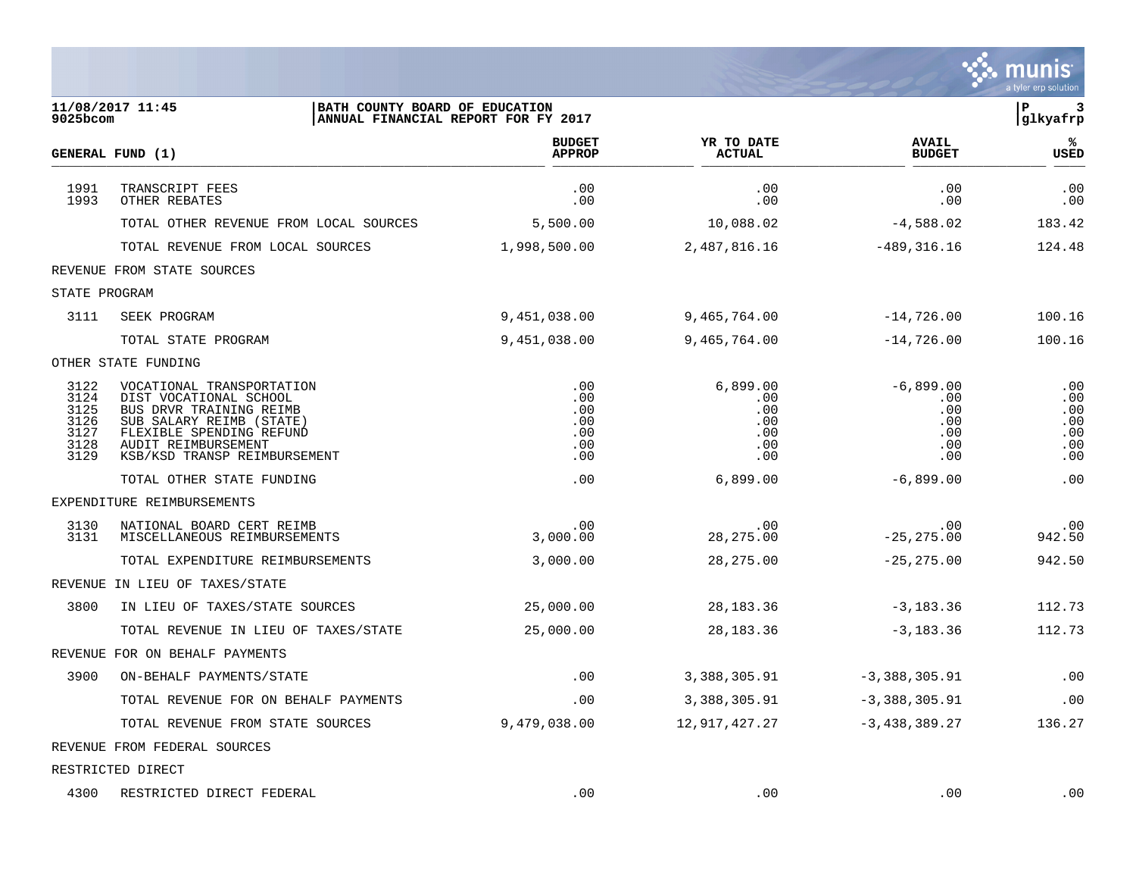|                                                      |                                                                                                                                                                                               |                                               |                                                    |                                                       | munis<br>a tyler erp solution                 |
|------------------------------------------------------|-----------------------------------------------------------------------------------------------------------------------------------------------------------------------------------------------|-----------------------------------------------|----------------------------------------------------|-------------------------------------------------------|-----------------------------------------------|
| 9025bcom                                             | 11/08/2017 11:45<br>BATH COUNTY BOARD OF EDUCATION<br>ANNUAL FINANCIAL REPORT FOR FY 2017                                                                                                     |                                               |                                                    |                                                       | ${\bf P}$<br>3<br>glkyafrp                    |
|                                                      | GENERAL FUND (1)                                                                                                                                                                              | <b>BUDGET</b><br><b>APPROP</b>                | YR TO DATE<br><b>ACTUAL</b>                        | <b>AVAIL</b><br><b>BUDGET</b>                         | ℁<br>USED                                     |
| 1991<br>1993                                         | TRANSCRIPT FEES<br>OTHER REBATES                                                                                                                                                              | .00<br>.00                                    | .00<br>.00                                         | .00<br>.00                                            | .00<br>.00                                    |
|                                                      | TOTAL OTHER REVENUE FROM LOCAL SOURCES                                                                                                                                                        | 5,500.00                                      | 10,088.02                                          | $-4,588.02$                                           | 183.42                                        |
|                                                      | TOTAL REVENUE FROM LOCAL SOURCES                                                                                                                                                              | 1,998,500.00                                  | 2,487,816.16                                       | $-489, 316.16$                                        | 124.48                                        |
|                                                      | REVENUE FROM STATE SOURCES                                                                                                                                                                    |                                               |                                                    |                                                       |                                               |
| STATE PROGRAM                                        |                                                                                                                                                                                               |                                               |                                                    |                                                       |                                               |
| 3111                                                 | SEEK PROGRAM                                                                                                                                                                                  | 9,451,038.00                                  | 9,465,764.00                                       | $-14,726.00$                                          | 100.16                                        |
|                                                      | TOTAL STATE PROGRAM                                                                                                                                                                           | 9,451,038.00                                  | 9,465,764.00                                       | $-14,726.00$                                          | 100.16                                        |
|                                                      | OTHER STATE FUNDING                                                                                                                                                                           |                                               |                                                    |                                                       |                                               |
| 3122<br>3124<br>3125<br>3126<br>3127<br>3128<br>3129 | VOCATIONAL TRANSPORTATION<br>DIST VOCATIONAL SCHOOL<br>BUS DRVR TRAINING REIMB<br>SUB SALARY REIMB (STATE)<br>FLEXIBLE SPENDING REFUND<br>AUDIT REIMBURSEMENT<br>KSB/KSD TRANSP REIMBURSEMENT | .00<br>.00<br>.00<br>.00<br>.00<br>.00<br>.00 | 6,899.00<br>.00<br>.00<br>.00<br>.00<br>.00<br>.00 | $-6,899.00$<br>.00<br>.00<br>.00<br>.00<br>.00<br>.00 | .00<br>.00<br>.00<br>.00<br>.00<br>.00<br>.00 |
|                                                      | TOTAL OTHER STATE FUNDING                                                                                                                                                                     | .00                                           | 6,899.00                                           | $-6,899.00$                                           | .00                                           |
|                                                      | EXPENDITURE REIMBURSEMENTS                                                                                                                                                                    |                                               |                                                    |                                                       |                                               |
| 3130<br>3131                                         | NATIONAL BOARD CERT REIMB<br>MISCELLANEOUS REIMBURSEMENTS                                                                                                                                     | .00<br>3,000.00                               | .00<br>28, 275.00                                  | .00<br>$-25, 275.00$                                  | .00<br>942.50                                 |
|                                                      | TOTAL EXPENDITURE REIMBURSEMENTS                                                                                                                                                              | 3,000.00                                      | 28, 275.00                                         | $-25, 275.00$                                         | 942.50                                        |
|                                                      | REVENUE IN LIEU OF TAXES/STATE                                                                                                                                                                |                                               |                                                    |                                                       |                                               |
| 3800                                                 | IN LIEU OF TAXES/STATE SOURCES                                                                                                                                                                | 25,000.00                                     | 28, 183. 36                                        | $-3,183.36$                                           | 112.73                                        |
|                                                      | TOTAL REVENUE IN LIEU OF TAXES/STATE                                                                                                                                                          | 25,000.00                                     | 28, 183. 36                                        | $-3,183.36$                                           | 112.73                                        |
|                                                      | REVENUE FOR ON BEHALF PAYMENTS                                                                                                                                                                |                                               |                                                    |                                                       |                                               |
| 3900                                                 | ON-BEHALF PAYMENTS/STATE                                                                                                                                                                      | .00                                           | 3,388,305.91                                       | $-3,388,305.91$                                       | .00                                           |
|                                                      | TOTAL REVENUE FOR ON BEHALF PAYMENTS                                                                                                                                                          | .00                                           | 3,388,305.91                                       | $-3,388,305.91$                                       | .00                                           |
|                                                      | TOTAL REVENUE FROM STATE SOURCES                                                                                                                                                              | 9,479,038.00                                  | 12,917,427.27                                      | $-3,438,389.27$                                       | 136.27                                        |
|                                                      | REVENUE FROM FEDERAL SOURCES                                                                                                                                                                  |                                               |                                                    |                                                       |                                               |
|                                                      | RESTRICTED DIRECT                                                                                                                                                                             |                                               |                                                    |                                                       |                                               |
| 4300                                                 | RESTRICTED DIRECT FEDERAL                                                                                                                                                                     | .00                                           | .00                                                | .00                                                   | .00                                           |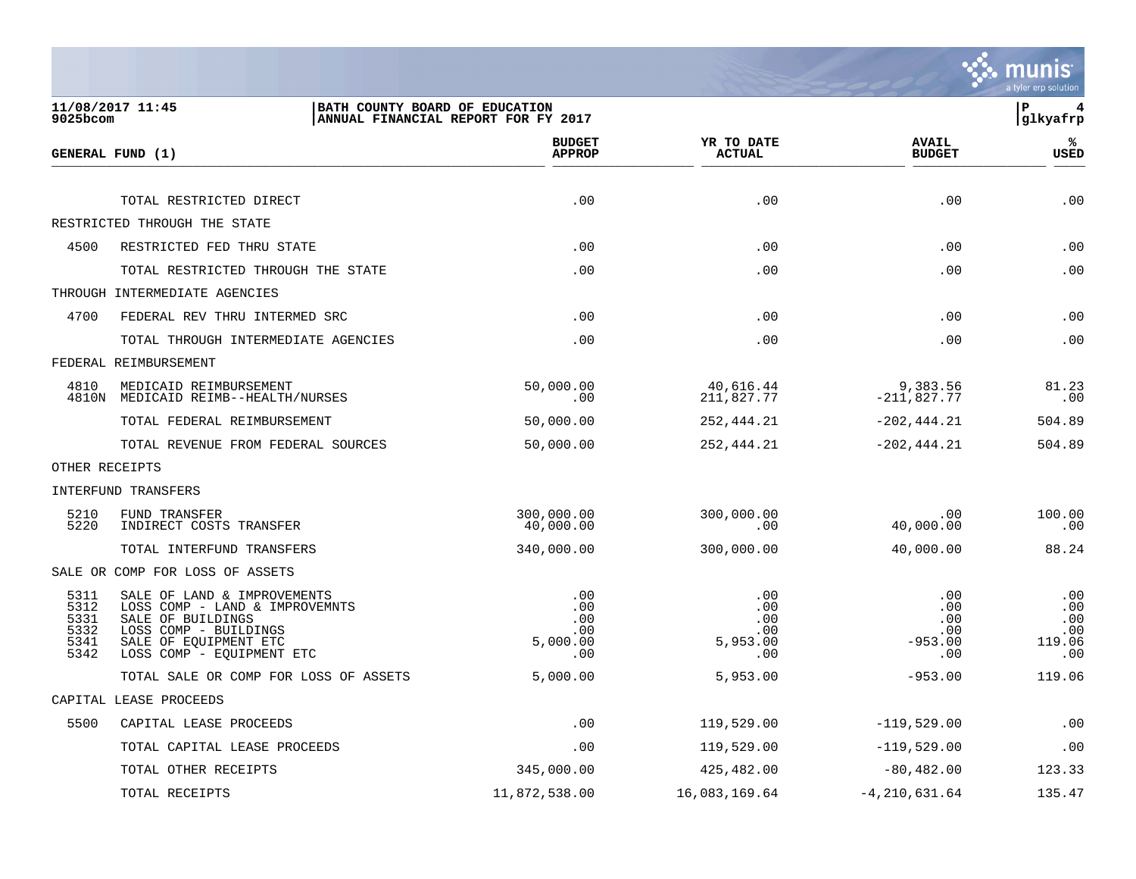

| 9025bcom                                     | 11/08/2017 11:45<br>BATH COUNTY BOARD OF EDUCATION                                                                                                                | ANNUAL FINANCIAL REPORT FOR FY 2017         |                                             |                                              | ΙP<br>4<br> glkyafrp                      |
|----------------------------------------------|-------------------------------------------------------------------------------------------------------------------------------------------------------------------|---------------------------------------------|---------------------------------------------|----------------------------------------------|-------------------------------------------|
|                                              | GENERAL FUND (1)                                                                                                                                                  | <b>BUDGET</b><br><b>APPROP</b>              | YR TO DATE<br><b>ACTUAL</b>                 | <b>AVAIL</b><br><b>BUDGET</b>                | %<br><b>USED</b>                          |
|                                              | TOTAL RESTRICTED DIRECT                                                                                                                                           | .00                                         | .00                                         | .00                                          | .00                                       |
|                                              | RESTRICTED THROUGH THE STATE                                                                                                                                      |                                             |                                             |                                              |                                           |
| 4500                                         | RESTRICTED FED THRU STATE                                                                                                                                         | .00                                         | .00                                         | .00                                          | .00                                       |
|                                              | TOTAL RESTRICTED THROUGH THE STATE                                                                                                                                | .00                                         | .00                                         | .00                                          | .00                                       |
|                                              | THROUGH INTERMEDIATE AGENCIES                                                                                                                                     |                                             |                                             |                                              |                                           |
| 4700                                         | FEDERAL REV THRU INTERMED SRC                                                                                                                                     | .00                                         | .00                                         | .00                                          | .00                                       |
|                                              | TOTAL THROUGH INTERMEDIATE AGENCIES                                                                                                                               | .00                                         | .00                                         | .00                                          | .00                                       |
|                                              | FEDERAL REIMBURSEMENT                                                                                                                                             |                                             |                                             |                                              |                                           |
| 4810                                         | MEDICAID REIMBURSEMENT<br>4810N MEDICAID REIMB--HEALTH/NURSES                                                                                                     | 50,000.00<br>.00                            | 40,616.44<br>211,827.77                     | 9,383.56<br>$-211,827.77$                    | 81.23<br>.00                              |
|                                              | TOTAL FEDERAL REIMBURSEMENT                                                                                                                                       | 50,000.00                                   | 252,444.21                                  | $-202, 444.21$                               | 504.89                                    |
|                                              | TOTAL REVENUE FROM FEDERAL SOURCES                                                                                                                                | 50,000.00                                   | 252,444.21                                  | $-202, 444.21$                               | 504.89                                    |
|                                              | OTHER RECEIPTS                                                                                                                                                    |                                             |                                             |                                              |                                           |
|                                              | INTERFUND TRANSFERS                                                                                                                                               |                                             |                                             |                                              |                                           |
| 5210<br>5220                                 | FUND TRANSFER<br>INDIRECT COSTS TRANSFER                                                                                                                          | 300,000.00<br>40,000.00                     | 300,000.00<br>.00                           | .00<br>40,000.00                             | 100.00<br>.00                             |
|                                              | TOTAL INTERFUND TRANSFERS                                                                                                                                         | 340,000.00                                  | 300,000.00                                  | 40,000.00                                    | 88.24                                     |
|                                              | SALE OR COMP FOR LOSS OF ASSETS                                                                                                                                   |                                             |                                             |                                              |                                           |
| 5311<br>5312<br>5331<br>5332<br>5341<br>5342 | SALE OF LAND & IMPROVEMENTS<br>LOSS COMP - LAND & IMPROVEMNTS<br>SALE OF BUILDINGS<br>LOSS COMP - BUILDINGS<br>SALE OF EQUIPMENT ETC<br>LOSS COMP - EQUIPMENT ETC | .00<br>.00<br>.00<br>.00<br>5,000.00<br>.00 | .00<br>.00<br>.00<br>.00<br>5,953.00<br>.00 | .00<br>.00<br>.00<br>.00<br>$-953.00$<br>.00 | .00<br>.00<br>.00<br>.00<br>119.06<br>.00 |
|                                              | TOTAL SALE OR COMP FOR LOSS OF ASSETS                                                                                                                             | 5,000.00                                    | 5,953.00                                    | $-953.00$                                    | 119.06                                    |
|                                              | CAPITAL LEASE PROCEEDS                                                                                                                                            |                                             |                                             |                                              |                                           |
| 5500                                         | CAPITAL LEASE PROCEEDS                                                                                                                                            | .00                                         | 119,529.00                                  | $-119,529.00$                                | .00                                       |
|                                              | TOTAL CAPITAL LEASE PROCEEDS                                                                                                                                      | .00                                         | 119,529.00                                  | $-119,529.00$                                | .00                                       |
|                                              | TOTAL OTHER RECEIPTS                                                                                                                                              | 345,000.00                                  | 425,482.00                                  | $-80,482.00$                                 | 123.33                                    |
|                                              | TOTAL RECEIPTS                                                                                                                                                    | 11,872,538.00                               | 16,083,169.64                               | $-4, 210, 631.64$                            | 135.47                                    |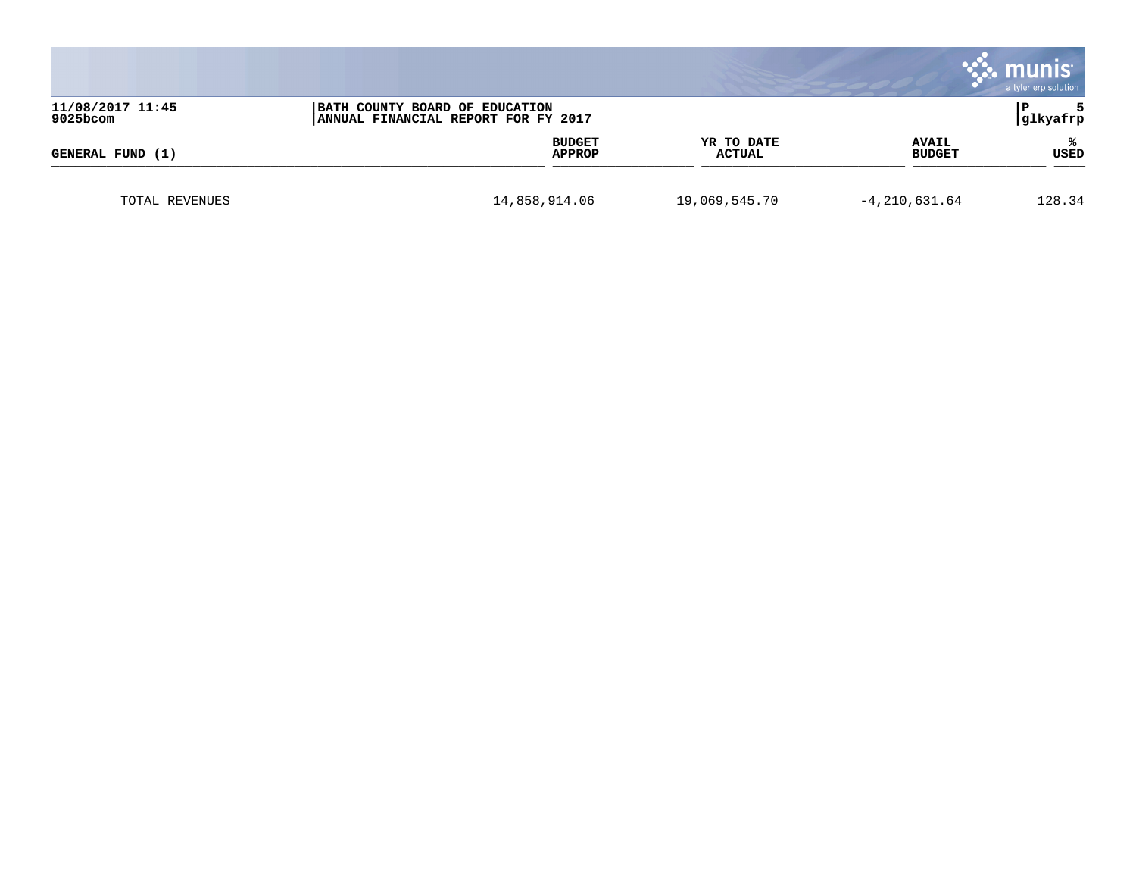|                              |                                                                       |                      |                               | munis<br>a tyler erp solution |
|------------------------------|-----------------------------------------------------------------------|----------------------|-------------------------------|-------------------------------|
| 11/08/2017 11:45<br>9025bcom | BATH COUNTY BOARD OF EDUCATION<br>ANNUAL FINANCIAL REPORT FOR FY 2017 |                      |                               | l P<br>glkyafrp               |
| GENERAL FUND (1)             | <b>BUDGET</b><br><b>APPROP</b>                                        | YR TO DATE<br>ACTUAL | <b>AVAIL</b><br><b>BUDGET</b> | ℁<br>USED                     |
| TOTAL REVENUES               | 14,858,914.06                                                         | 19,069,545.70        | $-4, 210, 631.64$             | 128.34                        |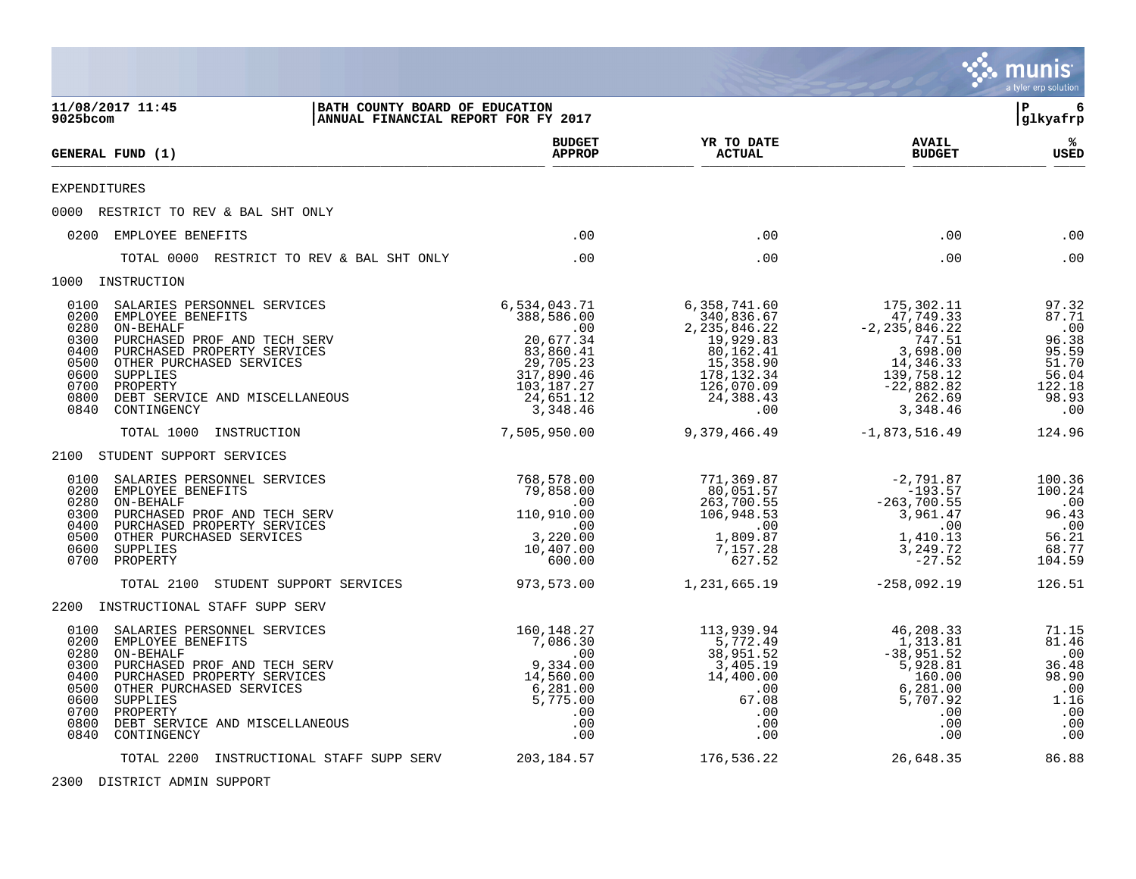|                                                                                                                                                                                                                                                                                                                   |                                                                                                                               |                                                                                                                                      |                                                                                                                                       | munis<br>a tyler erp solution                                                       |
|-------------------------------------------------------------------------------------------------------------------------------------------------------------------------------------------------------------------------------------------------------------------------------------------------------------------|-------------------------------------------------------------------------------------------------------------------------------|--------------------------------------------------------------------------------------------------------------------------------------|---------------------------------------------------------------------------------------------------------------------------------------|-------------------------------------------------------------------------------------|
| 11/08/2017 11:45<br>9025bcom                                                                                                                                                                                                                                                                                      | BATH COUNTY BOARD OF EDUCATION<br>ANNUAL FINANCIAL REPORT FOR FY 2017                                                         |                                                                                                                                      |                                                                                                                                       | 6<br>l P<br> glkyafrp                                                               |
| GENERAL FUND (1)                                                                                                                                                                                                                                                                                                  | <b>BUDGET</b><br><b>APPROP</b>                                                                                                | YR TO DATE<br><b>ACTUAL</b>                                                                                                          | <b>AVAIL</b><br><b>BUDGET</b>                                                                                                         | ℁<br>USED                                                                           |
| <b>EXPENDITURES</b>                                                                                                                                                                                                                                                                                               |                                                                                                                               |                                                                                                                                      |                                                                                                                                       |                                                                                     |
| 0000 RESTRICT TO REV & BAL SHT ONLY                                                                                                                                                                                                                                                                               |                                                                                                                               |                                                                                                                                      |                                                                                                                                       |                                                                                     |
| 0200 EMPLOYEE BENEFITS                                                                                                                                                                                                                                                                                            | .00                                                                                                                           | .00                                                                                                                                  | .00                                                                                                                                   | .00                                                                                 |
| TOTAL 0000 RESTRICT TO REV & BAL SHT ONLY                                                                                                                                                                                                                                                                         | .00                                                                                                                           | .00                                                                                                                                  | .00                                                                                                                                   | .00                                                                                 |
| 1000 INSTRUCTION                                                                                                                                                                                                                                                                                                  |                                                                                                                               |                                                                                                                                      |                                                                                                                                       |                                                                                     |
| 0100<br>SALARIES PERSONNEL SERVICES<br>0200<br>EMPLOYEE BENEFITS<br>0280<br>ON-BEHALF<br>0300<br>PURCHASED PROF AND TECH SERV<br>0400<br>PURCHASED PROPERTY SERVICES<br>0500<br>OTHER PURCHASED SERVICES<br>0600<br>SUPPLIES<br>0700<br>PROPERTY<br>0800<br>DEBT SERVICE AND MISCELLANEOUS<br>0840<br>CONTINGENCY | 6,534,043.71<br>388,586.00<br>.00<br>20,677.34<br>83,860.41<br>29,705.23<br>317,890.46<br>103,187.27<br>24,651.12<br>3,348.46 | 6,358,741.60<br>340,836.67<br>2, 235, 846.22<br>19,929.83<br>80, 162.41<br>15,358.90<br>178,132.34<br>126,070.09<br>24,388.43<br>.00 | 175,302.11<br>47,749.33<br>$-2, 235, 846.22$<br>$747.51$<br>3,698.00<br>14,346.33<br>139,758.12<br>$-22,882.82$<br>262.69<br>3,348.46 | 97.32<br>87.71<br>.00<br>96.38<br>95.59<br>51.70<br>56.04<br>122.18<br>98.93<br>.00 |
| TOTAL 1000<br>INSTRUCTION                                                                                                                                                                                                                                                                                         | 7,505,950.00                                                                                                                  | 9,379,466.49                                                                                                                         | $-1,873,516.49$                                                                                                                       | 124.96                                                                              |
| 2100 STUDENT SUPPORT SERVICES                                                                                                                                                                                                                                                                                     |                                                                                                                               |                                                                                                                                      |                                                                                                                                       |                                                                                     |
| 0100<br>SALARIES PERSONNEL SERVICES<br>0200<br>EMPLOYEE BENEFITS<br>0280<br>ON-BEHALF<br>0300<br>PURCHASED PROF AND TECH SERV<br>0400<br>PURCHASED PROPERTY SERVICES<br>0500<br>OTHER PURCHASED SERVICES<br>0600<br>SUPPLIES<br>0700<br>PROPERTY                                                                  | 768,578.00<br>79,858.00<br>.00<br>110,910.00<br>.00<br>3,220.00<br>10,407.00<br>600.00                                        | 771,369.87<br>80,051.57<br>263,700.55<br>106,948.53<br>.00<br>1,809.87<br>7,157.28<br>627.52                                         | $-2,791.87$<br>$-193.57$<br>$-263,700.55$<br>3,961.47<br>.00<br>1,410.13<br>3,249.72<br>$-27.52$                                      | 100.36<br>100.24<br>$\ldots$<br>96.43<br>.00<br>56.21<br>68.77<br>104.59            |
| STUDENT SUPPORT SERVICES<br>TOTAL 2100                                                                                                                                                                                                                                                                            | 973,573.00                                                                                                                    | 1,231,665.19                                                                                                                         | $-258,092.19$                                                                                                                         | 126.51                                                                              |
| 2200 INSTRUCTIONAL STAFF SUPP SERV                                                                                                                                                                                                                                                                                |                                                                                                                               |                                                                                                                                      |                                                                                                                                       |                                                                                     |
| 0100<br>SALARIES PERSONNEL SERVICES<br>0200<br>EMPLOYEE BENEFITS<br>0280<br>ON-BEHALF<br>0300<br>PURCHASED PROF AND TECH SERV<br>0400<br>PURCHASED PROPERTY SERVICES<br>0500<br>OTHER PURCHASED SERVICES<br>0600<br>SUPPLIES<br>0700<br>PROPERTY<br>0800<br>DEBT SERVICE AND MISCELLANEOUS<br>0840<br>CONTINGENCY | 160,148.27<br>7,086.30<br>$\ddots$<br>9,334.00<br>14,560.00<br>6,281.00<br>5,775.00<br>$.00 \,$<br>.00<br>.00                 | 113,939.94<br>5,772.49<br>38,951.52<br>3,405.19<br>14,400.00<br>$\cdot$ 00<br>67.08<br>.00<br>.00<br>.00                             | 46,208.33<br>1,313.81<br>$-38,951.52$<br>5,928.81<br>160.00<br>6,281.00<br>5,707.92<br>$.00 \,$<br>.00<br>.00                         | 71.15<br>81.46<br>.00<br>36.48<br>98.90<br>.00<br>1.16<br>.00<br>.00<br>.00         |
| TOTAL 2200 INSTRUCTIONAL STAFF SUPP SERV                                                                                                                                                                                                                                                                          | 203,184.57                                                                                                                    | 176,536.22                                                                                                                           | 26,648.35                                                                                                                             | 86.88                                                                               |

2300 DISTRICT ADMIN SUPPORT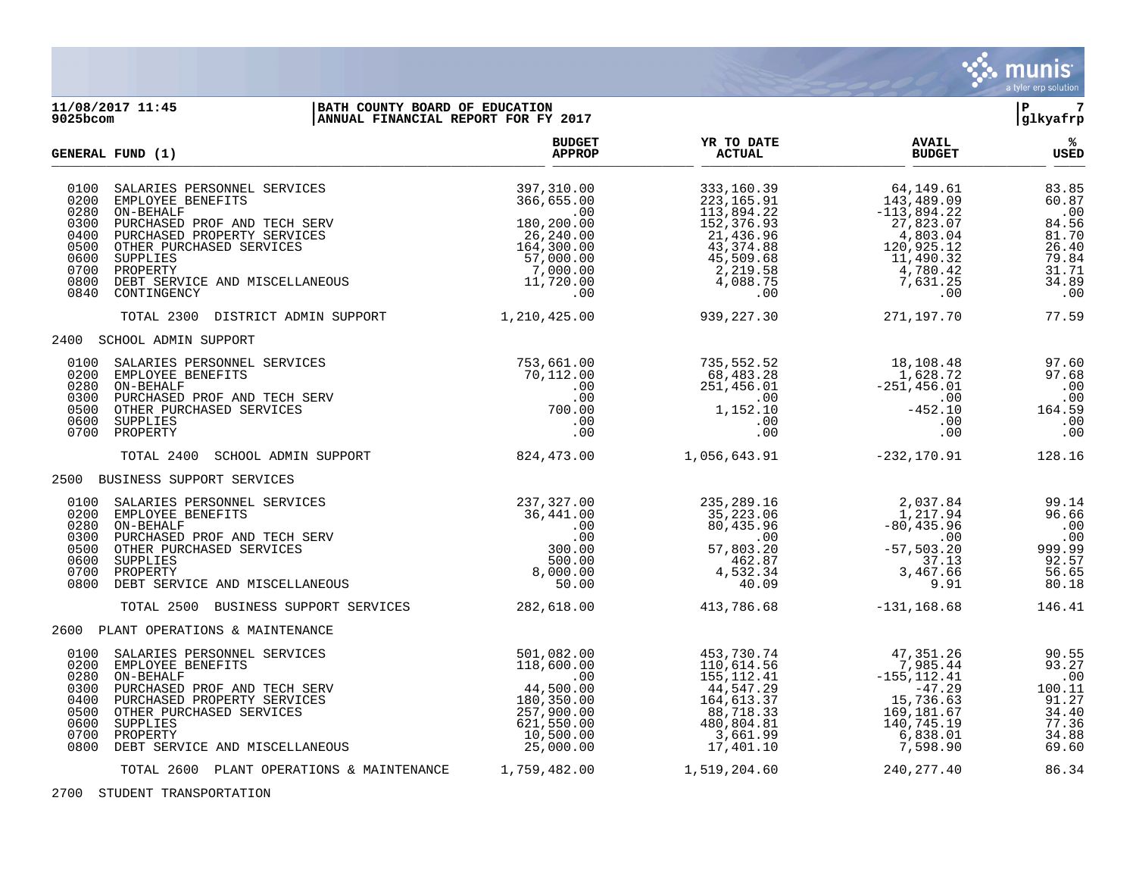

## **11/08/2017 11:45 |BATH COUNTY BOARD OF EDUCATION |P 7 9025bcom |ANNUAL FINANCIAL REPORT FOR FY 2017 |glkyafrp**

|                                                              | GENERAL FUND (1)                                                                                                                                                                                                                                 | <b>BUDGET</b><br><b>APPROP</b>                                                                                                                                         | YR TO DATE<br><b>ACTUAL</b>                                                                                                                                                                | <b>AVAIL</b><br><b>BUDGET</b>                                                                                                                                | ℁<br>USED                                                                          |
|--------------------------------------------------------------|--------------------------------------------------------------------------------------------------------------------------------------------------------------------------------------------------------------------------------------------------|------------------------------------------------------------------------------------------------------------------------------------------------------------------------|--------------------------------------------------------------------------------------------------------------------------------------------------------------------------------------------|--------------------------------------------------------------------------------------------------------------------------------------------------------------|------------------------------------------------------------------------------------|
| 0100<br>0200<br>0280<br>0300<br>0500<br>0600<br>0800         | SALARIES PERSONNEL SERVICES<br>EMPLOYEE BENEFITS<br>ON-BEHALF<br>PURCHASED PROF AND TECH SERV<br>0400 PURCHASED PROPERTY SERVICES<br>OTHER PURCHASED SERVICES<br>SUPPLIES<br>0700 PROPERTY<br>DEBT SERVICE AND MISCELLANEOUS<br>0840 CONTINGENCY | 397,310.00<br>366,655.00<br>$366, 655.00$<br>.00<br>180, 200.00<br>$26, 240.00$<br>164, 300.00<br>57, 000.00<br>$\begin{array}{c} 7,000.00\ 11,720.00\ 00 \end{array}$ | 333,160.39<br>223,165.91<br>113,894.22<br>152,376.93<br>$13,894.22$<br>$52,376.93$<br>$43,374.88$<br>$45,509.68$<br>$2,219.58$<br>$4,088.75$<br>$0$<br>21,436.96<br>43,374.88<br>45,509.68 | 64,149.61<br>143,489.09<br>$-113,894.22$<br>27,823.07<br>4,803.04<br>120,925.12<br>11,490.32<br>4,780.42<br>7,631.25<br>$.00 \,$                             | 83.85<br>60.87<br>.00<br>84.56<br>81.70<br>26.40<br>79.84<br>31.71<br>34.89<br>.00 |
|                                                              | TOTAL 2300 DISTRICT ADMIN SUPPORT                                                                                                                                                                                                                | 1,210,425.00                                                                                                                                                           | 939,227.30                                                                                                                                                                                 | 271,197.70                                                                                                                                                   | 77.59                                                                              |
|                                                              | 2400 SCHOOL ADMIN SUPPORT                                                                                                                                                                                                                        |                                                                                                                                                                        |                                                                                                                                                                                            |                                                                                                                                                              |                                                                                    |
|                                                              | 0100 SALARIES PERSONNEL SERVICES<br>0200 EMPLOYEE BENEFITS<br>0280 ON-BEHALF<br>0300 PURCHASED PROF AND TECH SERV<br>0500 OTHER PURCHASED SERVICES<br>0600 SUPPLIES<br>0700 PROPERTY                                                             | 753,661.00<br>70,112.00<br>$700.\widetilde{00}$<br>.00<br>.00                                                                                                          | 735,552.52<br>68,483.28<br>$(0.112.00$<br>$(0.00)$<br>$(0.00)$<br>$(0.00)$<br>$(0.00)$<br>$(1,152.10)$<br>.00<br>.00                                                                       | 18,108.48<br>1,628.72<br>$-25\overline{1}$ , 456.01<br>00.<br>452.10<br>.00<br>.00                                                                           | 97.60<br>97.68<br>.00<br>.00<br>164.59<br>.00<br>.00                               |
|                                                              | TOTAL 2400<br>SCHOOL ADMIN SUPPORT                                                                                                                                                                                                               | 824,473.00                                                                                                                                                             | 1,056,643.91                                                                                                                                                                               | $-232, 170.91$                                                                                                                                               | 128.16                                                                             |
|                                                              | 2500 BUSINESS SUPPORT SERVICES                                                                                                                                                                                                                   |                                                                                                                                                                        |                                                                                                                                                                                            |                                                                                                                                                              |                                                                                    |
| 0200<br>0280<br>0500<br>0600<br>0800                         | 0100 SALARIES PERSONNEL SERVICES<br>EMPLOYEE BENEFITS<br>ON-BEHALF<br>0300 PURCHASED PROF AND TECH SERV<br>OTHER PURCHASED SERVICES<br>SUPPLIES<br>0700 PROPERTY<br>DEBT SERVICE AND MISCELLANEOUS                                               | 237,327.00<br>$237,327,00$<br>$36,441,00$<br>$00$<br>$300.00$<br>$500.00$<br>8,000.00<br>50.00                                                                         | 235,289.16<br>16.189, 289<br>35,223.06<br>80.425<br>$\overline{a}$ . 00<br>57,803.20<br>462.87<br>4,532.34<br>40.09                                                                        | $\begin{array}{r} 2\, , 037.\,84 \\ 1\, , 217.\,94 \\ -80\, , 435.\,96 \\ .00 \\ -57\, , 503.\,20 \\ 3\, , 7\, .13 \\ 3\, , 467.\,66 \\ 9\, .91 \end{array}$ | 99.14<br>96.66<br>.00<br>00.<br>99.99<br>92.57<br>56.65<br>80.18                   |
|                                                              | TOTAL 2500 BUSINESS SUPPORT SERVICES 282,618.00                                                                                                                                                                                                  |                                                                                                                                                                        | 413,786.68                                                                                                                                                                                 | $-131, 168.68$                                                                                                                                               | 146.41                                                                             |
|                                                              | 2600 PLANT OPERATIONS & MAINTENANCE                                                                                                                                                                                                              |                                                                                                                                                                        |                                                                                                                                                                                            |                                                                                                                                                              |                                                                                    |
| 0100<br>0280<br>0300<br>0400<br>0500<br>0600<br>0700<br>0800 | SALARIES PERSONNEL SERVICES<br>0200 EMPLOYEE BENEFITS<br>ON-BEHALF<br>PURCHASED PROF AND TECH SERV<br>PURCHASED PROPERTY SERVICES<br>OTHER PURCHASED SERVICES<br>SUPPLIES<br>PROPERTY<br>DEBT SERVICE AND MISCELLANEOUS                          | 501,082.00<br>$501,082.00$<br>$118,600.00$<br>$44,500.00$<br>$180,350.00$<br>$257,900.00$<br>$621,550.00$<br>$10,500.00$<br>$25,000.00$<br>180,350.00                  | 453,730.74<br>110,614.56<br>155,112.41<br>44,547.29<br>164,613.37<br>$88,718.33$<br>$480,804.81$<br>$3,661.99$<br>$17,401.10$                                                              | 47,351.26<br>7,985.44<br>$-155, 112.41$<br>$-47.29$<br>15,736.63<br>169,181.67<br>140,745.19<br>6,838.01<br>7,598.90                                         | 90.55<br>93.27<br>$.00$<br>100.11<br>91.27<br>34.40<br>77.36<br>34.88<br>69.60     |
|                                                              | TOTAL 2600 PLANT OPERATIONS & MAINTENANCE                                                                                                                                                                                                        | 1,759,482.00                                                                                                                                                           | 1,519,204.60                                                                                                                                                                               | 240, 277.40                                                                                                                                                  | 86.34                                                                              |

2700 STUDENT TRANSPORTATION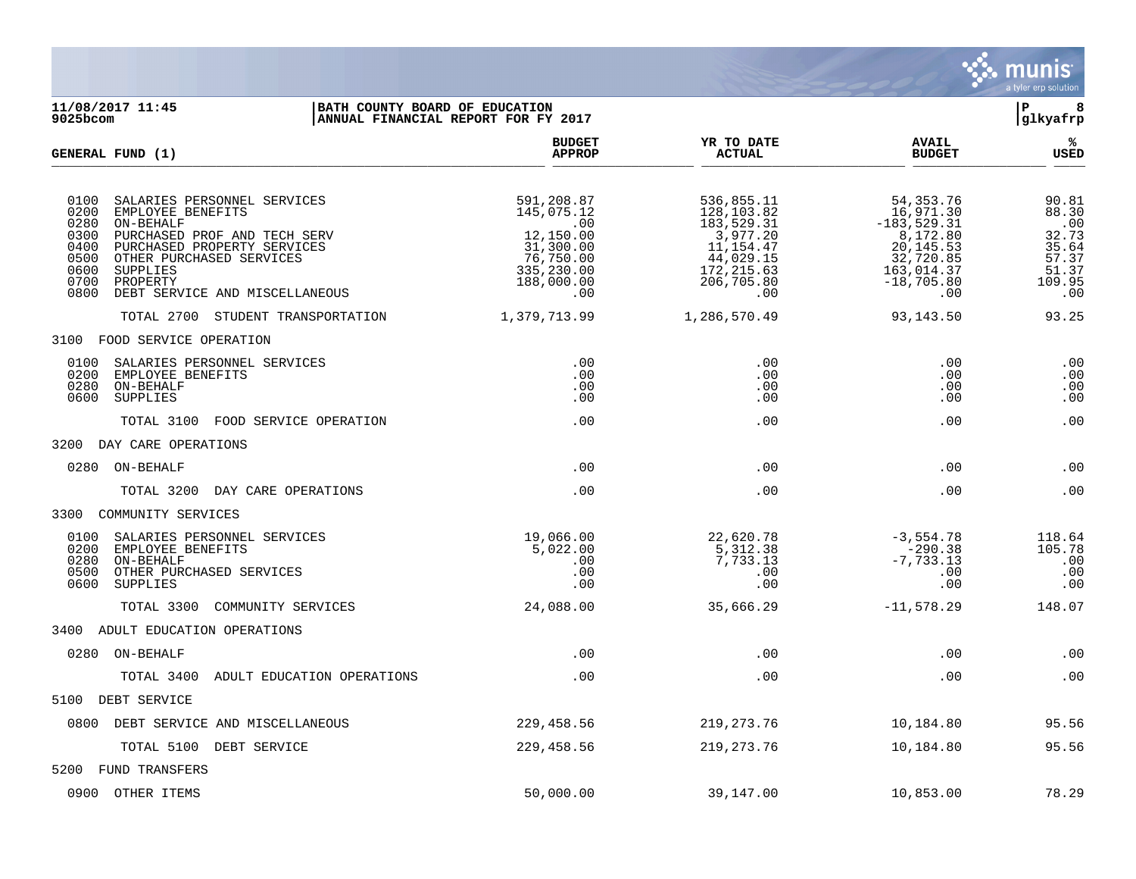

11/08/2017 11:45 **| BATH COUNTY BOARD OF EDUCATION**<br>9025bcom **| BATH COUNTY BOARD OF EDUCATION | BANN**UNG BEEN BOARD OF ENGLES POR FY 2017 **ANNUAL FINANCIAL REPORT FOR FY 2017 BUDGET YR TO DATE AVAIL % GENERAL FUND (1) APPROP ACTUAL BUDGET USED**  $\frac{A_{\text{H}^{\text{F}}\text{N}}}{A_{\text{H}}\text{N}}$   $\frac{A_{\text{H}}\text{N}}{A_{\text{H}}\text{N}}$   $\frac{A_{\text{H}}\text{N}}{A_{\text{H}}\text{N}}$   $\frac{A_{\text{H}}\text{N}}{A_{\text{H}}\text{N}}$   $\frac{B_{\text{H}}\text{N}}{B_{\text{H}}\text{N}}$ 0100 SALARIES PERSONNEL SERVICES 6.81 (1991), 591,208.87 (1991), 596,855.11 54,353.76 (1991), 596.81 (1991), 596.81 (1991), 596.81 (1991), 596.81 (1991), 596.81 (1991), 5971.30 (1991), 596.30 (1991), 5971.30 (1991), 5971.3 0200 EMPLOYEE BENEFITS 145,075.12 128,103.82 16,971.30 88.30 0280 ON-BEHALF .00 183,529.31 -183,529.31 .00 0300 PURCHASED PROF AND TECH SERV 12,150.00 12,150.00 3,977.20 8,172.80 8,172.80 32.73<br>0400 PURCHASED PROPERTY SERVICES 31,300.00 11,154.47 20,145.53 35.64 0400 PURCHASED PROPERTY SERVICES 31,300.00 11,154.47 20,145.53 35.64 0500 OTHER PURCHASED SERVICES 67.37 (1992) 76,750.00 544,029.15 32,720.85 57.37 37.37 57.37 32,720.85 32,720.85 57.37 57.37 51.37 51.37 51.37 51.37 51.37 51.37 51.37 51.37 51.37 51.37 51.37 51.37 51.37 51.37 51.37 51.37 51 0600 SUPPLIES 335,230.00 172,215.63 163,014.37 51.37 0600 SUPPLIES<br>0700 PROPERTY 188,000.00 206,705.80 -18,705.80 -18,705.80 -109.95<br>00 .00 .00 0800 DEBT SERVICE AND MISCELLANEOUS TOTAL 2700 STUDENT TRANSPORTATION 1,379,713.99 1,286,570.49 93,143.50 93.25 3100 FOOD SERVICE OPERATION 0100 SALARIES PERSONNEL SERVICES .00 .00 .00 .00 0200 EMPLOYEE BENEFITS .00 .00 .00 .00 0280 ON-BEHALF .00 .00 .00 .00 0600 SUPPLIES .00 .00 .00 .00 TOTAL 3100 FOOD SERVICE OPERATION .00 .00 .00 .00 3200 DAY CARE OPERATIONS 0280 ON-BEHALF .00 .00 .00 .00 TOTAL 3200 DAY CARE OPERATIONS .00 .00 .00 .00 3300 COMMUNITY SERVICES 0100 SALARIES PERSONNEL SERVICES 19,066.00 22,620.78 -3,554.78 118.64 0200 EMPLOYEE BENEFITS 5,022.00 5,312.38 -290.38 105.78 0280 ON-BEHALF .00 7,733.13 -7,733.13 .00 0500 OTHER PURCHASED SERVICES .00 .00 .00 .00 0600 SUPPLIES .00 .00 .00 .00 TOTAL 3300 COMMUNITY SERVICES 24,088.00 35,666.29 -11,578.29 148.07 3400 ADULT EDUCATION OPERATIONS 0280 ON-BEHALF .00 .00 .00 .00 TOTAL 3400 ADULT EDUCATION OPERATIONS .00 .00 .00 .00 5100 DEBT SERVICE 0800 DEBT SERVICE AND MISCELLANEOUS 229,458.56 219,273.76 10,184.80 95.56 TOTAL 5100 DEBT SERVICE 229,458.56 219,273.76 10,184.80 95.56 5200 FUND TRANSFERS

0900 OTHER ITEMS 50,000.00 39,147.00 10,853.00 78.29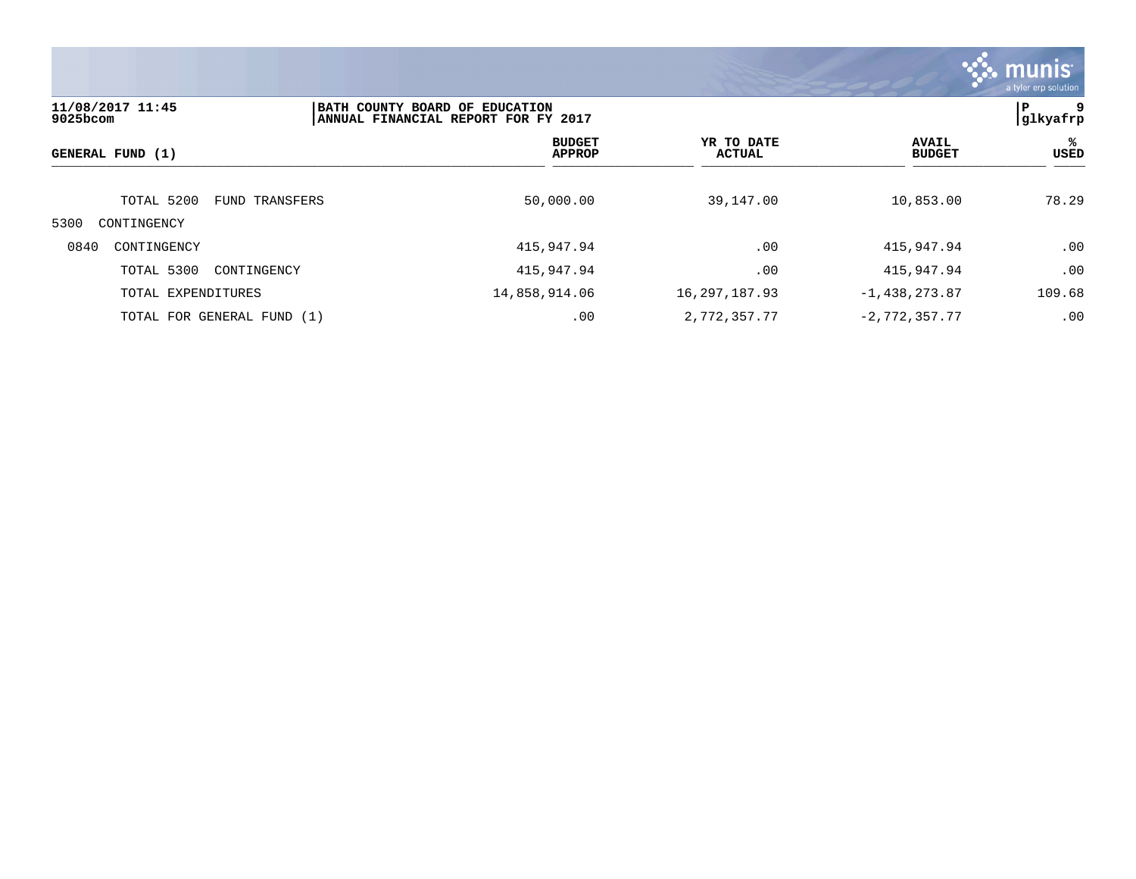

| 11/08/2017 11:45<br>9025bcom | BATH COUNTY BOARD OF EDUCATION<br>ANNUAL FINANCIAL REPORT FOR FY 2017 |                                |     |                             |                               | 9<br>ΙP<br> glkyafrp |
|------------------------------|-----------------------------------------------------------------------|--------------------------------|-----|-----------------------------|-------------------------------|----------------------|
| GENERAL FUND (1)             |                                                                       | <b>BUDGET</b><br><b>APPROP</b> |     | YR TO DATE<br><b>ACTUAL</b> | <b>AVAIL</b><br><b>BUDGET</b> | %ะ<br><b>USED</b>    |
| TOTAL 5200                   | FUND TRANSFERS                                                        | 50,000.00                      |     | 39,147.00                   | 10,853.00                     | 78.29                |
| 5300<br>CONTINGENCY          |                                                                       |                                |     |                             |                               |                      |
| 0840<br>CONTINGENCY          |                                                                       | 415,947.94                     |     | .00                         | 415,947.94                    | .00                  |
| TOTAL 5300                   | CONTINGENCY                                                           | 415,947.94                     |     | .00                         | 415,947.94                    | .00                  |
| TOTAL EXPENDITURES           |                                                                       | 14,858,914.06                  |     | 16, 297, 187. 93            | $-1,438,273.87$               | 109.68               |
| TOTAL FOR GENERAL FUND (1)   |                                                                       |                                | .00 | 2,772,357.77                | $-2,772,357.77$               | .00                  |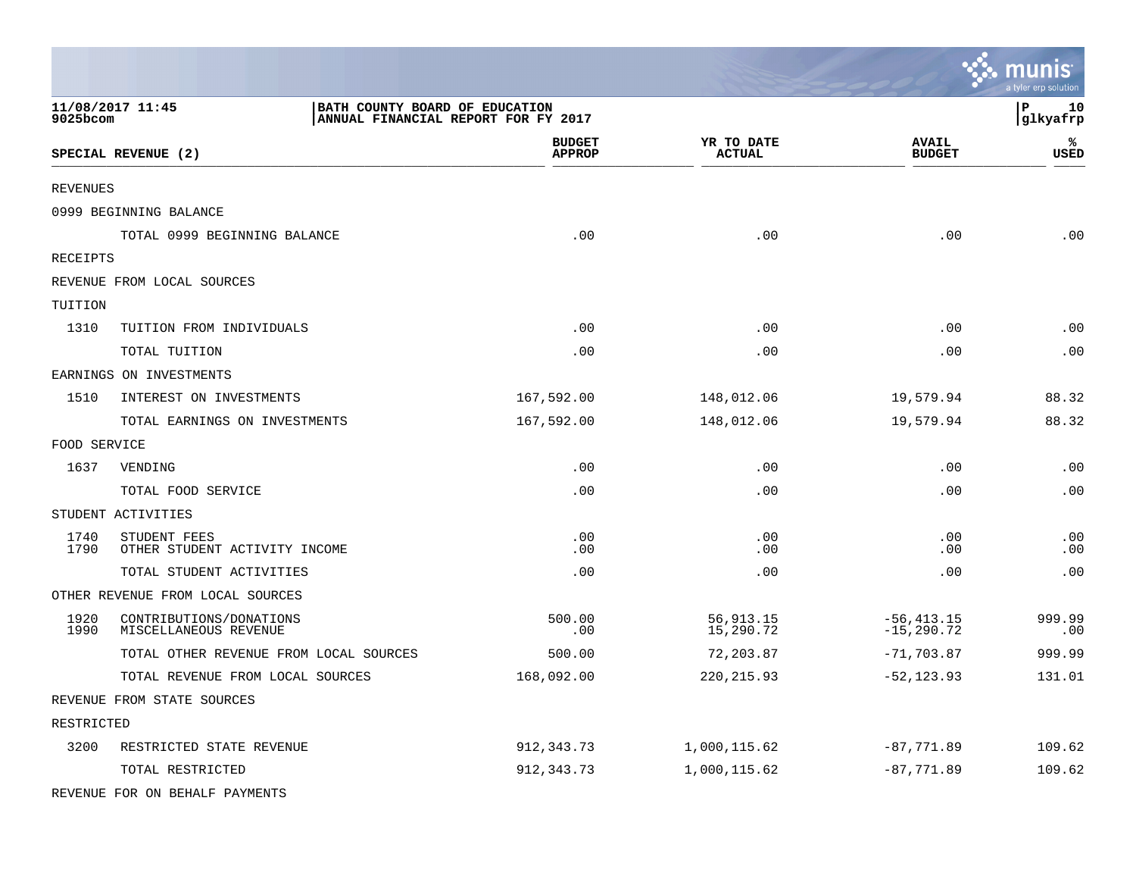|                 |                                                                                           |                                |                             |                                | munis <sup>.</sup><br>a tyler erp solution |
|-----------------|-------------------------------------------------------------------------------------------|--------------------------------|-----------------------------|--------------------------------|--------------------------------------------|
| 9025bcom        | 11/08/2017 11:45<br>BATH COUNTY BOARD OF EDUCATION<br>ANNUAL FINANCIAL REPORT FOR FY 2017 |                                |                             |                                | P<br>10<br>glkyafrp                        |
|                 | SPECIAL REVENUE (2)                                                                       | <b>BUDGET</b><br><b>APPROP</b> | YR TO DATE<br><b>ACTUAL</b> | <b>AVAIL</b><br><b>BUDGET</b>  | ℁<br><b>USED</b>                           |
| <b>REVENUES</b> |                                                                                           |                                |                             |                                |                                            |
|                 | 0999 BEGINNING BALANCE                                                                    |                                |                             |                                |                                            |
|                 | TOTAL 0999 BEGINNING BALANCE                                                              | .00                            | .00                         | .00                            | .00                                        |
| RECEIPTS        |                                                                                           |                                |                             |                                |                                            |
|                 | REVENUE FROM LOCAL SOURCES                                                                |                                |                             |                                |                                            |
| TUITION         |                                                                                           |                                |                             |                                |                                            |
| 1310            | TUITION FROM INDIVIDUALS                                                                  | .00                            | .00                         | .00                            | .00                                        |
|                 | TOTAL TUITION                                                                             | .00                            | .00                         | .00                            | .00                                        |
|                 | EARNINGS ON INVESTMENTS                                                                   |                                |                             |                                |                                            |
| 1510            | INTEREST ON INVESTMENTS                                                                   | 167,592.00                     | 148,012.06                  | 19,579.94                      | 88.32                                      |
|                 | TOTAL EARNINGS ON INVESTMENTS                                                             | 167,592.00                     | 148,012.06                  | 19,579.94                      | 88.32                                      |
| FOOD SERVICE    |                                                                                           |                                |                             |                                |                                            |
| 1637            | VENDING                                                                                   | .00                            | .00                         | .00                            | .00                                        |
|                 | TOTAL FOOD SERVICE                                                                        | .00                            | .00                         | .00                            | .00                                        |
|                 | STUDENT ACTIVITIES                                                                        |                                |                             |                                |                                            |
| 1740<br>1790    | STUDENT FEES<br>OTHER STUDENT ACTIVITY INCOME                                             | .00<br>.00                     | .00<br>.00                  | .00<br>.00                     | .00<br>.00                                 |
|                 | TOTAL STUDENT ACTIVITIES                                                                  | .00                            | .00                         | .00                            | .00                                        |
|                 | OTHER REVENUE FROM LOCAL SOURCES                                                          |                                |                             |                                |                                            |
| 1920<br>1990    | CONTRIBUTIONS/DONATIONS<br>MISCELLANEOUS REVENUE                                          | 500.00<br>.00                  | 56, 913.15<br>15,290.72     | $-56, 413.15$<br>$-15, 290.72$ | 999.99<br>.00                              |
|                 | TOTAL OTHER REVENUE FROM LOCAL SOURCES                                                    | 500.00                         | 72,203.87                   | $-71, 703.87$                  | 999.99                                     |
|                 | TOTAL REVENUE FROM LOCAL SOURCES                                                          | 168,092.00                     | 220, 215.93                 | $-52, 123.93$                  | 131.01                                     |
|                 | REVENUE FROM STATE SOURCES                                                                |                                |                             |                                |                                            |
| RESTRICTED      |                                                                                           |                                |                             |                                |                                            |
| 3200            | RESTRICTED STATE REVENUE                                                                  | 912, 343.73                    | 1,000,115.62                | $-87,771.89$                   | 109.62                                     |
|                 | TOTAL RESTRICTED                                                                          | 912, 343.73                    | 1,000,115.62                | $-87,771.89$                   | 109.62                                     |
|                 | REVENUE FOR ON BEHALF PAYMENTS                                                            |                                |                             |                                |                                            |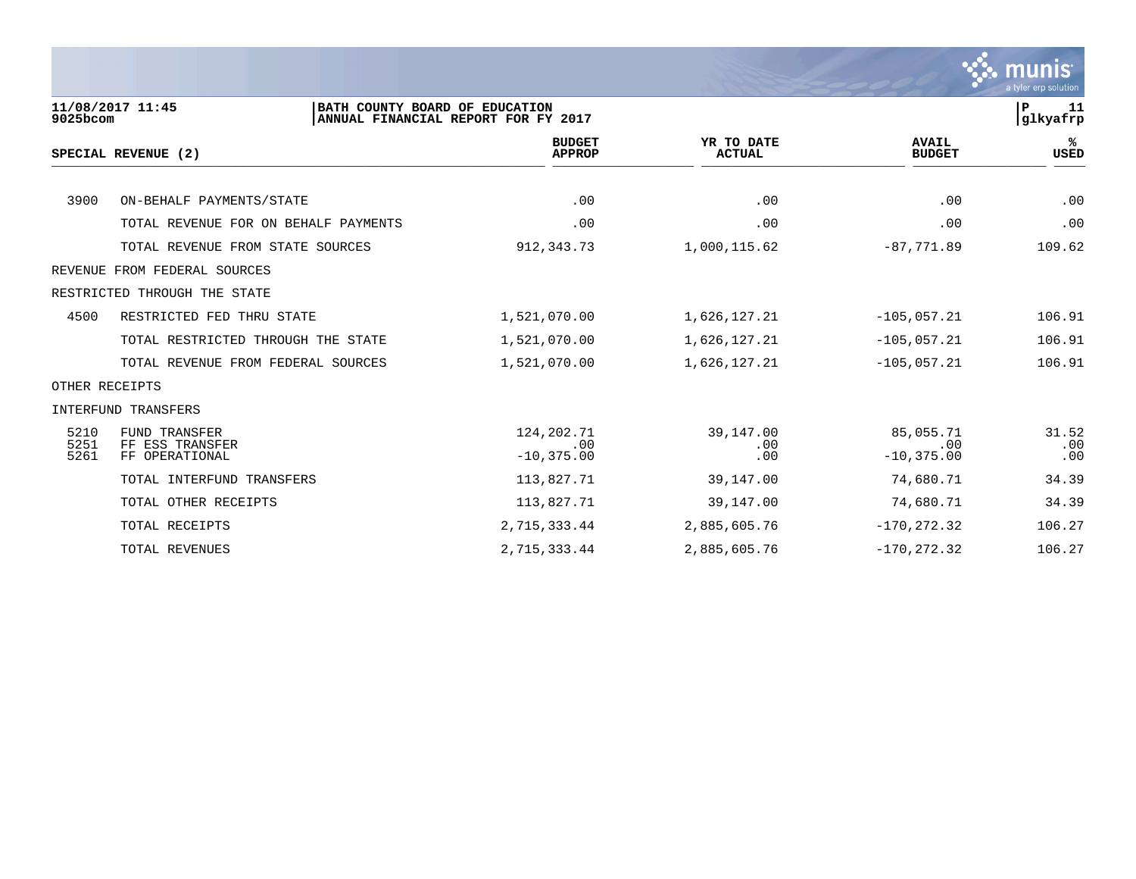

| 9025bcom     | 11/08/2017 11:45<br>BATH COUNTY BOARD OF EDUCATION | ANNUAL FINANCIAL REPORT FOR FY 2017 |                             |                               | P<br>11<br> glkyafrp |
|--------------|----------------------------------------------------|-------------------------------------|-----------------------------|-------------------------------|----------------------|
|              | SPECIAL REVENUE (2)                                | <b>BUDGET</b><br><b>APPROP</b>      | YR TO DATE<br><b>ACTUAL</b> | <b>AVAIL</b><br><b>BUDGET</b> | ℁<br>USED            |
|              |                                                    |                                     |                             |                               |                      |
| 3900         | ON-BEHALF PAYMENTS/STATE                           | .00                                 | .00                         | .00                           | .00                  |
|              | TOTAL REVENUE FOR ON BEHALF PAYMENTS               | .00                                 | .00                         | .00                           | .00                  |
|              | TOTAL REVENUE FROM STATE SOURCES                   | 912,343.73                          | 1,000,115.62                | $-87,771.89$                  | 109.62               |
|              | REVENUE FROM FEDERAL SOURCES                       |                                     |                             |                               |                      |
|              | RESTRICTED THROUGH THE STATE                       |                                     |                             |                               |                      |
| 4500         | RESTRICTED FED THRU STATE                          | 1,521,070.00                        | 1,626,127.21                | $-105,057.21$                 | 106.91               |
|              | TOTAL RESTRICTED THROUGH THE STATE                 | 1,521,070.00                        | 1,626,127.21                | $-105,057.21$                 | 106.91               |
|              | TOTAL REVENUE FROM FEDERAL SOURCES                 | 1,521,070.00                        | 1,626,127.21                | $-105,057.21$                 | 106.91               |
|              | OTHER RECEIPTS                                     |                                     |                             |                               |                      |
|              | INTERFUND TRANSFERS                                |                                     |                             |                               |                      |
| 5210         | <b>FUND TRANSFER</b>                               | 124, 202. 71                        | 39,147.00                   | 85,055.71                     | 31.52                |
| 5251<br>5261 | FF ESS TRANSFER<br>FF OPERATIONAL                  | .00<br>$-10, 375.00$                | .00<br>.00                  | .00<br>$-10, 375.00$          | .00<br>.00           |
|              | TOTAL INTERFUND TRANSFERS                          | 113,827.71                          | 39,147.00                   | 74,680.71                     | 34.39                |
|              | TOTAL OTHER RECEIPTS                               | 113,827.71                          | 39,147.00                   | 74,680.71                     | 34.39                |
|              | TOTAL RECEIPTS                                     | 2,715,333.44                        | 2,885,605.76                | $-170, 272.32$                | 106.27               |
|              | TOTAL REVENUES                                     | 2,715,333.44                        | 2,885,605.76                | $-170, 272.32$                | 106.27               |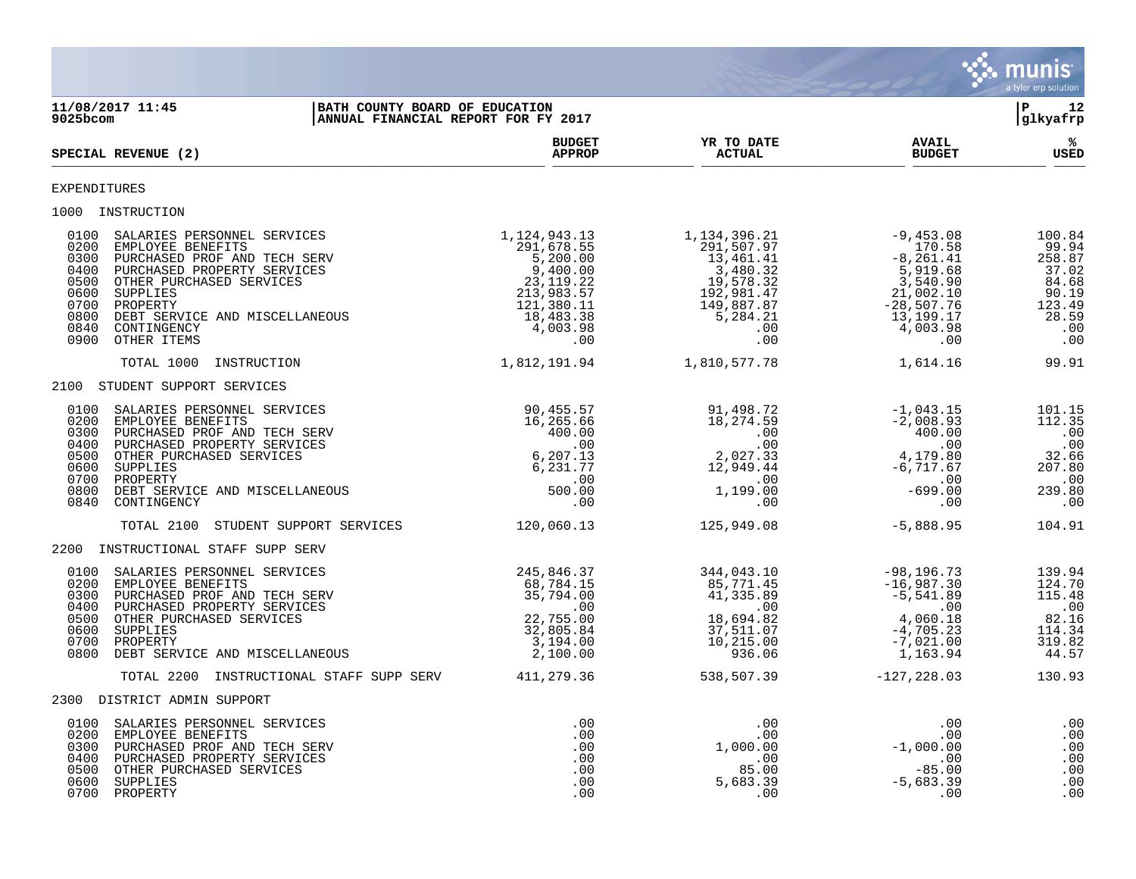

**11/08/2017 11:45 |BATH COUNTY BOARD OF EDUCATION |P 12 ANNUAL FINANCIAL REPORT FOR FY 2017 BUDGET YR TO DATE AVAIL %**  $\blacksquare$   $\blacksquare$   $\blacksquare$   $\blacksquare$   $\blacksquare$   $\blacksquare$   $\blacksquare$   $\blacksquare$   $\blacksquare$   $\blacksquare$   $\blacksquare$   $\blacksquare$   $\blacksquare$   $\blacksquare$   $\blacksquare$   $\blacksquare$   $\blacksquare$   $\blacksquare$   $\blacksquare$   $\blacksquare$   $\blacksquare$   $\blacksquare$   $\blacksquare$   $\blacksquare$   $\blacksquare$   $\blacksquare$   $\blacksquare$   $\blacksquare$   $\blacksquare$   $\blacksquare$   $\blacksquare$   $\blacksquare$  $\frac{\text{AFR} + \text{R}}{\text{AFR}}$ EXPENDITURES 1000 INSTRUCTION<br>
0100 SALARIES PERSONNEL SERVICES<br>
0200 EMPLOYEE BENEFITS<br>
0300 PURCHASED PROF AND TECH SERV<br>
0400 PURCHASED PROPERTY SERVICES<br>
0500 OTHER PURCHASED SERVICES 0100 SALARIES PERSONNEL SERVICES 1,124,943.13 1,134,396.21 -9,453.08 100.84 0200 EMPLOYEE BENEFITS 291,678.55 291,507.97 170.58 99.94 0300 PURCHASED PROF AND TECH SERV 6.67 (1991) 5,200.00 13,461.41 - 8,261.41 - 8,261.41 258.87 0400 PURCHASED PROPERTY SERVICES 9,400.00 3,480.32 5,919.68 37.02 0500 OTHER PURCHASED SERVICES 23,119.22 19,578.32 3,540.90 84.68 0600 SUPPLIES 213,983.57 192,981.47 21,002.10 90.19 0700 PROPERTY 121,380.11 149,887.87 -28,507.76 123.49 0800 DEBT SERVICE AND MISCELLANEOUS 18,483.38 5,284.21 13,199.17 28.59 0840 CONTINGENCY 4,003.98 .00 4,003.98 .00 0900 OTHER ITEMS .00 .00 .00 .00 TOTAL 1000 INSTRUCTION 1,812,191.94 1,810,577.78 1,614.16 99.91 2100 STUDENT SUPPORT SERVICES 0100 SALARIES PERSONNEL SERVICES 90,455.57 91,498.72 -1,043.15 101.15 0200 EMPLOYEE BENEFITS 16,265.66 18,274.59 -2,008.93 112.35 0300 PURCHASED PROF AND TECH SERV 400.00 .00 400.00 .00 0400 PURCHASED PROPERTY SERVICES .00 .00 .00 .00 0500 OTHER PURCHASED SERVICES 6,207.13 2,027.33 4,179.80 32.66 0600 SUPPLIES 6 ,231 .77 12 ,949 .44 –6 ,717 .67 207 .80 0700 PROPERTY .00 .00 .00 .00 0800 DEBT SERVICE AND MISCELLANEOUS 500.00 1,199.00 -699.00 239.80 0840 CONTINGENCY .00 .00 .00 .00 TOTAL 2100 STUDENT SUPPORT SERVICES 120,060.13 125,949.08 -5,888.95 104.91 2200 INSTRUCTIONAL STAFF SUPP SERV 0100 SALARIES PERSONNEL SERVICES 6 245,846.37 344,043.10 -98,196.73 139.94 0200 EMPLOYEE BENEFITS 68,784.15 85,771.45 -16,987.30 124.70 0300 PURCHASED PROF AND TECH SERV 81 35,794.00 41,335.89 -5,541.89 -5,541.89 115.48 0400 PURCHASED PROPERTY SERVICES .00 .00 .00 .00 0500 OTHER PURCHASED SERVICES 22,755.00 18,694.82 4,060.18 82.16 0600 SUPPLIES 32,805.84 37,511.07 -4,705.23 114.34 0700 PROPERTY 3,194.00 10,215.00 -7,021.00 319.82 0800 DEBT SERVICE AND MISCELLANEOUS 2,100.00 936.06 1,163.94 44.57 TOTAL 2200 INSTRUCTIONAL STAFF SUPP SERV 411, 279.36 538,507.39 -127, 228.03 130.93 2300 DISTRICT ADMIN SUPPORT 0100 SALARIES PERSONNEL SERVICES .00 .00 .00 .00 0200 EMPLOYEE BENEFITS .00 .00 .00 .00 0300 PURCHASED PROF AND TECH SERV .00 1,000.00 -1,000.00 .00 0400 PURCHASED PROPERTY SERVICES .00 .00 .00 .00 0500 OTHER PURCHASED SERVICES .00 85.00 -85.00 .00 0600 SUPPLIES .00 5,683.39 -5,683.39 .00 0700 PROPERTY .00 .00 .00 .00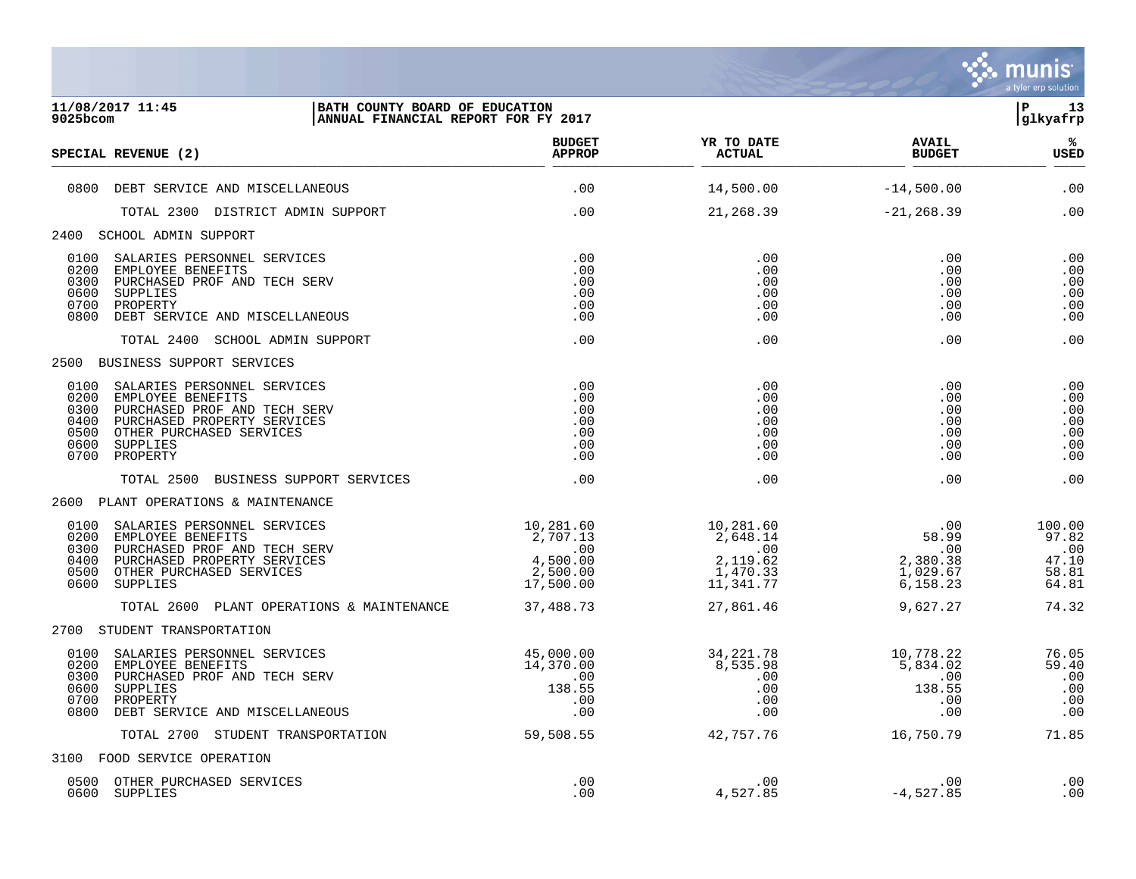

| 11/08/2017 11:45<br>BATH COUNTY BOARD OF EDUCATION<br>9025bcom<br>ANNUAL FINANCIAL REPORT FOR FY 2017                                                                                                                       |                                                                   |                                                                               |                                                         |                                                                |
|-----------------------------------------------------------------------------------------------------------------------------------------------------------------------------------------------------------------------------|-------------------------------------------------------------------|-------------------------------------------------------------------------------|---------------------------------------------------------|----------------------------------------------------------------|
| SPECIAL REVENUE (2)                                                                                                                                                                                                         | <b>BUDGET</b><br><b>APPROP</b>                                    | YR TO DATE<br><b>ACTUAL</b>                                                   | <b>AVAIL</b><br><b>BUDGET</b>                           | %<br>USED                                                      |
| 0800 DEBT SERVICE AND MISCELLANEOUS                                                                                                                                                                                         | .00                                                               | 14,500.00                                                                     | $-14,500.00$                                            | .00                                                            |
| TOTAL 2300 DISTRICT ADMIN SUPPORT                                                                                                                                                                                           | .00                                                               | 21,268.39                                                                     | $-21, 268.39$                                           | .00                                                            |
| 2400 SCHOOL ADMIN SUPPORT                                                                                                                                                                                                   |                                                                   |                                                                               |                                                         |                                                                |
| SALARIES PERSONNEL SERVICES<br>0100<br>0200<br>EMPLOYEE BENEFITS<br>0300<br>PURCHASED PROF AND TECH SERV<br>0600<br>SUPPLIES<br>0700<br>PROPERTY<br>DEBT SERVICE AND MISCELLANEOUS<br>0800                                  | .00<br>.00<br>.00<br>.00<br>.00<br>.00                            | .00<br>.00<br>.00<br>.00<br>.00<br>.00                                        | .00<br>.00<br>.00<br>.00<br>.00<br>.00                  | .00<br>.00<br>.00<br>$\boldsymbol{\mathsf{.00}}$<br>.00<br>.00 |
| TOTAL 2400 SCHOOL ADMIN SUPPORT                                                                                                                                                                                             | .00                                                               | .00                                                                           | .00                                                     | .00                                                            |
| BUSINESS SUPPORT SERVICES<br>2500                                                                                                                                                                                           |                                                                   |                                                                               |                                                         |                                                                |
| 0100<br>SALARIES PERSONNEL SERVICES<br>0200<br>EMPLOYEE BENEFITS<br>PURCHASED PROF AND TECH SERV<br>0300<br>PURCHASED PROPERTY SERVICES<br>0400<br>0500<br>OTHER PURCHASED SERVICES<br>0600<br>SUPPLIES<br>0700<br>PROPERTY | .00<br>.00<br>.00<br>.00<br>.00<br>.00<br>.00                     | .00<br>.00<br>.00<br>.00<br>.00<br>.00<br>.00                                 | .00<br>.00<br>.00<br>.00<br>.00<br>.00<br>.00           | .00<br>.00<br>.00<br>.00<br>.00<br>.00<br>.00                  |
| TOTAL 2500 BUSINESS SUPPORT SERVICES                                                                                                                                                                                        | .00                                                               | .00                                                                           | .00                                                     | .00                                                            |
| 2600 PLANT OPERATIONS & MAINTENANCE                                                                                                                                                                                         |                                                                   |                                                                               |                                                         |                                                                |
| SALARIES PERSONNEL SERVICES<br>0100<br>0200<br>EMPLOYEE BENEFITS<br>0300<br>PURCHASED PROF AND TECH SERV<br>PURCHASED PROPERTY SERVICES<br>0400<br>0500<br>OTHER PURCHASED SERVICES<br>0600 SUPPLIES                        | 10,281.60<br>2,707.13<br>.00<br>4,500.00<br>2,500.00<br>17,500.00 | 10,281.60<br>2,648.14<br>$\overline{00}$<br>2,119.62<br>1,470.33<br>11,341.77 | .00<br>58.99<br>.00<br>2,380.38<br>1,029.67<br>6,158.23 | 100.00<br>97.82<br>.00<br>47.10<br>58.81<br>64.81              |
| TOTAL 2600 PLANT OPERATIONS & MAINTENANCE                                                                                                                                                                                   | 37,488.73                                                         | 27,861.46                                                                     | 9,627.27                                                | 74.32                                                          |
| 2700 STUDENT TRANSPORTATION                                                                                                                                                                                                 |                                                                   |                                                                               |                                                         |                                                                |
| SALARIES PERSONNEL SERVICES<br>0100<br>0200<br>EMPLOYEE BENEFITS<br>0300<br>PURCHASED PROF AND TECH SERV<br>0600<br>SUPPLIES<br>0700<br>PROPERTY<br>0800<br>DEBT SERVICE AND MISCELLANEOUS                                  | 45,000.00<br>14,370.00<br>.00<br>138.55<br>.00<br>.00             | 34,221.78<br>8,535.98<br>.00<br>.00<br>.00<br>.00                             | 10,778.22<br>5,834.02<br>.00<br>138.55<br>.00<br>.00    | 76.05<br>59.40<br>.00<br>.00<br>.00<br>.00                     |
| TOTAL 2700 STUDENT TRANSPORTATION                                                                                                                                                                                           | 59,508.55                                                         | 42,757.76                                                                     | 16,750.79                                               | 71.85                                                          |
| 3100 FOOD SERVICE OPERATION                                                                                                                                                                                                 |                                                                   |                                                                               |                                                         |                                                                |
| OTHER PURCHASED SERVICES<br>0500<br>0600<br>SUPPLIES                                                                                                                                                                        | .00<br>.00                                                        | .00<br>4,527.85                                                               | .00<br>$-4,527.85$                                      | .00<br>.00                                                     |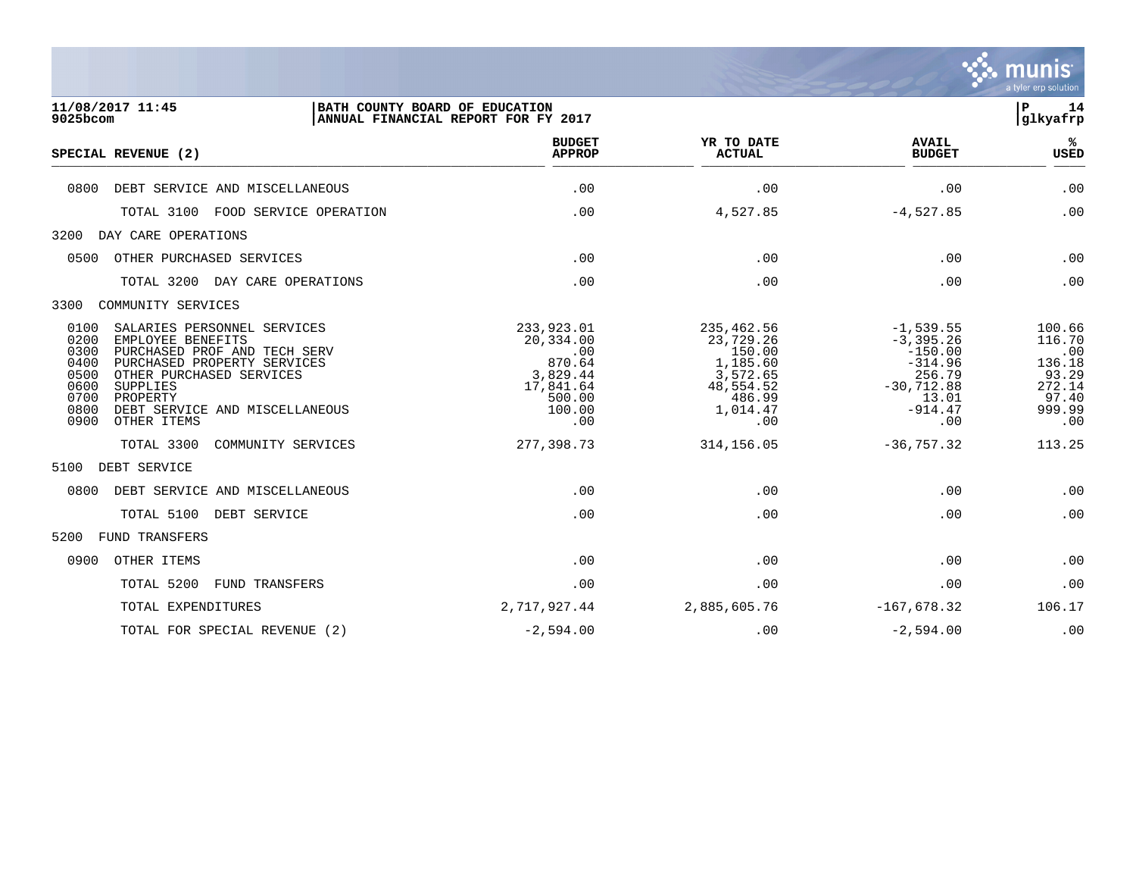

| 11/08/2017 11:45<br>9025bcom                                                                                                                                                                                                                                                                        | BATH COUNTY BOARD OF EDUCATION | ANNUAL FINANCIAL REPORT FOR FY 2017                                                          |                                                                                                     |                                                                                                              | $\mathbf P$<br>14<br>glkyafrp                                                  |
|-----------------------------------------------------------------------------------------------------------------------------------------------------------------------------------------------------------------------------------------------------------------------------------------------------|--------------------------------|----------------------------------------------------------------------------------------------|-----------------------------------------------------------------------------------------------------|--------------------------------------------------------------------------------------------------------------|--------------------------------------------------------------------------------|
| SPECIAL REVENUE (2)                                                                                                                                                                                                                                                                                 |                                | <b>BUDGET</b><br><b>APPROP</b>                                                               | YR TO DATE<br><b>ACTUAL</b>                                                                         | <b>AVAIL</b><br><b>BUDGET</b>                                                                                | ℁<br><b>USED</b>                                                               |
| 0800<br>DEBT SERVICE AND MISCELLANEOUS                                                                                                                                                                                                                                                              |                                | .00                                                                                          | .00                                                                                                 | .00                                                                                                          | .00                                                                            |
| TOTAL 3100                                                                                                                                                                                                                                                                                          | FOOD SERVICE OPERATION         | .00                                                                                          | 4,527.85                                                                                            | $-4,527.85$                                                                                                  | .00                                                                            |
| 3200<br>DAY CARE OPERATIONS                                                                                                                                                                                                                                                                         |                                |                                                                                              |                                                                                                     |                                                                                                              |                                                                                |
| OTHER PURCHASED SERVICES<br>0500                                                                                                                                                                                                                                                                    |                                | .00                                                                                          | .00                                                                                                 | .00                                                                                                          | .00                                                                            |
| TOTAL 3200                                                                                                                                                                                                                                                                                          | DAY CARE OPERATIONS            | .00                                                                                          | .00                                                                                                 | .00                                                                                                          | .00                                                                            |
| 3300<br>COMMUNITY SERVICES                                                                                                                                                                                                                                                                          |                                |                                                                                              |                                                                                                     |                                                                                                              |                                                                                |
| 0100<br>SALARIES PERSONNEL SERVICES<br>0200<br>EMPLOYEE BENEFITS<br>0300<br>PURCHASED PROF AND TECH SERV<br>0400<br>PURCHASED PROPERTY SERVICES<br>0500<br>OTHER PURCHASED SERVICES<br>0600<br><b>SUPPLIES</b><br>0700<br>PROPERTY<br>0800<br>DEBT SERVICE AND MISCELLANEOUS<br>0900<br>OTHER ITEMS |                                | 233,923.01<br>20,334.00<br>.00<br>870.64<br>3,829.44<br>17,841.64<br>500.00<br>100.00<br>.00 | 235,462.56<br>23,729.26<br>150.00<br>1,185.60<br>3,572.65<br>48,554.52<br>486.99<br>1,014.47<br>.00 | $-1,539.55$<br>$-3, 395.26$<br>$-150.00$<br>$-314.96$<br>256.79<br>$-30,712.88$<br>13.01<br>$-914.47$<br>.00 | 100.66<br>116.70<br>.00<br>136.18<br>93.29<br>272.14<br>97.40<br>999.99<br>.00 |
| TOTAL 3300                                                                                                                                                                                                                                                                                          | COMMUNITY SERVICES             | 277,398.73                                                                                   | 314, 156.05                                                                                         | $-36, 757.32$                                                                                                | 113.25                                                                         |
| 5100<br>DEBT SERVICE                                                                                                                                                                                                                                                                                |                                |                                                                                              |                                                                                                     |                                                                                                              |                                                                                |
| 0800<br>DEBT SERVICE AND MISCELLANEOUS                                                                                                                                                                                                                                                              |                                | .00                                                                                          | .00                                                                                                 | .00                                                                                                          | .00                                                                            |
| TOTAL 5100                                                                                                                                                                                                                                                                                          | DEBT SERVICE                   | .00                                                                                          | .00                                                                                                 | .00                                                                                                          | .00                                                                            |
| 5200<br><b>FUND TRANSFERS</b>                                                                                                                                                                                                                                                                       |                                |                                                                                              |                                                                                                     |                                                                                                              |                                                                                |
| 0900<br>OTHER ITEMS                                                                                                                                                                                                                                                                                 |                                | .00                                                                                          | .00                                                                                                 | .00                                                                                                          | .00                                                                            |
| TOTAL 5200                                                                                                                                                                                                                                                                                          | <b>FUND TRANSFERS</b>          | .00                                                                                          | .00                                                                                                 | .00                                                                                                          | .00                                                                            |
| TOTAL EXPENDITURES                                                                                                                                                                                                                                                                                  |                                | 2,717,927.44                                                                                 | 2,885,605.76                                                                                        | $-167,678.32$                                                                                                | 106.17                                                                         |

TOTAL FOR SPECIAL REVENUE (2)  $-2,594.00$  .00 .00  $-2,594.00$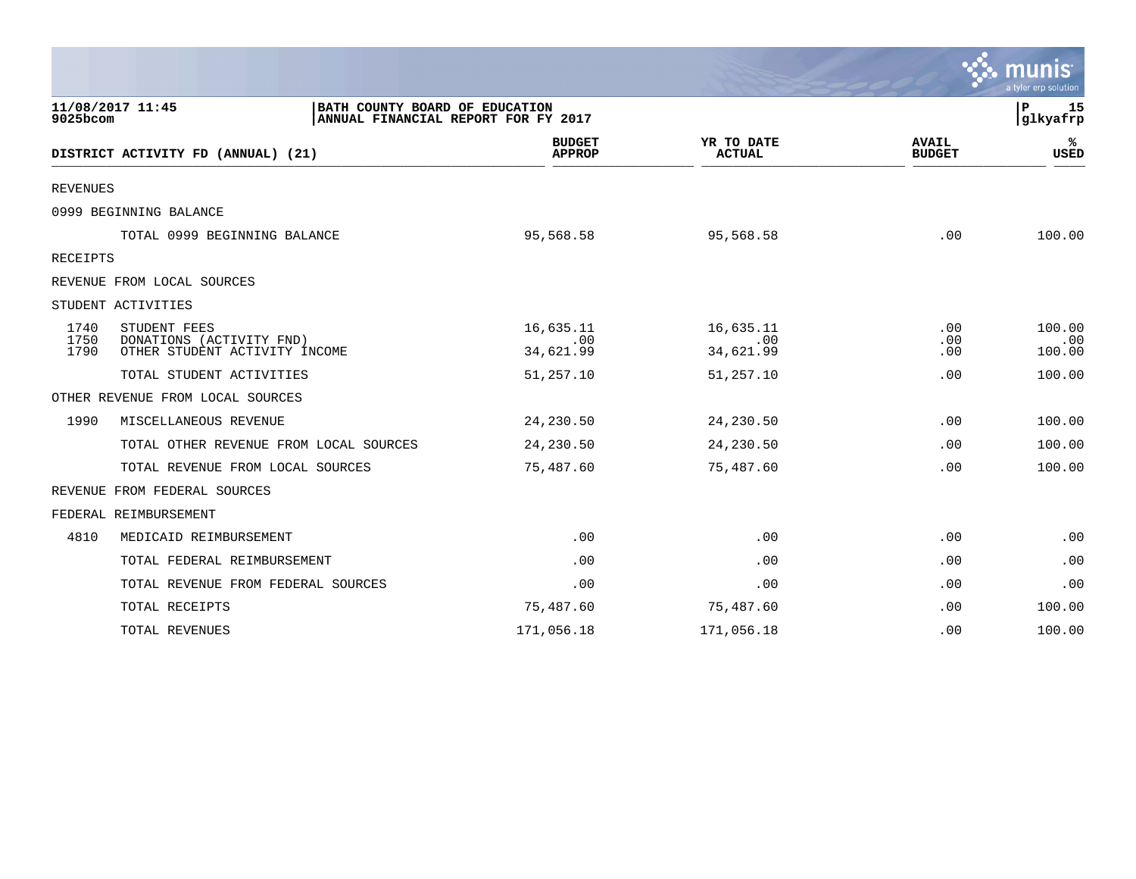|                      |                                                                                           |                                |                               |                               | mun<br>a tyler erp solution |
|----------------------|-------------------------------------------------------------------------------------------|--------------------------------|-------------------------------|-------------------------------|-----------------------------|
| 9025bcom             | 11/08/2017 11:45<br>BATH COUNTY BOARD OF EDUCATION<br>ANNUAL FINANCIAL REPORT FOR FY 2017 |                                |                               |                               | 15<br>P<br> glkyafrp        |
|                      | DISTRICT ACTIVITY FD (ANNUAL) (21)                                                        | <b>BUDGET</b><br><b>APPROP</b> | YR TO DATE<br><b>ACTUAL</b>   | <b>AVAIL</b><br><b>BUDGET</b> | ℁<br><b>USED</b>            |
| <b>REVENUES</b>      |                                                                                           |                                |                               |                               |                             |
|                      | 0999 BEGINNING BALANCE                                                                    |                                |                               |                               |                             |
|                      | TOTAL 0999 BEGINNING BALANCE                                                              | 95,568.58                      | 95,568.58                     | .00                           | 100.00                      |
| RECEIPTS             |                                                                                           |                                |                               |                               |                             |
|                      | REVENUE FROM LOCAL SOURCES                                                                |                                |                               |                               |                             |
|                      | STUDENT ACTIVITIES                                                                        |                                |                               |                               |                             |
| 1740<br>1750<br>1790 | STUDENT FEES<br>DONATIONS (ACTIVITY FND)<br>OTHER STUDENT ACTIVITY INCOME                 | 16,635.11<br>.00<br>34,621.99  | 16,635.11<br>.00<br>34,621.99 | $.00 \,$<br>.00<br>.00        | 100.00<br>.00<br>100.00     |
|                      | TOTAL STUDENT ACTIVITIES                                                                  | 51,257.10                      | 51,257.10                     | .00                           | 100.00                      |
|                      | OTHER REVENUE FROM LOCAL SOURCES                                                          |                                |                               |                               |                             |
| 1990                 | MISCELLANEOUS REVENUE                                                                     | 24,230.50                      | 24,230.50                     | .00                           | 100.00                      |
|                      | TOTAL OTHER REVENUE FROM LOCAL SOURCES                                                    | 24,230.50                      | 24,230.50                     | .00                           | 100.00                      |
|                      | TOTAL REVENUE FROM LOCAL SOURCES                                                          | 75,487.60                      | 75,487.60                     | .00                           | 100.00                      |
|                      | REVENUE FROM FEDERAL SOURCES                                                              |                                |                               |                               |                             |
|                      | FEDERAL REIMBURSEMENT                                                                     |                                |                               |                               |                             |
| 4810                 | MEDICAID REIMBURSEMENT                                                                    | .00                            | .00                           | .00                           | .00                         |
|                      | TOTAL FEDERAL REIMBURSEMENT                                                               | .00                            | .00                           | .00                           | .00                         |
|                      | TOTAL REVENUE FROM FEDERAL SOURCES                                                        | .00                            | .00                           | .00                           | .00                         |
|                      | TOTAL RECEIPTS                                                                            | 75,487.60                      | 75,487.60                     | .00                           | 100.00                      |
|                      | TOTAL REVENUES                                                                            | 171,056.18                     | 171,056.18                    | .00                           | 100.00                      |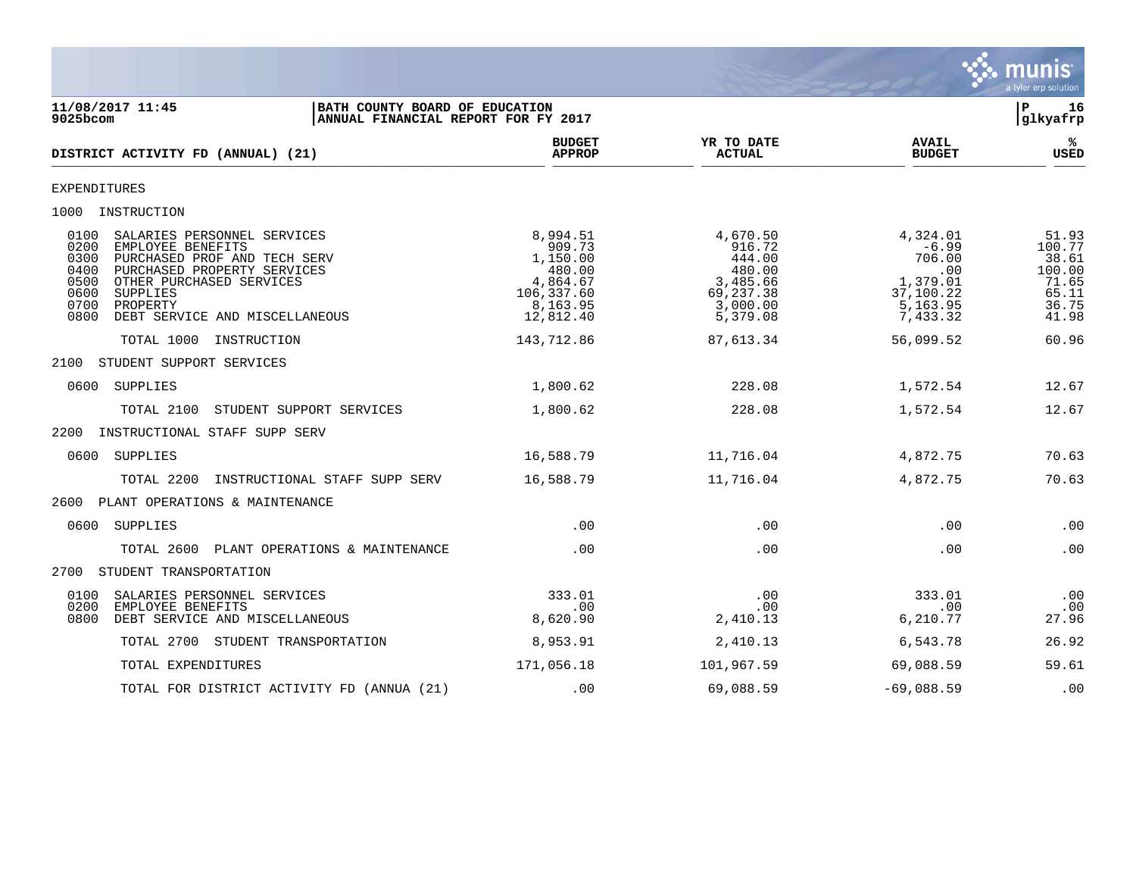

| 11/08/2017 11:45<br>BATH COUNTY BOARD OF EDUCATION<br>$9025$ bcom<br>ANNUAL FINANCIAL REPORT FOR FY 2017                                                                                                                                                              |                                                                                             |                                                                                         |                                                                                       | 16<br>P<br>glkyafrp                                                    |
|-----------------------------------------------------------------------------------------------------------------------------------------------------------------------------------------------------------------------------------------------------------------------|---------------------------------------------------------------------------------------------|-----------------------------------------------------------------------------------------|---------------------------------------------------------------------------------------|------------------------------------------------------------------------|
| DISTRICT ACTIVITY FD (ANNUAL) (21)                                                                                                                                                                                                                                    | <b>BUDGET</b><br><b>APPROP</b>                                                              | YR TO DATE<br><b>ACTUAL</b>                                                             | <b>AVAIL</b><br><b>BUDGET</b>                                                         | %ร<br><b>USED</b>                                                      |
| EXPENDITURES                                                                                                                                                                                                                                                          |                                                                                             |                                                                                         |                                                                                       |                                                                        |
| 1000 INSTRUCTION                                                                                                                                                                                                                                                      |                                                                                             |                                                                                         |                                                                                       |                                                                        |
| 0100<br>SALARIES PERSONNEL SERVICES<br>0200<br>EMPLOYEE BENEFITS<br>0300<br>PURCHASED PROF AND TECH SERV<br>PURCHASED PROPERTY SERVICES<br>0400<br>0500<br>OTHER PURCHASED SERVICES<br>0600<br>SUPPLIES<br>0700<br>PROPERTY<br>0800<br>DEBT SERVICE AND MISCELLANEOUS | 8,994.51<br>909.73<br>1,150.00<br>480.00<br>4,864.67<br>106,337.60<br>8,163.95<br>12,812.40 | 4,670.50<br>916.72<br>444.00<br>480.00<br>3,485.66<br>69,237.38<br>3,000.00<br>5,379.08 | 4,324.01<br>$-6.99$<br>706.00<br>.00<br>1,379.01<br>37,100.22<br>5,163.95<br>7,433.32 | 51.93<br>100.77<br>38.61<br>100.00<br>71.65<br>65.11<br>36.75<br>41.98 |
| TOTAL 1000<br>INSTRUCTION                                                                                                                                                                                                                                             | 143,712.86                                                                                  | 87,613.34                                                                               | 56,099.52                                                                             | 60.96                                                                  |
| 2100 STUDENT SUPPORT SERVICES                                                                                                                                                                                                                                         |                                                                                             |                                                                                         |                                                                                       |                                                                        |
| 0600 SUPPLIES                                                                                                                                                                                                                                                         | 1,800.62                                                                                    | 228.08                                                                                  | 1,572.54                                                                              | 12.67                                                                  |
| TOTAL 2100<br>STUDENT SUPPORT SERVICES                                                                                                                                                                                                                                | 1,800.62                                                                                    | 228.08                                                                                  | 1,572.54                                                                              | 12.67                                                                  |
| INSTRUCTIONAL STAFF SUPP SERV<br>2200                                                                                                                                                                                                                                 |                                                                                             |                                                                                         |                                                                                       |                                                                        |
| 0600<br>SUPPLIES                                                                                                                                                                                                                                                      | 16,588.79                                                                                   | 11,716.04                                                                               | 4,872.75                                                                              | 70.63                                                                  |
| INSTRUCTIONAL STAFF SUPP SERV<br>TOTAL 2200                                                                                                                                                                                                                           | 16,588.79                                                                                   | 11,716.04                                                                               | 4,872.75                                                                              | 70.63                                                                  |
| PLANT OPERATIONS & MAINTENANCE<br>2600                                                                                                                                                                                                                                |                                                                                             |                                                                                         |                                                                                       |                                                                        |
| 0600 SUPPLIES                                                                                                                                                                                                                                                         | .00                                                                                         | .00                                                                                     | $.00 \,$                                                                              | .00                                                                    |
| TOTAL 2600<br>PLANT OPERATIONS & MAINTENANCE                                                                                                                                                                                                                          | .00                                                                                         | .00                                                                                     | .00                                                                                   | .00                                                                    |
| 2700 STUDENT TRANSPORTATION                                                                                                                                                                                                                                           |                                                                                             |                                                                                         |                                                                                       |                                                                        |
| 0100<br>SALARIES PERSONNEL SERVICES<br>0200<br>EMPLOYEE BENEFITS<br>0800<br>DEBT SERVICE AND MISCELLANEOUS                                                                                                                                                            | 333.01<br>.00<br>8,620.90                                                                   | .00<br>.00<br>2,410.13                                                                  | 333.01<br>.00<br>6,210.77                                                             | .00<br>.00<br>27.96                                                    |
| TOTAL 2700 STUDENT TRANSPORTATION                                                                                                                                                                                                                                     | 8,953.91                                                                                    | 2,410.13                                                                                | 6,543.78                                                                              | 26.92                                                                  |
| TOTAL EXPENDITURES                                                                                                                                                                                                                                                    | 171,056.18                                                                                  | 101,967.59                                                                              | 69,088.59                                                                             | 59.61                                                                  |
| TOTAL FOR DISTRICT ACTIVITY FD (ANNUA (21)                                                                                                                                                                                                                            | .00                                                                                         | 69,088.59                                                                               | $-69,088.59$                                                                          | .00                                                                    |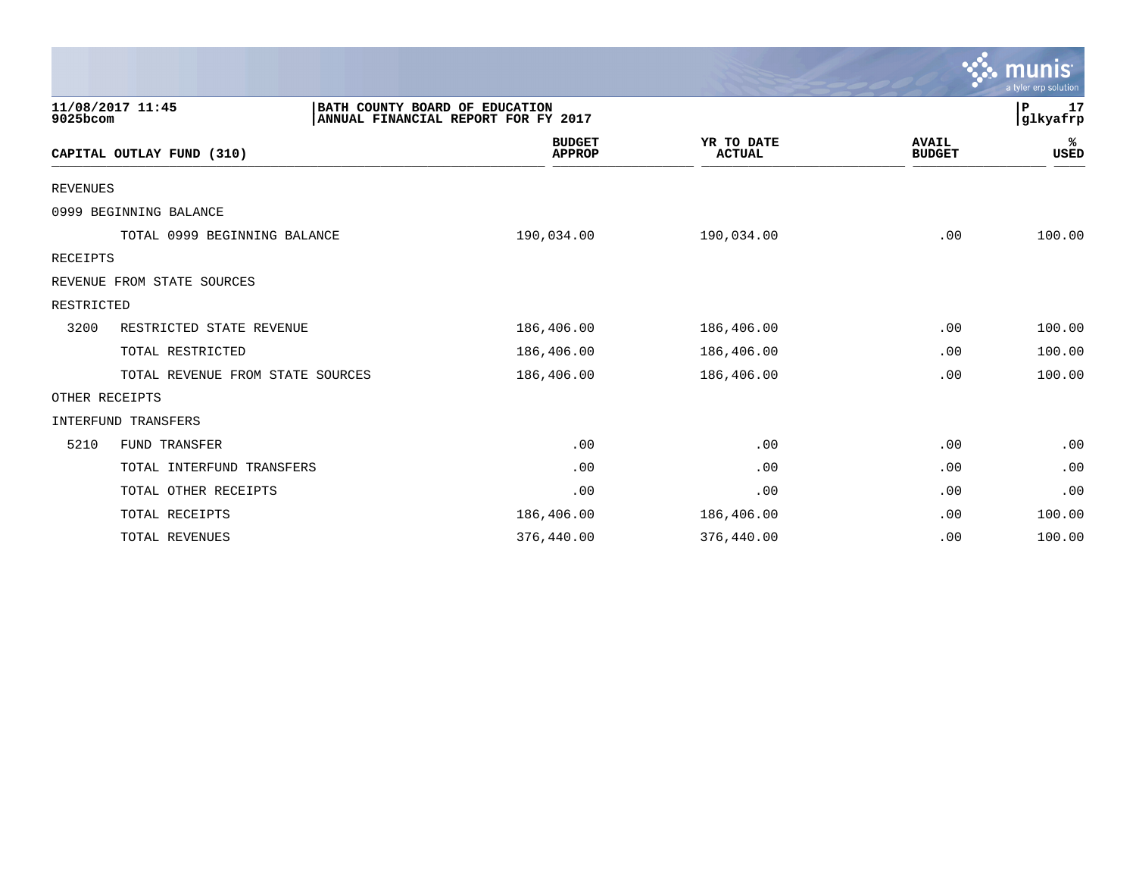|                 |                                  |                                |                                     |                             |                               | $\mathcal{C}$ munis<br>a tyler erp solution |
|-----------------|----------------------------------|--------------------------------|-------------------------------------|-----------------------------|-------------------------------|---------------------------------------------|
| 9025bcom        | 11/08/2017 11:45                 | BATH COUNTY BOARD OF EDUCATION | ANNUAL FINANCIAL REPORT FOR FY 2017 |                             |                               | P<br>17<br>glkyafrp                         |
|                 | CAPITAL OUTLAY FUND (310)        |                                | <b>BUDGET</b><br><b>APPROP</b>      | YR TO DATE<br><b>ACTUAL</b> | <b>AVAIL</b><br><b>BUDGET</b> | ℁<br><b>USED</b>                            |
| <b>REVENUES</b> |                                  |                                |                                     |                             |                               |                                             |
|                 | 0999 BEGINNING BALANCE           |                                |                                     |                             |                               |                                             |
|                 | TOTAL 0999 BEGINNING BALANCE     |                                | 190,034.00                          | 190,034.00                  | .00                           | 100.00                                      |
| RECEIPTS        |                                  |                                |                                     |                             |                               |                                             |
|                 | REVENUE FROM STATE SOURCES       |                                |                                     |                             |                               |                                             |
| RESTRICTED      |                                  |                                |                                     |                             |                               |                                             |
| 3200            | RESTRICTED STATE REVENUE         |                                | 186,406.00                          | 186,406.00                  | .00                           | 100.00                                      |
|                 | TOTAL RESTRICTED                 |                                | 186,406.00                          | 186,406.00                  | .00                           | 100.00                                      |
|                 | TOTAL REVENUE FROM STATE SOURCES |                                | 186,406.00                          | 186,406.00                  | .00                           | 100.00                                      |
|                 | OTHER RECEIPTS                   |                                |                                     |                             |                               |                                             |
|                 | <b>INTERFUND TRANSFERS</b>       |                                |                                     |                             |                               |                                             |
| 5210            | <b>FUND TRANSFER</b>             |                                | .00                                 | .00                         | .00                           | .00                                         |
|                 | TOTAL INTERFUND TRANSFERS        |                                | .00                                 | .00                         | .00                           | .00                                         |
|                 | TOTAL OTHER RECEIPTS             |                                | .00                                 | .00                         | .00                           | .00                                         |
|                 | TOTAL RECEIPTS                   |                                | 186,406.00                          | 186,406.00                  | .00                           | 100.00                                      |
|                 | TOTAL REVENUES                   |                                | 376,440.00                          | 376,440.00                  | .00                           | 100.00                                      |

 $\sim$   $\sim$   $\sim$   $\sim$   $\sim$   $\sim$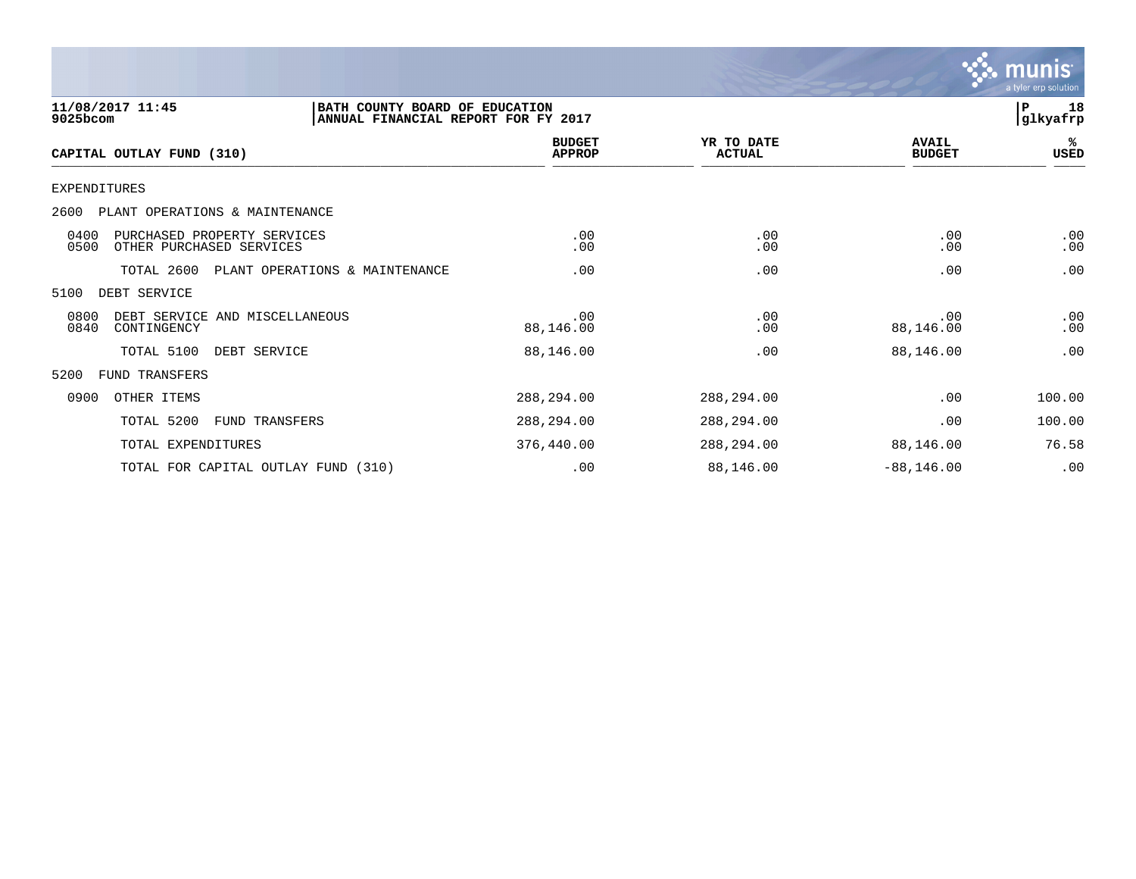

| 11/08/2017 11:45<br>9025bcom                                            | BATH COUNTY BOARD OF EDUCATION<br>ANNUAL FINANCIAL REPORT FOR FY 2017 |                                |                             |                               | 18<br>P<br> glkyafrp |
|-------------------------------------------------------------------------|-----------------------------------------------------------------------|--------------------------------|-----------------------------|-------------------------------|----------------------|
| CAPITAL OUTLAY FUND (310)                                               |                                                                       | <b>BUDGET</b><br><b>APPROP</b> | YR TO DATE<br><b>ACTUAL</b> | <b>AVAIL</b><br><b>BUDGET</b> | %ะ<br>USED           |
| <b>EXPENDITURES</b>                                                     |                                                                       |                                |                             |                               |                      |
| 2600<br>PLANT OPERATIONS & MAINTENANCE                                  |                                                                       |                                |                             |                               |                      |
| 0400<br>PURCHASED PROPERTY SERVICES<br>0500<br>OTHER PURCHASED SERVICES |                                                                       | .00<br>.00                     | .00<br>.00                  | .00<br>.00                    | .00<br>.00           |
| TOTAL 2600                                                              | PLANT OPERATIONS & MAINTENANCE                                        | .00                            | .00                         | .00                           | .00                  |
| 5100<br>DEBT SERVICE                                                    |                                                                       |                                |                             |                               |                      |
| 0800<br>DEBT SERVICE AND MISCELLANEOUS<br>0840<br>CONTINGENCY           |                                                                       | .00<br>88,146.00               | .00<br>.00                  | .00<br>88,146.00              | .00<br>.00           |
| TOTAL 5100                                                              | DEBT SERVICE                                                          | 88,146.00                      | .00                         | 88,146.00                     | .00                  |
| 5200<br>FUND TRANSFERS                                                  |                                                                       |                                |                             |                               |                      |
| 0900<br>OTHER ITEMS                                                     |                                                                       | 288,294.00                     | 288,294.00                  | .00                           | 100.00               |
| TOTAL 5200                                                              | <b>FUND TRANSFERS</b>                                                 | 288,294.00                     | 288,294.00                  | .00                           | 100.00               |
| TOTAL EXPENDITURES                                                      |                                                                       | 376,440.00                     | 288,294.00                  | 88,146.00                     | 76.58                |
|                                                                         | TOTAL FOR CAPITAL OUTLAY FUND (310)                                   | .00                            | 88,146.00                   | $-88, 146.00$                 | .00                  |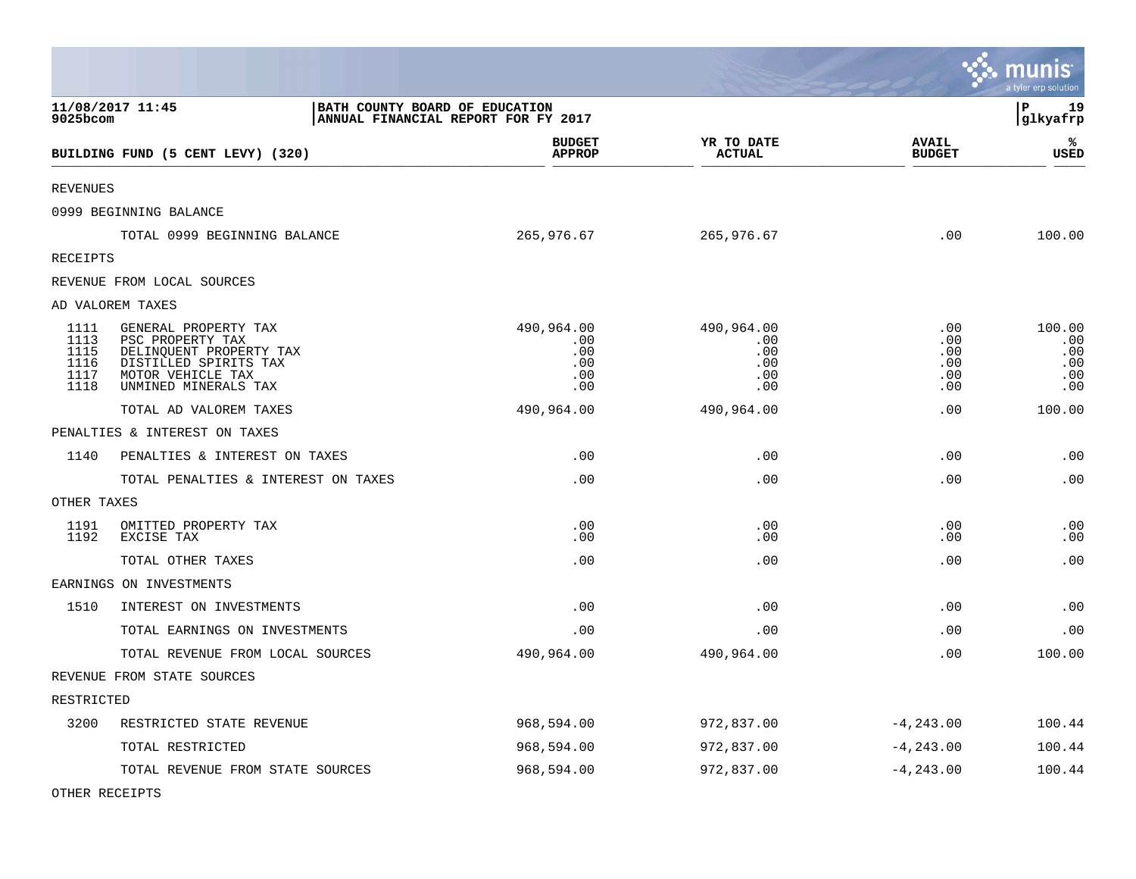|                                              |                                                                                                                                           |                                                                       |                                               |                                        | <b>munis</b><br>a tyler erp solution      |
|----------------------------------------------|-------------------------------------------------------------------------------------------------------------------------------------------|-----------------------------------------------------------------------|-----------------------------------------------|----------------------------------------|-------------------------------------------|
| 9025bcom                                     | 11/08/2017 11:45                                                                                                                          | BATH COUNTY BOARD OF EDUCATION<br>ANNUAL FINANCIAL REPORT FOR FY 2017 |                                               |                                        | 19<br>l P<br>glkyafrp                     |
|                                              | BUILDING FUND (5 CENT LEVY) (320)                                                                                                         | <b>BUDGET</b><br><b>APPROP</b>                                        | YR TO DATE<br><b>ACTUAL</b>                   | <b>AVAIL</b><br><b>BUDGET</b>          | ℁<br><b>USED</b>                          |
| <b>REVENUES</b>                              |                                                                                                                                           |                                                                       |                                               |                                        |                                           |
|                                              | 0999 BEGINNING BALANCE                                                                                                                    |                                                                       |                                               |                                        |                                           |
|                                              | TOTAL 0999 BEGINNING BALANCE                                                                                                              | 265,976.67                                                            | 265,976.67                                    | .00                                    | 100.00                                    |
| RECEIPTS                                     |                                                                                                                                           |                                                                       |                                               |                                        |                                           |
|                                              | REVENUE FROM LOCAL SOURCES                                                                                                                |                                                                       |                                               |                                        |                                           |
|                                              | AD VALOREM TAXES                                                                                                                          |                                                                       |                                               |                                        |                                           |
| 1111<br>1113<br>1115<br>1116<br>1117<br>1118 | GENERAL PROPERTY TAX<br>PSC PROPERTY TAX<br>DELINQUENT PROPERTY TAX<br>DISTILLED SPIRITS TAX<br>MOTOR VEHICLE TAX<br>UNMINED MINERALS TAX | 490,964.00<br>.00.<br>.00<br>.00<br>.00<br>.00                        | 490,964.00<br>.00<br>.00<br>.00<br>.00<br>.00 | .00<br>.00<br>.00<br>.00<br>.00<br>.00 | 100.00<br>.00<br>.00<br>.00<br>.00<br>.00 |
|                                              | TOTAL AD VALOREM TAXES                                                                                                                    | 490,964.00                                                            | 490,964.00                                    | .00                                    | 100.00                                    |
|                                              | PENALTIES & INTEREST ON TAXES                                                                                                             |                                                                       |                                               |                                        |                                           |
| 1140                                         | PENALTIES & INTEREST ON TAXES                                                                                                             | .00                                                                   | .00                                           | .00                                    | .00                                       |
|                                              | TOTAL PENALTIES & INTEREST ON TAXES                                                                                                       | .00                                                                   | .00                                           | .00                                    | .00                                       |
| OTHER TAXES                                  |                                                                                                                                           |                                                                       |                                               |                                        |                                           |
| 1191<br>1192                                 | OMITTED PROPERTY TAX<br>EXCISE TAX                                                                                                        | .00<br>.00                                                            | .00<br>.00                                    | .00<br>.00                             | .00<br>.00                                |
|                                              | TOTAL OTHER TAXES                                                                                                                         | .00                                                                   | .00                                           | .00                                    | .00                                       |
|                                              | EARNINGS ON INVESTMENTS                                                                                                                   |                                                                       |                                               |                                        |                                           |
| 1510                                         | INTEREST ON INVESTMENTS                                                                                                                   | .00                                                                   | .00                                           | .00                                    | .00                                       |
|                                              | TOTAL EARNINGS ON INVESTMENTS                                                                                                             | .00                                                                   | .00                                           | .00                                    | .00                                       |
|                                              | TOTAL REVENUE FROM LOCAL SOURCES                                                                                                          | 490,964.00                                                            | 490,964.00                                    | .00                                    | 100.00                                    |
|                                              | REVENUE FROM STATE SOURCES                                                                                                                |                                                                       |                                               |                                        |                                           |
| RESTRICTED                                   |                                                                                                                                           |                                                                       |                                               |                                        |                                           |
| 3200                                         | RESTRICTED STATE REVENUE                                                                                                                  | 968,594.00                                                            | 972,837.00                                    | $-4, 243.00$                           | 100.44                                    |
|                                              | TOTAL RESTRICTED                                                                                                                          | 968,594.00                                                            | 972,837.00                                    | $-4, 243.00$                           | 100.44                                    |
|                                              | TOTAL REVENUE FROM STATE SOURCES                                                                                                          | 968,594.00                                                            | 972,837.00                                    | $-4, 243.00$                           | 100.44                                    |

 $\bullet$ 

OTHER RECEIPTS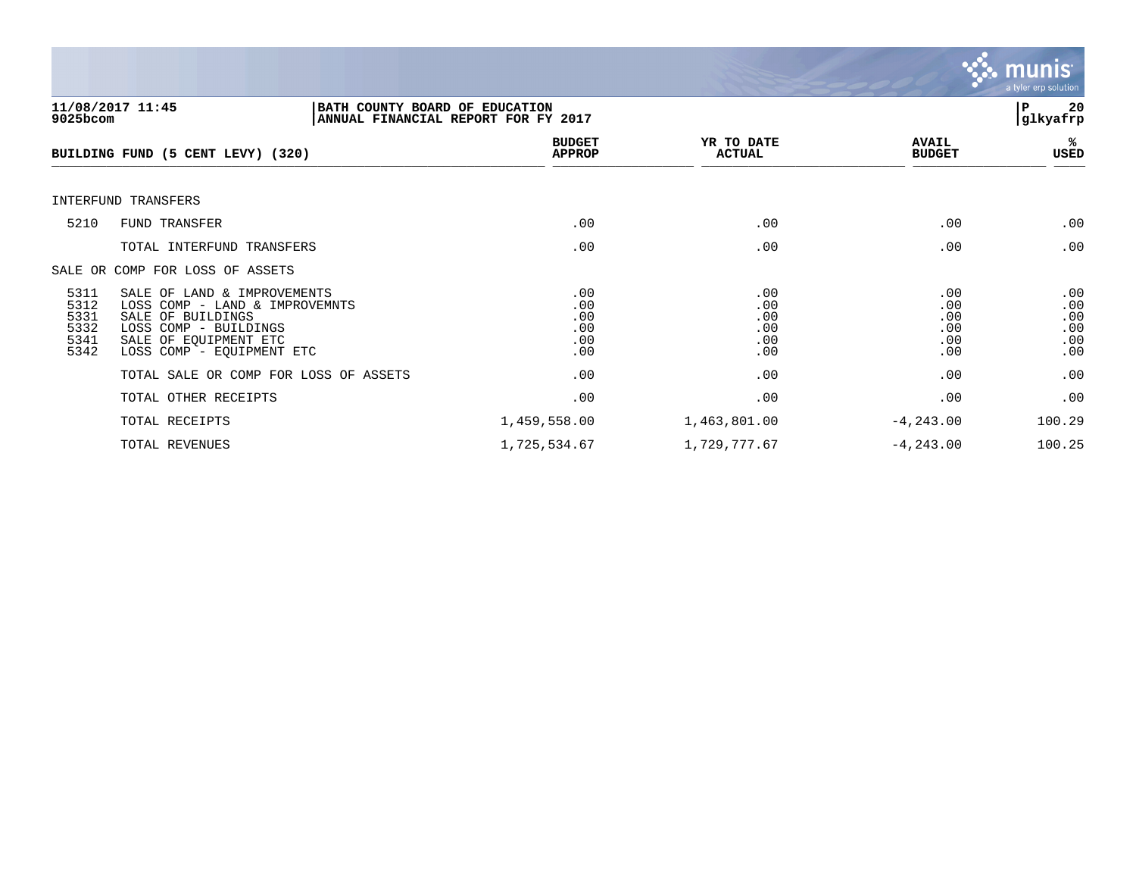

| $9025$ bcom                                  | 11/08/2017 11:45<br>BATH COUNTY BOARD OF EDUCATION<br>ANNUAL FINANCIAL REPORT FOR FY 2017                                                                         |                                             |                                        |                                        | 20<br>P<br>glkyafrp                    |
|----------------------------------------------|-------------------------------------------------------------------------------------------------------------------------------------------------------------------|---------------------------------------------|----------------------------------------|----------------------------------------|----------------------------------------|
|                                              | BUILDING FUND (5 CENT LEVY) (320)                                                                                                                                 | <b>BUDGET</b><br><b>APPROP</b>              | YR TO DATE<br><b>ACTUAL</b>            | <b>AVAIL</b><br><b>BUDGET</b>          | %ะ<br>USED                             |
|                                              | INTERFUND TRANSFERS                                                                                                                                               |                                             |                                        |                                        |                                        |
| 5210                                         | FUND TRANSFER                                                                                                                                                     | .00                                         | .00                                    | .00                                    | .00                                    |
|                                              | TOTAL INTERFUND TRANSFERS                                                                                                                                         | .00                                         | .00                                    | .00                                    | .00                                    |
|                                              | SALE OR COMP FOR LOSS OF ASSETS                                                                                                                                   |                                             |                                        |                                        |                                        |
| 5311<br>5312<br>5331<br>5332<br>5341<br>5342 | SALE OF LAND & IMPROVEMENTS<br>LOSS COMP - LAND & IMPROVEMNTS<br>SALE OF BUILDINGS<br>LOSS COMP - BUILDINGS<br>SALE OF EQUIPMENT ETC<br>LOSS COMP - EQUIPMENT ETC | .00<br>.00<br>.00<br>.00<br>.00<br>$.00 \,$ | .00<br>.00<br>.00<br>.00<br>.00<br>.00 | .00<br>.00<br>.00<br>.00<br>.00<br>.00 | .00<br>.00<br>.00<br>.00<br>.00<br>.00 |
|                                              | TOTAL SALE OR COMP FOR LOSS OF ASSETS                                                                                                                             | .00                                         | .00                                    | .00                                    | .00                                    |
|                                              | TOTAL OTHER RECEIPTS                                                                                                                                              | .00                                         | .00                                    | .00                                    | .00                                    |
|                                              | TOTAL RECEIPTS                                                                                                                                                    | 1,459,558.00                                | 1,463,801.00                           | $-4, 243.00$                           | 100.29                                 |
|                                              | TOTAL REVENUES                                                                                                                                                    | 1,725,534.67                                | 1,729,777.67                           | $-4, 243.00$                           | 100.25                                 |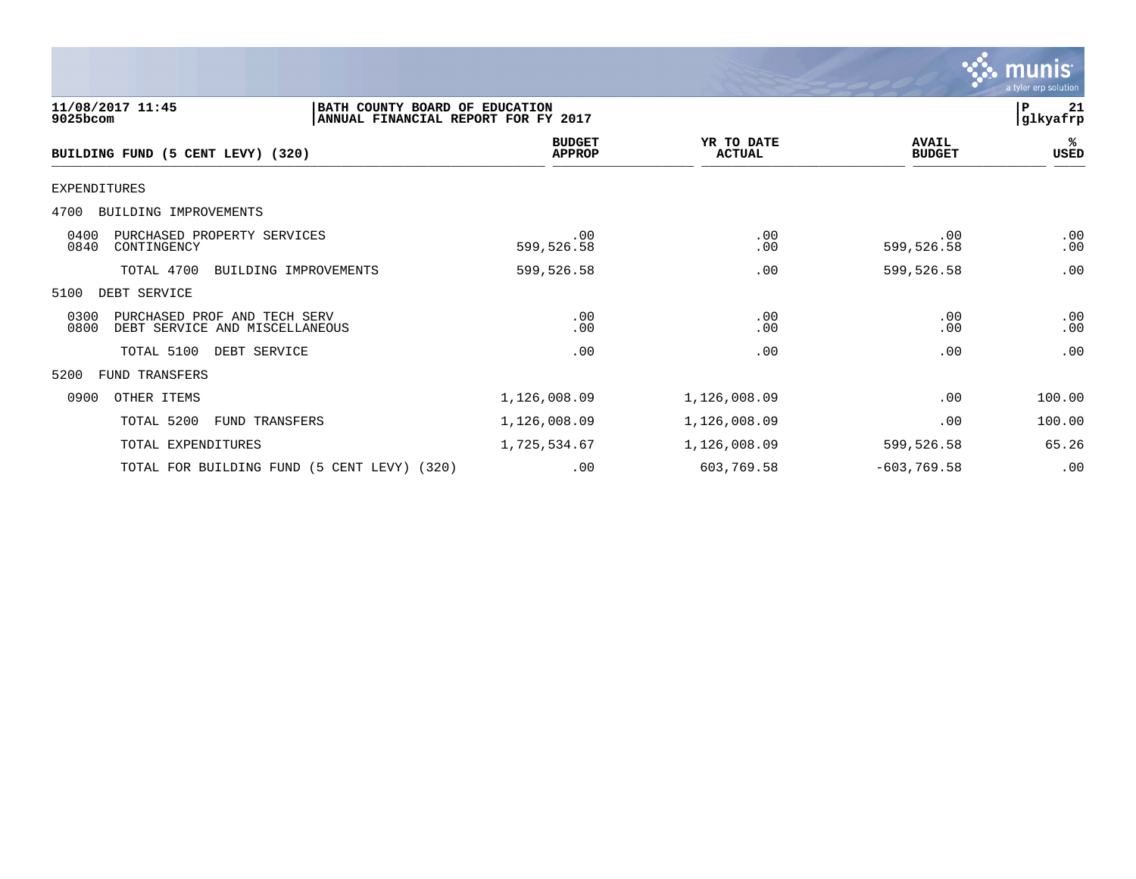|                                                                                                       |                                |                             |                               | a tyler erp solution |
|-------------------------------------------------------------------------------------------------------|--------------------------------|-----------------------------|-------------------------------|----------------------|
| 11/08/2017 11:45<br>BATH COUNTY BOARD OF EDUCATION<br>9025bcom<br>ANNUAL FINANCIAL REPORT FOR FY 2017 |                                |                             |                               | 21<br>P<br>glkyafrp  |
| BUILDING FUND (5 CENT LEVY) (320)                                                                     | <b>BUDGET</b><br><b>APPROP</b> | YR TO DATE<br><b>ACTUAL</b> | <b>AVAIL</b><br><b>BUDGET</b> | %<br>USED            |
| <b>EXPENDITURES</b>                                                                                   |                                |                             |                               |                      |
| BUILDING IMPROVEMENTS<br>4700                                                                         |                                |                             |                               |                      |
| 0400<br>PURCHASED PROPERTY SERVICES<br>0840<br>CONTINGENCY                                            | .00<br>599,526.58              | .00<br>.00                  | .00<br>599,526.58             | .00<br>.00           |
| TOTAL 4700<br>BUILDING IMPROVEMENTS                                                                   | 599,526.58                     | .00                         | 599,526.58                    | .00                  |
| DEBT SERVICE<br>5100                                                                                  |                                |                             |                               |                      |
| 0300<br>PURCHASED PROF AND TECH SERV<br>0800<br>DEBT SERVICE AND MISCELLANEOUS                        | .00<br>.00                     | .00<br>.00                  | .00<br>.00                    | .00<br>.00           |
| TOTAL 5100<br>DEBT SERVICE                                                                            | .00                            | .00                         | .00                           | .00                  |
| FUND TRANSFERS<br>5200                                                                                |                                |                             |                               |                      |
| OTHER ITEMS<br>0900                                                                                   | 1,126,008.09                   | 1,126,008.09                | .00                           | 100.00               |
| TOTAL 5200<br>FUND TRANSFERS                                                                          | 1,126,008.09                   | 1,126,008.09                | .00                           | 100.00               |
| TOTAL EXPENDITURES                                                                                    | 1,725,534.67                   | 1,126,008.09                | 599,526.58                    | 65.26                |
| TOTAL FOR BUILDING FUND (5 CENT LEVY) (320)                                                           | .00                            | 603,769.58                  | $-603, 769.58$                | .00                  |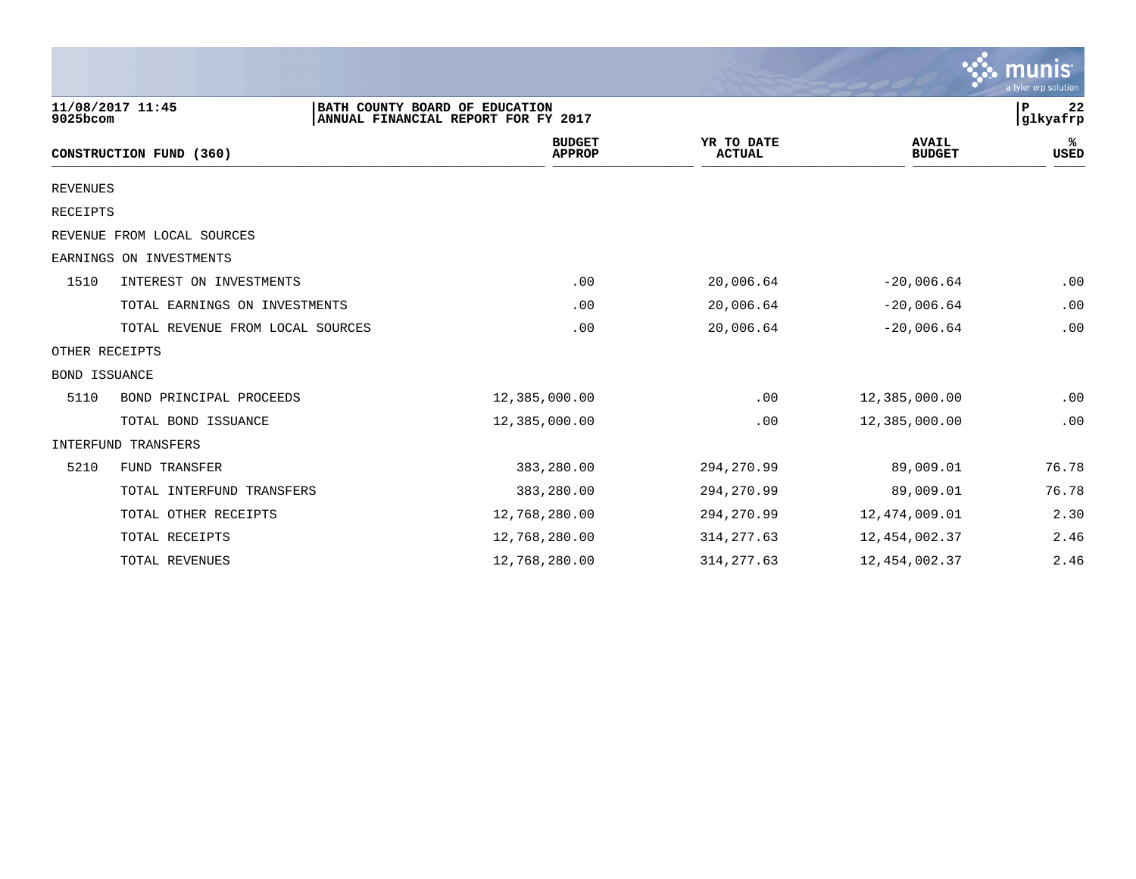|                 |                                  |                                                                       |                             |                      | munis<br>a tyler erp solution               |
|-----------------|----------------------------------|-----------------------------------------------------------------------|-----------------------------|----------------------|---------------------------------------------|
| 9025bcom        | 11/08/2017 11:45                 | BATH COUNTY BOARD OF EDUCATION<br>ANNUAL FINANCIAL REPORT FOR FY 2017 |                             |                      | 22<br>P<br>glkyafrp                         |
|                 | CONSTRUCTION FUND (360)          | <b>BUDGET</b><br><b>APPROP</b>                                        | YR TO DATE<br><b>ACTUAL</b> |                      | <b>AVAIL</b><br>%ะ<br><b>BUDGET</b><br>USED |
| <b>REVENUES</b> |                                  |                                                                       |                             |                      |                                             |
| <b>RECEIPTS</b> |                                  |                                                                       |                             |                      |                                             |
|                 | REVENUE FROM LOCAL SOURCES       |                                                                       |                             |                      |                                             |
|                 | EARNINGS ON INVESTMENTS          |                                                                       |                             |                      |                                             |
| 1510            | INTEREST ON INVESTMENTS          | .00                                                                   | 20,006.64                   |                      | $-20,006.64$<br>.00                         |
|                 | TOTAL EARNINGS ON INVESTMENTS    | .00                                                                   | 20,006.64                   |                      | .00<br>$-20,006.64$                         |
|                 | TOTAL REVENUE FROM LOCAL SOURCES | .00                                                                   | 20,006.64                   |                      | .00<br>$-20,006.64$                         |
| OTHER RECEIPTS  |                                  |                                                                       |                             |                      |                                             |
| BOND ISSUANCE   |                                  |                                                                       |                             |                      |                                             |
| 5110            | BOND PRINCIPAL PROCEEDS          | 12,385,000.00                                                         |                             | .00<br>12,385,000.00 | .00                                         |
|                 | TOTAL BOND ISSUANCE              | 12,385,000.00                                                         |                             | .00<br>12,385,000.00 | .00                                         |
|                 | <b>INTERFUND TRANSFERS</b>       |                                                                       |                             |                      |                                             |
| 5210            | <b>FUND TRANSFER</b>             | 383,280.00                                                            | 294, 270.99                 |                      | 76.78<br>89,009.01                          |
|                 | TOTAL INTERFUND TRANSFERS        | 383,280.00                                                            | 294, 270.99                 |                      | 89,009.01<br>76.78                          |
|                 | TOTAL OTHER RECEIPTS             | 12,768,280.00                                                         | 294, 270.99                 | 12,474,009.01        | 2.30                                        |
|                 | TOTAL RECEIPTS                   | 12,768,280.00                                                         | 314, 277.63                 | 12,454,002.37        | 2.46                                        |
|                 | TOTAL REVENUES                   | 12,768,280.00                                                         | 314, 277.63                 | 12,454,002.37        | 2.46                                        |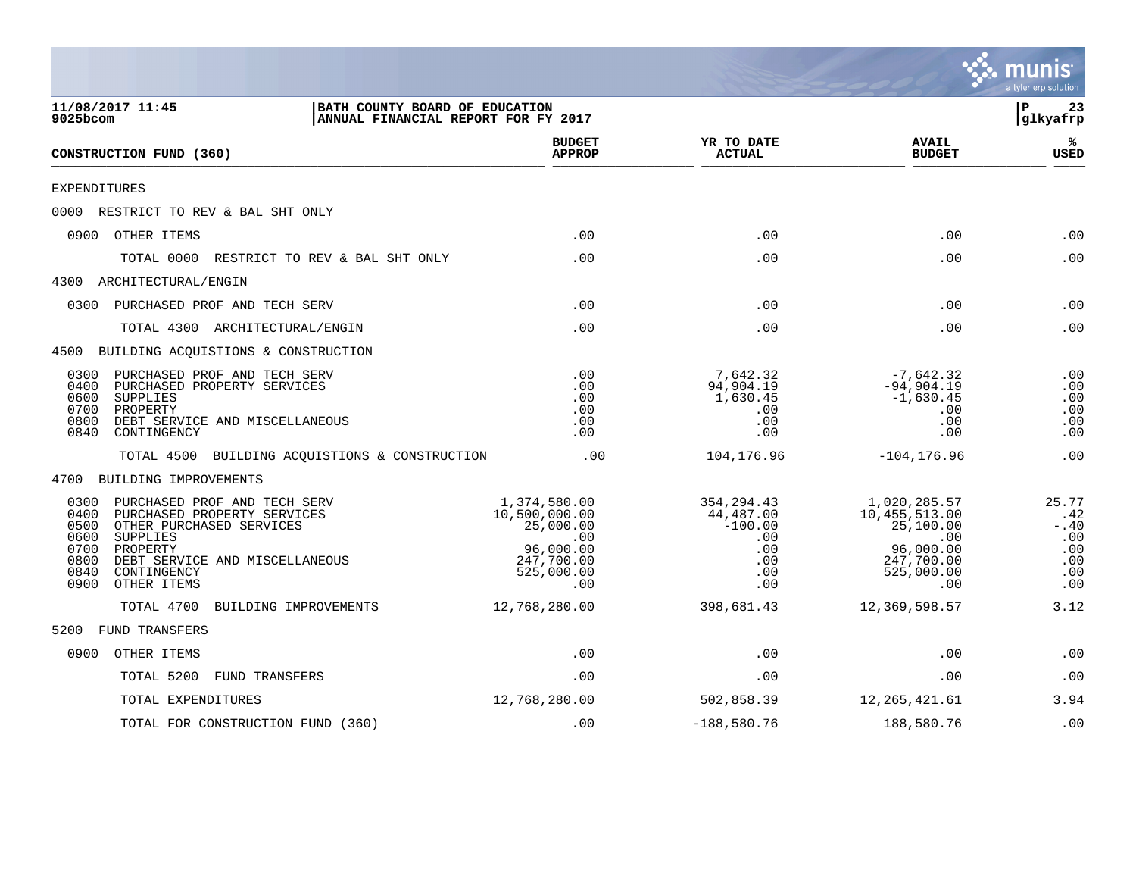|                                                                                                                                                                                                                                                 |                                                                                     |                                        |                                                                          |                                                                                                   | munis<br>a tyler erp solution                              |
|-------------------------------------------------------------------------------------------------------------------------------------------------------------------------------------------------------------------------------------------------|-------------------------------------------------------------------------------------|----------------------------------------|--------------------------------------------------------------------------|---------------------------------------------------------------------------------------------------|------------------------------------------------------------|
| 11/08/2017 11:45<br>9025bcom                                                                                                                                                                                                                    | BATH COUNTY BOARD OF EDUCATION<br>ANNUAL FINANCIAL REPORT FOR FY 2017               |                                        |                                                                          |                                                                                                   | lР<br>23<br> glkyafrp                                      |
| CONSTRUCTION FUND (360)                                                                                                                                                                                                                         |                                                                                     | <b>BUDGET</b><br><b>APPROP</b>         | YR TO DATE<br><b>ACTUAL</b>                                              | <b>AVAIL</b><br><b>BUDGET</b>                                                                     | ℁<br><b>USED</b>                                           |
| EXPENDITURES                                                                                                                                                                                                                                    |                                                                                     |                                        |                                                                          |                                                                                                   |                                                            |
| 0000 RESTRICT TO REV & BAL SHT ONLY                                                                                                                                                                                                             |                                                                                     |                                        |                                                                          |                                                                                                   |                                                            |
| 0900 OTHER ITEMS                                                                                                                                                                                                                                |                                                                                     | .00                                    | .00                                                                      | .00                                                                                               | .00                                                        |
| TOTAL 0000<br>RESTRICT TO REV & BAL SHT ONLY                                                                                                                                                                                                    |                                                                                     | .00                                    | .00                                                                      | .00                                                                                               | .00                                                        |
| 4300 ARCHITECTURAL/ENGIN                                                                                                                                                                                                                        |                                                                                     |                                        |                                                                          |                                                                                                   |                                                            |
| PURCHASED PROF AND TECH SERV<br>0300                                                                                                                                                                                                            |                                                                                     | .00                                    | .00                                                                      | .00                                                                                               | .00                                                        |
| TOTAL 4300 ARCHITECTURAL/ENGIN                                                                                                                                                                                                                  |                                                                                     | .00                                    | .00                                                                      | .00                                                                                               | .00                                                        |
| 4500 BUILDING ACQUISTIONS & CONSTRUCTION                                                                                                                                                                                                        |                                                                                     |                                        |                                                                          |                                                                                                   |                                                            |
| PURCHASED PROF AND TECH SERV<br>0300<br>0400<br>PURCHASED PROPERTY SERVICES<br>0600<br>SUPPLIES<br>0700<br>PROPERTY<br>0800<br>DEBT SERVICE AND MISCELLANEOUS<br>0840<br>CONTINGENCY                                                            |                                                                                     | .00<br>.00<br>.00<br>.00<br>.00<br>.00 | 7,642.32<br>94,904.19<br>1,630.45<br>.00<br>.00<br>.00                   | $-7,642.32$<br>$-94,904.19$<br>$-1,630.45$<br>.00<br>.00<br>.00                                   | .00<br>.00<br>.00<br>.00<br>.00<br>.00                     |
| TOTAL 4500 BUILDING ACQUISTIONS & CONSTRUCTION                                                                                                                                                                                                  |                                                                                     | .00                                    | 104,176.96                                                               | $-104, 176.96$                                                                                    | .00                                                        |
| 4700 BUILDING IMPROVEMENTS                                                                                                                                                                                                                      |                                                                                     |                                        |                                                                          |                                                                                                   |                                                            |
| PURCHASED PROF AND TECH SERV<br>0300<br>0400<br>PURCHASED PROPERTY SERVICES<br>0500<br>OTHER PURCHASED SERVICES<br>0600<br>SUPPLIES<br>0700<br>PROPERTY<br>0800<br>DEBT SERVICE AND MISCELLANEOUS<br>0840<br>CONTINGENCY<br>OTHER ITEMS<br>0900 | 1,374,580.00<br>10,500,000.00<br>25,000.00<br>96,000.00<br>247,700.00<br>525,000.00 | .00<br>.00                             | 354, 294.43<br>44,487.00<br>$-100.00$<br>.00<br>.00<br>.00<br>.00<br>.00 | 1,020,285.57<br>10,455,513.00<br>25,100.00<br>.00<br>96,000.00<br>247,700.00<br>525,000.00<br>.00 | 25.77<br>.42<br>$- .40$<br>.00<br>.00<br>.00<br>.00<br>.00 |
| TOTAL 4700<br>BUILDING IMPROVEMENTS                                                                                                                                                                                                             | 12,768,280.00                                                                       |                                        | 398,681.43                                                               | 12,369,598.57                                                                                     | 3.12                                                       |
| FUND TRANSFERS<br>5200                                                                                                                                                                                                                          |                                                                                     |                                        |                                                                          |                                                                                                   |                                                            |
| OTHER ITEMS<br>0900                                                                                                                                                                                                                             |                                                                                     | .00                                    | .00                                                                      | .00                                                                                               | .00                                                        |
| TOTAL 5200<br><b>FUND TRANSFERS</b>                                                                                                                                                                                                             |                                                                                     | .00                                    | .00                                                                      | .00                                                                                               | .00                                                        |
| TOTAL EXPENDITURES                                                                                                                                                                                                                              | 12,768,280.00                                                                       |                                        | 502,858.39                                                               | 12,265,421.61                                                                                     | 3.94                                                       |
| TOTAL FOR CONSTRUCTION FUND (360)                                                                                                                                                                                                               |                                                                                     | .00                                    | $-188,580.76$                                                            | 188,580.76                                                                                        | .00                                                        |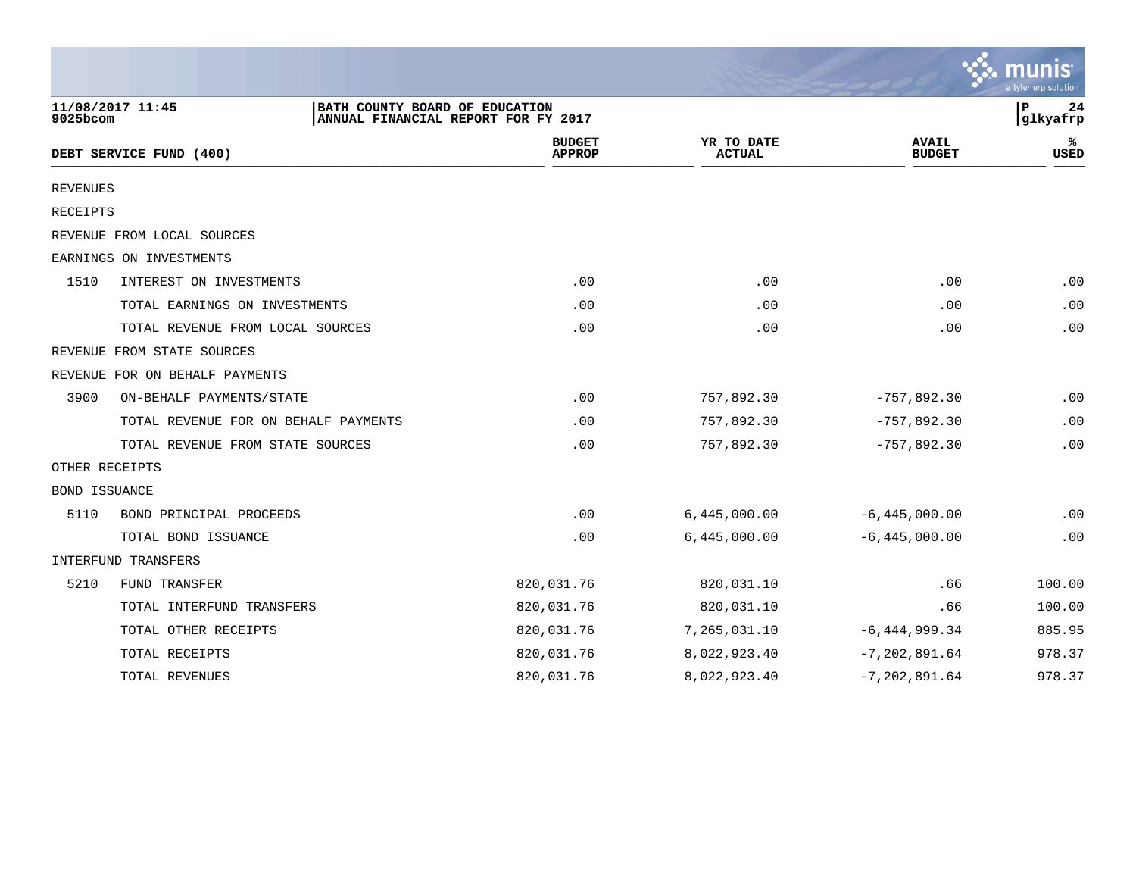|                 |                                      |                                                                       |                             |                               | a tyler erp solution |
|-----------------|--------------------------------------|-----------------------------------------------------------------------|-----------------------------|-------------------------------|----------------------|
| 9025bcom        | 11/08/2017 11:45                     | BATH COUNTY BOARD OF EDUCATION<br>ANNUAL FINANCIAL REPORT FOR FY 2017 |                             |                               | ΙP<br>24<br>glkyafrp |
|                 | DEBT SERVICE FUND (400)              | <b>BUDGET</b><br><b>APPROP</b>                                        | YR TO DATE<br><b>ACTUAL</b> | <b>AVAIL</b><br><b>BUDGET</b> | ℁<br>USED            |
| <b>REVENUES</b> |                                      |                                                                       |                             |                               |                      |
| RECEIPTS        |                                      |                                                                       |                             |                               |                      |
|                 | REVENUE FROM LOCAL SOURCES           |                                                                       |                             |                               |                      |
|                 | EARNINGS ON INVESTMENTS              |                                                                       |                             |                               |                      |
| 1510            | INTEREST ON INVESTMENTS              | .00                                                                   | .00                         | .00                           | .00                  |
|                 | TOTAL EARNINGS ON INVESTMENTS        | .00                                                                   | .00                         | .00                           | .00                  |
|                 | TOTAL REVENUE FROM LOCAL SOURCES     | .00                                                                   | .00                         | .00                           | .00                  |
|                 | REVENUE FROM STATE SOURCES           |                                                                       |                             |                               |                      |
|                 | REVENUE FOR ON BEHALF PAYMENTS       |                                                                       |                             |                               |                      |
| 3900            | ON-BEHALF PAYMENTS/STATE             | .00                                                                   | 757,892.30                  | $-757,892.30$                 | .00                  |
|                 | TOTAL REVENUE FOR ON BEHALF PAYMENTS | .00                                                                   | 757,892.30                  | $-757,892.30$                 | .00                  |
|                 | TOTAL REVENUE FROM STATE SOURCES     | .00                                                                   | 757,892.30                  | $-757,892.30$                 | .00                  |
| OTHER RECEIPTS  |                                      |                                                                       |                             |                               |                      |
| BOND ISSUANCE   |                                      |                                                                       |                             |                               |                      |
| 5110            | BOND PRINCIPAL PROCEEDS              | .00                                                                   | 6,445,000.00                | $-6, 445, 000.00$             | .00                  |
|                 | TOTAL BOND ISSUANCE                  | .00                                                                   | 6,445,000.00                | $-6, 445, 000.00$             | .00                  |
|                 | INTERFUND TRANSFERS                  |                                                                       |                             |                               |                      |
| 5210            | FUND TRANSFER                        | 820,031.76                                                            | 820,031.10                  | .66                           | 100.00               |
|                 | TOTAL INTERFUND TRANSFERS            | 820,031.76                                                            | 820,031.10                  | .66                           | 100.00               |
|                 | TOTAL OTHER RECEIPTS                 | 820,031.76                                                            | 7,265,031.10                | $-6, 444, 999.34$             | 885.95               |
|                 | TOTAL RECEIPTS                       | 820,031.76                                                            | 8,022,923.40                | $-7, 202, 891.64$             | 978.37               |
|                 | TOTAL REVENUES                       | 820,031.76                                                            | 8,022,923.40                | $-7, 202, 891.64$             | 978.37               |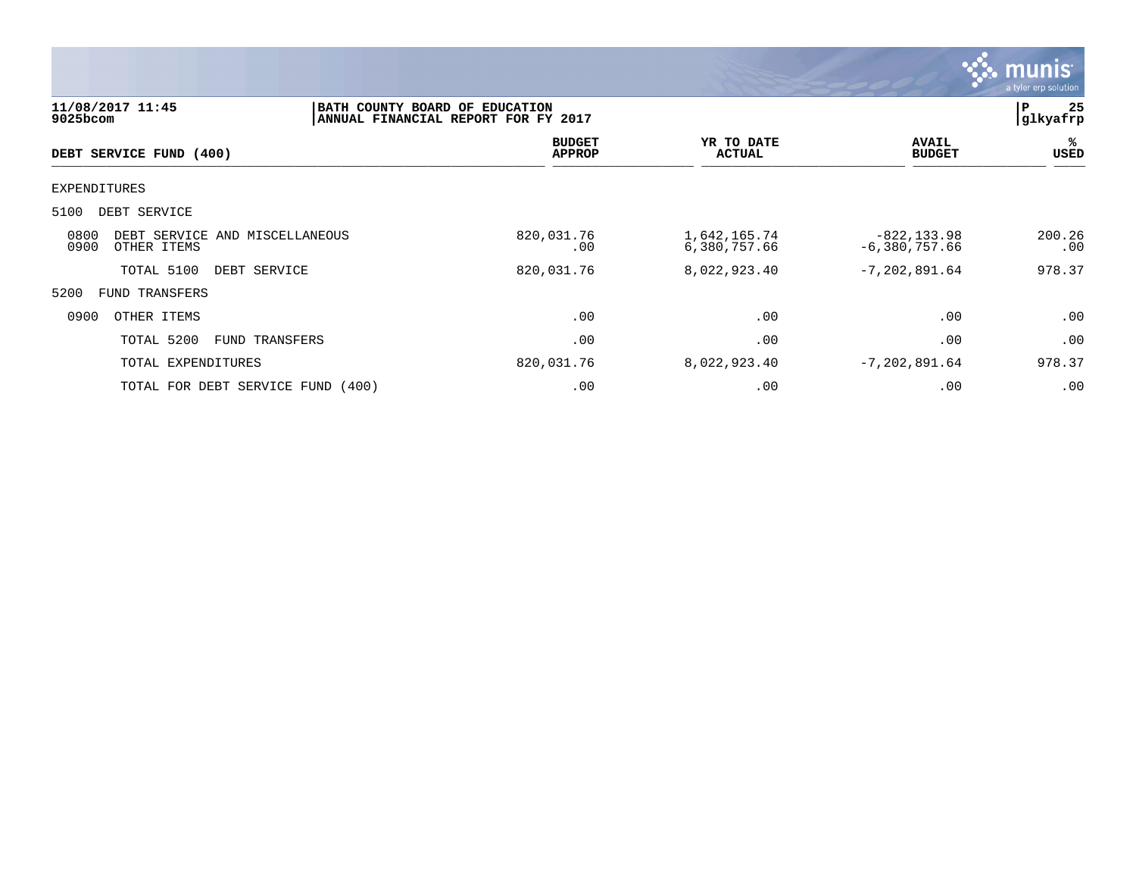

| 11/08/2017 11:45<br>9025bcom                                  | BATH COUNTY BOARD OF EDUCATION | ANNUAL FINANCIAL REPORT FOR FY 2017 |                              |                                   | 25<br>P<br> glkyafrp |
|---------------------------------------------------------------|--------------------------------|-------------------------------------|------------------------------|-----------------------------------|----------------------|
| DEBT SERVICE FUND (400)                                       |                                | <b>BUDGET</b><br><b>APPROP</b>      | YR TO DATE<br><b>ACTUAL</b>  | <b>AVAIL</b><br><b>BUDGET</b>     | ℁<br>USED            |
| <b>EXPENDITURES</b>                                           |                                |                                     |                              |                                   |                      |
| 5100<br>DEBT SERVICE                                          |                                |                                     |                              |                                   |                      |
| 0800<br>DEBT SERVICE AND MISCELLANEOUS<br>0900<br>OTHER ITEMS |                                | 820,031.76<br>.00                   | 1,642,165.74<br>6,380,757.66 | $-822, 133.98$<br>$-6,380,757.66$ | 200.26<br>.00        |
| TOTAL 5100<br>DEBT SERVICE                                    |                                | 820,031.76                          | 8,022,923.40                 | $-7, 202, 891.64$                 | 978.37               |
| 5200<br><b>FUND TRANSFERS</b>                                 |                                |                                     |                              |                                   |                      |
| 0900<br>OTHER ITEMS                                           |                                | .00                                 | .00                          | .00                               | .00                  |
| TOTAL 5200                                                    | FUND TRANSFERS                 | .00                                 | .00                          | .00                               | .00                  |
| TOTAL EXPENDITURES                                            |                                | 820,031.76                          | 8,022,923.40                 | $-7, 202, 891.64$                 | 978.37               |
| TOTAL FOR DEBT SERVICE FUND (400)                             |                                | .00                                 | .00                          | .00                               | .00                  |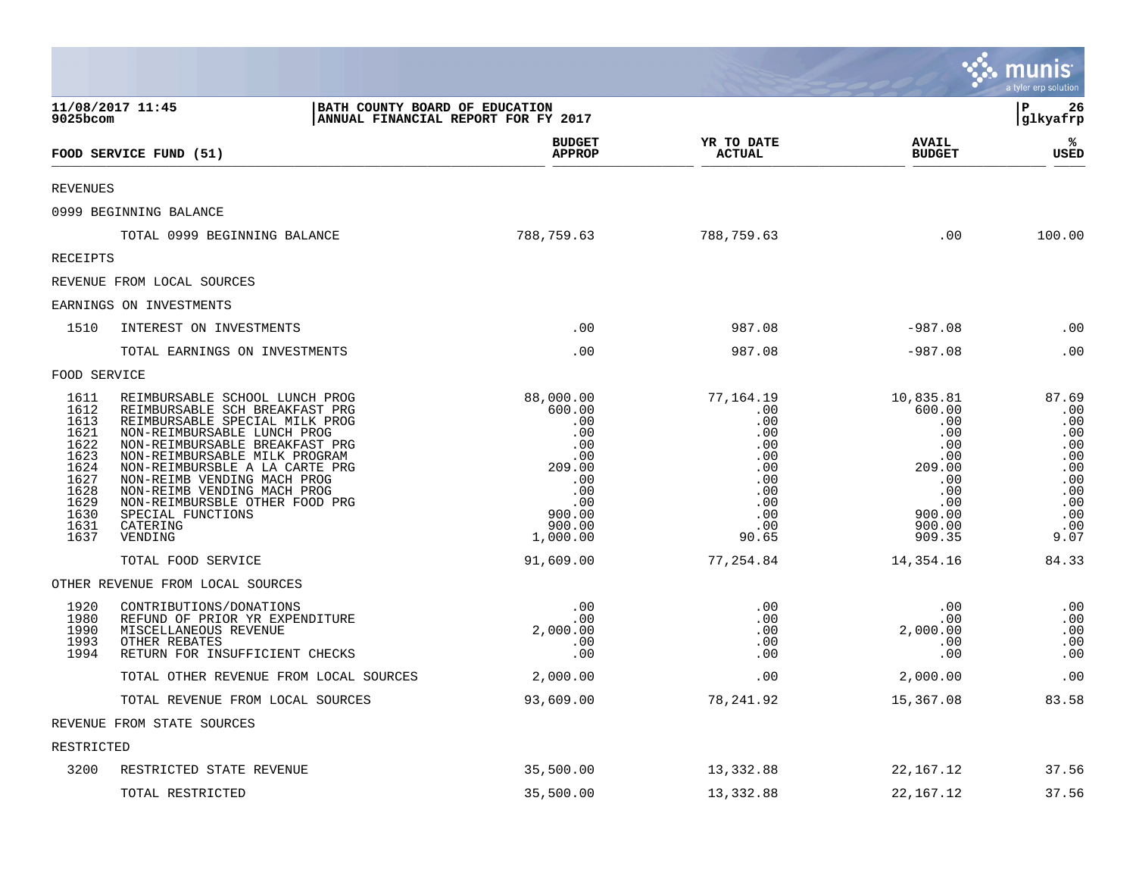|                                                                                                      |                                                                                                                                                                                                                                                                                                                                                                                    |                                                                                                                |                                                                                                 |                                                                                                              | <b>W. munis</b><br>a tyler erp solution                                                    |
|------------------------------------------------------------------------------------------------------|------------------------------------------------------------------------------------------------------------------------------------------------------------------------------------------------------------------------------------------------------------------------------------------------------------------------------------------------------------------------------------|----------------------------------------------------------------------------------------------------------------|-------------------------------------------------------------------------------------------------|--------------------------------------------------------------------------------------------------------------|--------------------------------------------------------------------------------------------|
| $9025$ bcom                                                                                          | 11/08/2017 11:45<br>BATH COUNTY BOARD OF EDUCATION<br>ANNUAL FINANCIAL REPORT FOR FY 2017                                                                                                                                                                                                                                                                                          |                                                                                                                |                                                                                                 |                                                                                                              | l P<br>26<br> glkyafrp                                                                     |
|                                                                                                      | FOOD SERVICE FUND (51)                                                                                                                                                                                                                                                                                                                                                             | <b>BUDGET</b><br><b>APPROP</b>                                                                                 | YR TO DATE<br><b>ACTUAL</b>                                                                     | <b>AVAIL</b><br><b>BUDGET</b>                                                                                | ℁<br><b>USED</b>                                                                           |
| <b>REVENUES</b>                                                                                      |                                                                                                                                                                                                                                                                                                                                                                                    |                                                                                                                |                                                                                                 |                                                                                                              |                                                                                            |
|                                                                                                      | 0999 BEGINNING BALANCE                                                                                                                                                                                                                                                                                                                                                             |                                                                                                                |                                                                                                 |                                                                                                              |                                                                                            |
|                                                                                                      | TOTAL 0999 BEGINNING BALANCE                                                                                                                                                                                                                                                                                                                                                       | 788,759.63                                                                                                     | 788,759.63                                                                                      | .00                                                                                                          | 100.00                                                                                     |
| <b>RECEIPTS</b>                                                                                      |                                                                                                                                                                                                                                                                                                                                                                                    |                                                                                                                |                                                                                                 |                                                                                                              |                                                                                            |
|                                                                                                      | REVENUE FROM LOCAL SOURCES                                                                                                                                                                                                                                                                                                                                                         |                                                                                                                |                                                                                                 |                                                                                                              |                                                                                            |
|                                                                                                      | EARNINGS ON INVESTMENTS                                                                                                                                                                                                                                                                                                                                                            |                                                                                                                |                                                                                                 |                                                                                                              |                                                                                            |
| 1510                                                                                                 | INTEREST ON INVESTMENTS                                                                                                                                                                                                                                                                                                                                                            | .00                                                                                                            | 987.08                                                                                          | $-987.08$                                                                                                    | .00                                                                                        |
|                                                                                                      | TOTAL EARNINGS ON INVESTMENTS                                                                                                                                                                                                                                                                                                                                                      | .00                                                                                                            | 987.08                                                                                          | $-987.08$                                                                                                    | .00                                                                                        |
| FOOD SERVICE                                                                                         |                                                                                                                                                                                                                                                                                                                                                                                    |                                                                                                                |                                                                                                 |                                                                                                              |                                                                                            |
| 1611<br>1612<br>1613<br>1621<br>1622<br>1623<br>1624<br>1627<br>1628<br>1629<br>1630<br>1631<br>1637 | REIMBURSABLE SCHOOL LUNCH PROG<br>REIMBURSABLE SCH BREAKFAST PRG<br>REIMBURSABLE SPECIAL MILK PROG<br>NON-REIMBURSABLE LUNCH PROG<br>NON-REIMBURSABLE BREAKFAST PRG<br>NON-REIMBURSABLE MILK PROGRAM<br>NON-REIMBURSBLE A LA CARTE PRG<br>NON-REIMB VENDING MACH PROG<br>NON-REIMB VENDING MACH PROG<br>NON-REIMBURSBLE OTHER FOOD PRG<br>SPECIAL FUNCTIONS<br>CATERING<br>VENDING | 88,000.00<br>600.00<br>.00<br>.00<br>.00<br>.00<br>209.00<br>.00<br>.00<br>.00<br>900.00<br>900.00<br>1,000.00 | 77,164.19<br>.00<br>.00<br>.00<br>.00<br>.00<br>.00<br>.00<br>.00<br>.00<br>.00<br>.00<br>90.65 | 10,835.81<br>600.00<br>.00<br>.00<br>.00<br>.00<br>209.00<br>.00<br>.00<br>.00<br>900.00<br>900.00<br>909.35 | 87.69<br>.00<br>.00<br>.00<br>.00<br>.00<br>.00<br>.00<br>.00<br>.00<br>.00<br>.00<br>9.07 |
|                                                                                                      | TOTAL FOOD SERVICE                                                                                                                                                                                                                                                                                                                                                                 | 91,609.00                                                                                                      | 77,254.84                                                                                       | 14,354.16                                                                                                    | 84.33                                                                                      |
|                                                                                                      | OTHER REVENUE FROM LOCAL SOURCES                                                                                                                                                                                                                                                                                                                                                   |                                                                                                                |                                                                                                 |                                                                                                              |                                                                                            |
| 1920<br>1980<br>1990<br>1993<br>1994                                                                 | CONTRIBUTIONS/DONATIONS<br>REFUND OF PRIOR YR EXPENDITURE<br>MISCELLANEOUS REVENUE<br>OTHER REBATES<br>RETURN FOR INSUFFICIENT CHECKS                                                                                                                                                                                                                                              | .00<br>.00<br>2,000.00<br>.00<br>.00                                                                           | .00<br>.00<br>.00<br>.00<br>.00                                                                 | .00<br>.00<br>2,000.00<br>.00<br>.00                                                                         | .00<br>.00<br>.00<br>.00<br>.00                                                            |
|                                                                                                      | TOTAL OTHER REVENUE FROM LOCAL SOURCES                                                                                                                                                                                                                                                                                                                                             | 2,000.00                                                                                                       | .00                                                                                             | 2,000.00                                                                                                     | .00                                                                                        |
|                                                                                                      | TOTAL REVENUE FROM LOCAL SOURCES                                                                                                                                                                                                                                                                                                                                                   | 93,609.00                                                                                                      | 78,241.92                                                                                       | 15,367.08                                                                                                    | 83.58                                                                                      |
|                                                                                                      | REVENUE FROM STATE SOURCES                                                                                                                                                                                                                                                                                                                                                         |                                                                                                                |                                                                                                 |                                                                                                              |                                                                                            |
| RESTRICTED                                                                                           |                                                                                                                                                                                                                                                                                                                                                                                    |                                                                                                                |                                                                                                 |                                                                                                              |                                                                                            |
| 3200                                                                                                 | RESTRICTED STATE REVENUE                                                                                                                                                                                                                                                                                                                                                           | 35,500.00                                                                                                      | 13,332.88                                                                                       | 22, 167. 12                                                                                                  | 37.56                                                                                      |
|                                                                                                      | TOTAL RESTRICTED                                                                                                                                                                                                                                                                                                                                                                   | 35,500.00                                                                                                      | 13,332.88                                                                                       | 22, 167. 12                                                                                                  | 37.56                                                                                      |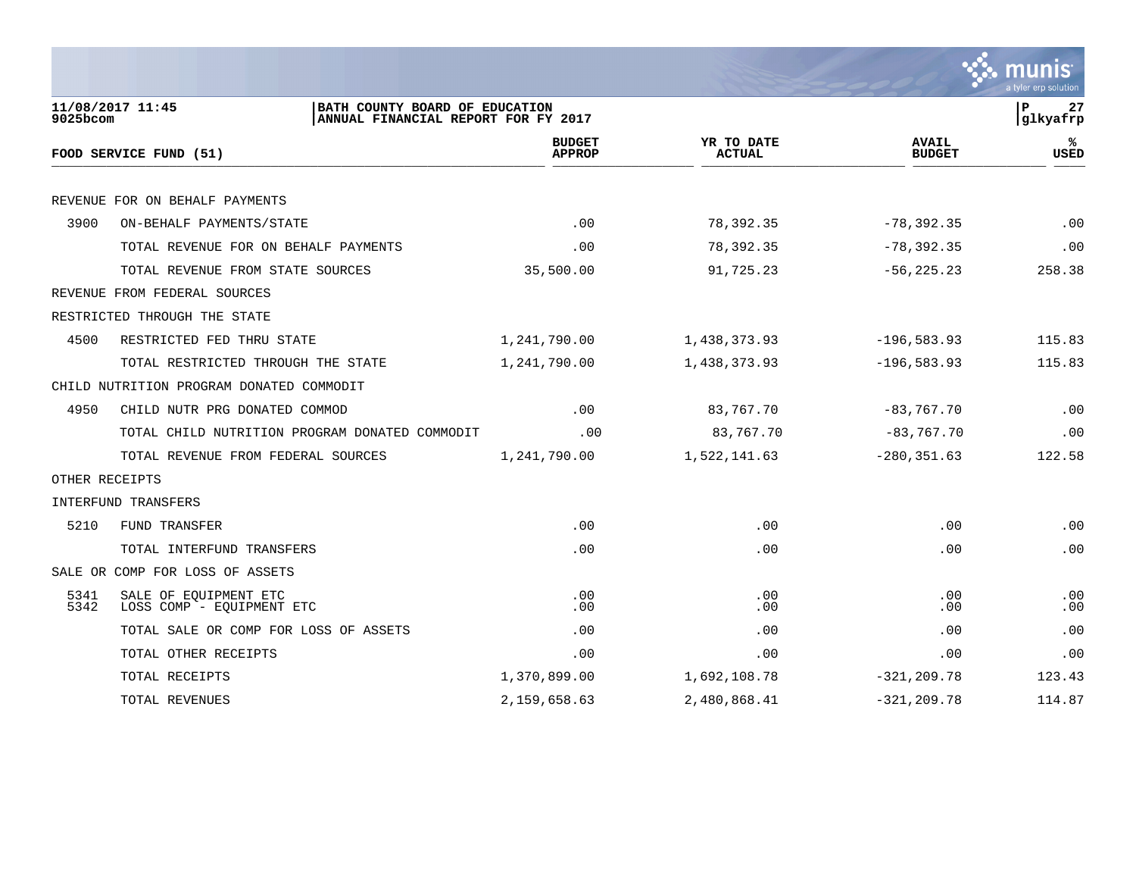|                |                                                                                           |                                |                             |                               | a tyler erp solution |
|----------------|-------------------------------------------------------------------------------------------|--------------------------------|-----------------------------|-------------------------------|----------------------|
| 9025bcom       | 11/08/2017 11:45<br>BATH COUNTY BOARD OF EDUCATION<br>ANNUAL FINANCIAL REPORT FOR FY 2017 |                                |                             |                               | P<br>27<br>glkyafrp  |
|                | FOOD SERVICE FUND (51)                                                                    | <b>BUDGET</b><br><b>APPROP</b> | YR TO DATE<br><b>ACTUAL</b> | <b>AVAIL</b><br><b>BUDGET</b> | ℁<br><b>USED</b>     |
|                | REVENUE FOR ON BEHALF PAYMENTS                                                            |                                |                             |                               |                      |
| 3900           | ON-BEHALF PAYMENTS/STATE                                                                  | .00                            | 78,392.35                   | $-78, 392.35$                 | .00                  |
|                | TOTAL REVENUE FOR ON BEHALF PAYMENTS                                                      | .00                            | 78,392.35                   | $-78, 392.35$                 | .00                  |
|                | TOTAL REVENUE FROM STATE SOURCES                                                          | 35,500.00                      | 91,725.23                   | $-56, 225.23$                 | 258.38               |
|                | REVENUE FROM FEDERAL SOURCES                                                              |                                |                             |                               |                      |
|                | RESTRICTED THROUGH THE STATE                                                              |                                |                             |                               |                      |
| 4500           | RESTRICTED FED THRU STATE                                                                 | 1,241,790.00                   | 1,438,373.93                | $-196,583.93$                 | 115.83               |
|                | TOTAL RESTRICTED THROUGH THE STATE                                                        | 1,241,790.00                   | 1,438,373.93                | $-196, 583.93$                | 115.83               |
|                | CHILD NUTRITION PROGRAM DONATED COMMODIT                                                  |                                |                             |                               |                      |
| 4950           | CHILD NUTR PRG DONATED COMMOD                                                             | .00                            | 83,767.70                   | $-83,767.70$                  | .00                  |
|                | TOTAL CHILD NUTRITION PROGRAM DONATED COMMODIT                                            | .00                            | 83,767.70                   | $-83, 767.70$                 | .00                  |
|                | TOTAL REVENUE FROM FEDERAL SOURCES                                                        | 1,241,790.00                   | 1,522,141.63                | $-280, 351.63$                | 122.58               |
| OTHER RECEIPTS |                                                                                           |                                |                             |                               |                      |
|                | INTERFUND TRANSFERS                                                                       |                                |                             |                               |                      |
| 5210           | FUND TRANSFER                                                                             | .00                            | .00                         | .00                           | .00                  |
|                | TOTAL INTERFUND TRANSFERS                                                                 | .00                            | .00                         | .00                           | .00                  |
|                | SALE OR COMP FOR LOSS OF ASSETS                                                           |                                |                             |                               |                      |
| 5341<br>5342   | SALE OF EQUIPMENT ETC<br>LOSS COMP - EQUIPMENT ETC                                        | .00<br>.00                     | .00<br>.00                  | .00<br>.00                    | .00<br>.00           |
|                | TOTAL SALE OR COMP FOR LOSS OF ASSETS                                                     | .00                            | .00                         | .00                           | .00                  |
|                | TOTAL OTHER RECEIPTS                                                                      | .00                            | .00                         | .00                           | .00                  |
|                | TOTAL RECEIPTS                                                                            | 1,370,899.00                   | 1,692,108.78                | $-321, 209.78$                | 123.43               |
|                | TOTAL REVENUES                                                                            | 2,159,658.63                   | 2,480,868.41                | $-321, 209.78$                | 114.87               |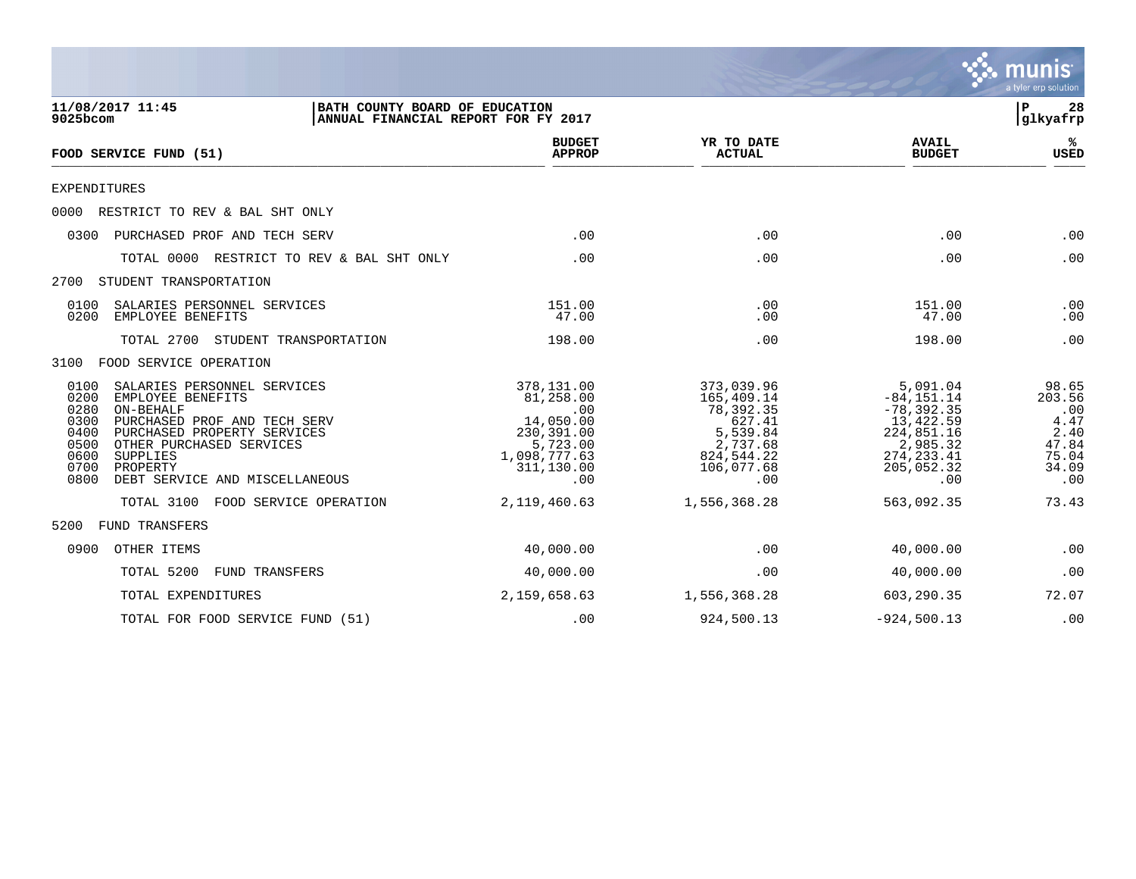

| 11/08/2017 11:45<br>BATH COUNTY BOARD OF EDUCATION<br>9025bcom<br>ANNUAL FINANCIAL REPORT FOR FY 2017                                                                                                                                                                                      |                                                                                                            |                                                                                                            | 28<br>$\mathbf{P}$<br>glkyafrp                                                                                        |                                                                          |  |
|--------------------------------------------------------------------------------------------------------------------------------------------------------------------------------------------------------------------------------------------------------------------------------------------|------------------------------------------------------------------------------------------------------------|------------------------------------------------------------------------------------------------------------|-----------------------------------------------------------------------------------------------------------------------|--------------------------------------------------------------------------|--|
| FOOD SERVICE FUND (51)                                                                                                                                                                                                                                                                     | <b>BUDGET</b><br><b>APPROP</b>                                                                             | YR TO DATE<br><b>ACTUAL</b>                                                                                | <b>AVAIL</b><br><b>BUDGET</b>                                                                                         | %ะ<br><b>USED</b>                                                        |  |
| <b>EXPENDITURES</b>                                                                                                                                                                                                                                                                        |                                                                                                            |                                                                                                            |                                                                                                                       |                                                                          |  |
| 0000 RESTRICT TO REV & BAL SHT ONLY                                                                                                                                                                                                                                                        |                                                                                                            |                                                                                                            |                                                                                                                       |                                                                          |  |
| PURCHASED PROF AND TECH SERV<br>0300                                                                                                                                                                                                                                                       | .00                                                                                                        | .00                                                                                                        | .00                                                                                                                   | .00                                                                      |  |
| TOTAL 0000<br>RESTRICT TO REV & BAL SHT ONLY                                                                                                                                                                                                                                               | .00                                                                                                        | .00                                                                                                        | .00                                                                                                                   | .00                                                                      |  |
| 2700<br>STUDENT TRANSPORTATION                                                                                                                                                                                                                                                             |                                                                                                            |                                                                                                            |                                                                                                                       |                                                                          |  |
| 0100<br>SALARIES PERSONNEL SERVICES<br>0200<br>EMPLOYEE BENEFITS                                                                                                                                                                                                                           | 151.00<br>47.00                                                                                            | .00<br>.00                                                                                                 | 151.00<br>47.00                                                                                                       | .00<br>.00                                                               |  |
| TOTAL 2700<br>STUDENT TRANSPORTATION                                                                                                                                                                                                                                                       | 198.00                                                                                                     | .00                                                                                                        | 198.00                                                                                                                | .00                                                                      |  |
| 3100<br>FOOD SERVICE OPERATION                                                                                                                                                                                                                                                             |                                                                                                            |                                                                                                            |                                                                                                                       |                                                                          |  |
| 0100<br>SALARIES PERSONNEL SERVICES<br>0200<br>EMPLOYEE BENEFITS<br>0280<br>ON-BEHALF<br>0300<br>PURCHASED PROF AND TECH SERV<br>0400<br>PURCHASED PROPERTY SERVICES<br>0500<br>OTHER PURCHASED SERVICES<br>0600<br>SUPPLIES<br>0700<br>PROPERTY<br>0800<br>DEBT SERVICE AND MISCELLANEOUS | 378,131.00<br>81,258.00<br>.00<br>14,050.00<br>230,391.00<br>5,723.00<br>1,098,777.63<br>311,130.00<br>.00 | 373,039.96<br>165,409.14<br>78,392.35<br>627.41<br>5,539.84<br>2,737.68<br>824,544.22<br>106,077.68<br>.00 | 5,091.04<br>$-84, 151.14$<br>$-78, 392.35$<br>13,422.59<br>224,851.16<br>2,985.32<br>274, 233.41<br>205,052.32<br>.00 | 98.65<br>203.56<br>.00<br>4.47<br>2.40<br>47.84<br>75.04<br>34.09<br>.00 |  |
| TOTAL 3100<br>FOOD SERVICE OPERATION                                                                                                                                                                                                                                                       | 2,119,460.63                                                                                               | 1,556,368.28                                                                                               | 563,092.35                                                                                                            | 73.43                                                                    |  |
| 5200<br>FUND TRANSFERS                                                                                                                                                                                                                                                                     |                                                                                                            |                                                                                                            |                                                                                                                       |                                                                          |  |
| 0900<br>OTHER ITEMS                                                                                                                                                                                                                                                                        | 40,000.00                                                                                                  | .00                                                                                                        | 40,000.00                                                                                                             | .00                                                                      |  |
| TOTAL 5200<br>FUND TRANSFERS                                                                                                                                                                                                                                                               | 40,000.00                                                                                                  | .00                                                                                                        | 40,000.00                                                                                                             | .00                                                                      |  |
| TOTAL EXPENDITURES                                                                                                                                                                                                                                                                         | 2,159,658.63                                                                                               | 1,556,368.28                                                                                               | 603,290.35                                                                                                            | 72.07                                                                    |  |
| TOTAL FOR FOOD SERVICE FUND (51)                                                                                                                                                                                                                                                           | .00                                                                                                        | 924,500.13                                                                                                 | $-924,500.13$                                                                                                         | .00                                                                      |  |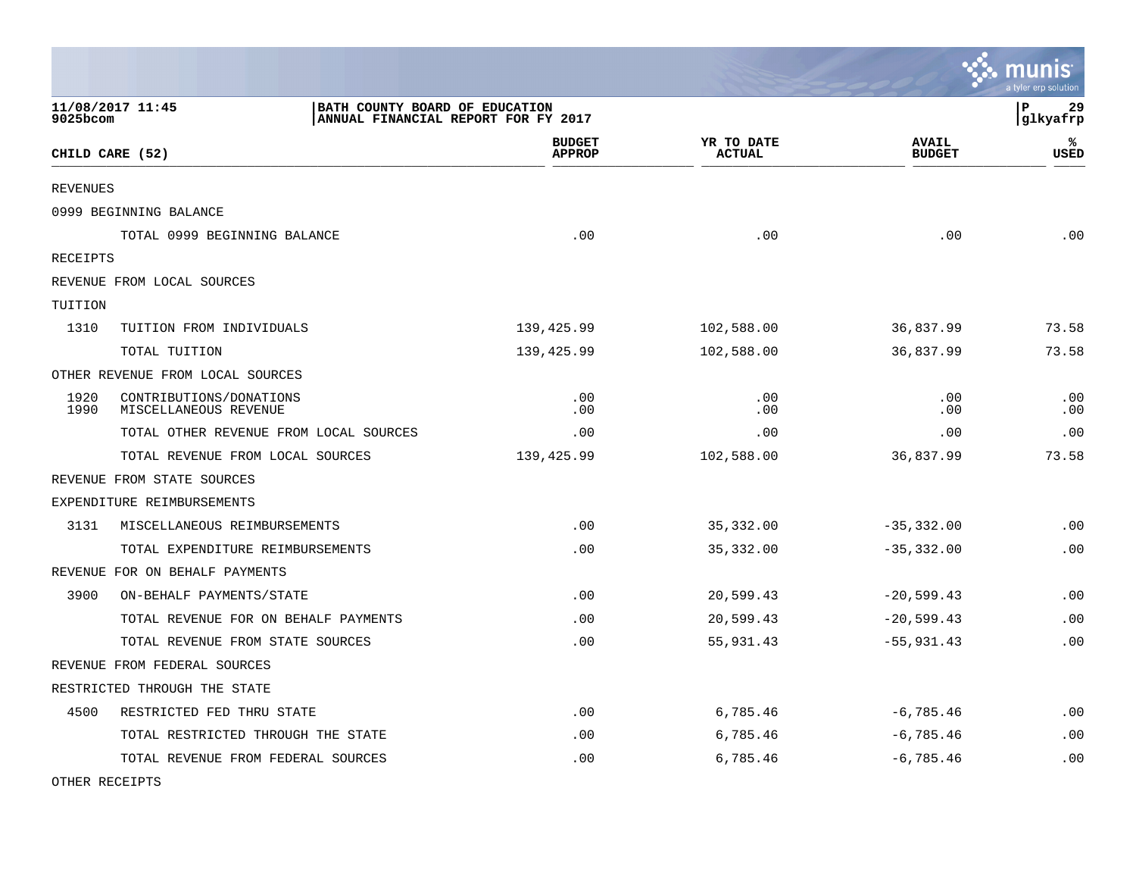|                 |                                                  |                                                                       |                             |                               | <b>A.</b> munis<br>a tyler erp solution |
|-----------------|--------------------------------------------------|-----------------------------------------------------------------------|-----------------------------|-------------------------------|-----------------------------------------|
| 9025bcom        | 11/08/2017 11:45                                 | BATH COUNTY BOARD OF EDUCATION<br>ANNUAL FINANCIAL REPORT FOR FY 2017 |                             |                               | l P<br>29<br> glkyafrp                  |
| CHILD CARE (52) |                                                  | <b>BUDGET</b><br><b>APPROP</b>                                        | YR TO DATE<br><b>ACTUAL</b> | <b>AVAIL</b><br><b>BUDGET</b> | ℁<br><b>USED</b>                        |
| <b>REVENUES</b> |                                                  |                                                                       |                             |                               |                                         |
|                 | 0999 BEGINNING BALANCE                           |                                                                       |                             |                               |                                         |
|                 | TOTAL 0999 BEGINNING BALANCE                     | .00                                                                   | .00                         | .00                           | .00                                     |
| RECEIPTS        |                                                  |                                                                       |                             |                               |                                         |
|                 | REVENUE FROM LOCAL SOURCES                       |                                                                       |                             |                               |                                         |
| TUITION         |                                                  |                                                                       |                             |                               |                                         |
| 1310            | TUITION FROM INDIVIDUALS                         | 139,425.99                                                            | 102,588.00                  | 36,837.99                     | 73.58                                   |
|                 | TOTAL TUITION                                    | 139,425.99                                                            | 102,588.00                  | 36,837.99                     | 73.58                                   |
|                 | OTHER REVENUE FROM LOCAL SOURCES                 |                                                                       |                             |                               |                                         |
| 1920<br>1990    | CONTRIBUTIONS/DONATIONS<br>MISCELLANEOUS REVENUE | .00<br>.00                                                            | .00<br>.00                  | .00<br>.00                    | .00<br>.00                              |
|                 | TOTAL OTHER REVENUE FROM LOCAL SOURCES           | .00                                                                   | .00                         | .00                           | .00                                     |
|                 | TOTAL REVENUE FROM LOCAL SOURCES                 | 139,425.99                                                            | 102,588.00                  | 36,837.99                     | 73.58                                   |
|                 | REVENUE FROM STATE SOURCES                       |                                                                       |                             |                               |                                         |
|                 | EXPENDITURE REIMBURSEMENTS                       |                                                                       |                             |                               |                                         |
| 3131            | MISCELLANEOUS REIMBURSEMENTS                     | .00                                                                   | 35,332.00                   | $-35, 332.00$                 | .00                                     |
|                 | TOTAL EXPENDITURE REIMBURSEMENTS                 | .00                                                                   | 35, 332.00                  | $-35,332.00$                  | .00                                     |
|                 | REVENUE FOR ON BEHALF PAYMENTS                   |                                                                       |                             |                               |                                         |
| 3900            | ON-BEHALF PAYMENTS/STATE                         | .00                                                                   | 20,599.43                   | $-20,599.43$                  | .00                                     |
|                 | TOTAL REVENUE FOR ON BEHALF PAYMENTS             | .00                                                                   | 20,599.43                   | $-20,599.43$                  | .00                                     |
|                 | TOTAL REVENUE FROM STATE SOURCES                 | .00                                                                   | 55,931.43                   | $-55,931.43$                  | .00                                     |
|                 | REVENUE FROM FEDERAL SOURCES                     |                                                                       |                             |                               |                                         |
|                 | RESTRICTED THROUGH THE STATE                     |                                                                       |                             |                               |                                         |
| 4500            | RESTRICTED FED THRU STATE                        | .00                                                                   | 6,785.46                    | $-6,785.46$                   | .00                                     |
|                 | TOTAL RESTRICTED THROUGH THE STATE               | .00                                                                   | 6,785.46                    | $-6,785.46$                   | .00                                     |
|                 | TOTAL REVENUE FROM FEDERAL SOURCES               | .00                                                                   | 6,785.46                    | $-6,785.46$                   | .00                                     |

 $\mathcal{L}$ 

OTHER RECEIPTS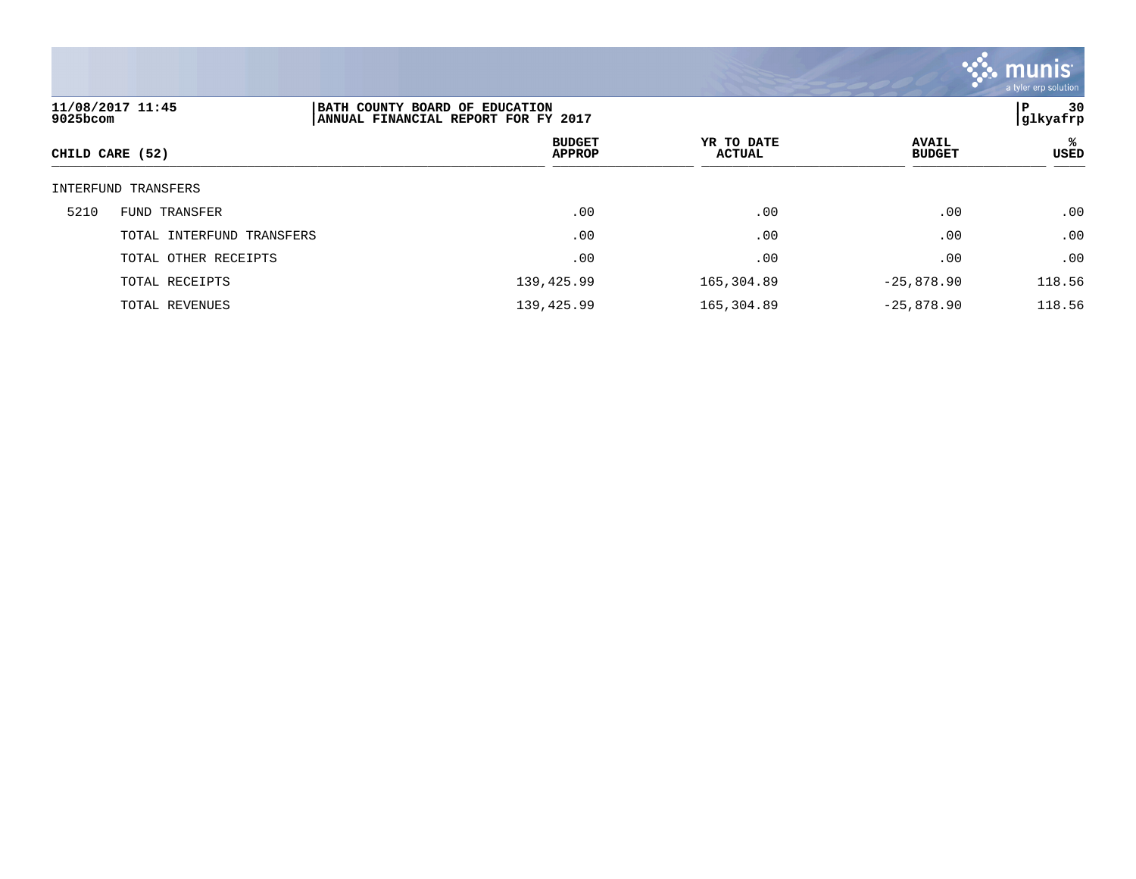

| 11/08/2017 11:45<br>9025bcom | BATH COUNTY BOARD OF EDUCATION<br>ANNUAL FINANCIAL REPORT FOR FY 2017 |                             |                               | 30<br>P<br> glkyafrp |
|------------------------------|-----------------------------------------------------------------------|-----------------------------|-------------------------------|----------------------|
| CHILD CARE (52)              | <b>BUDGET</b><br><b>APPROP</b>                                        | YR TO DATE<br><b>ACTUAL</b> | <b>AVAIL</b><br><b>BUDGET</b> | ℁<br><b>USED</b>     |
| INTERFUND TRANSFERS          |                                                                       |                             |                               |                      |
| 5210<br>FUND TRANSFER        | .00                                                                   | .00                         | .00                           | .00                  |
| TOTAL INTERFUND TRANSFERS    | .00                                                                   | .00                         | .00                           | .00                  |
| TOTAL OTHER RECEIPTS         | .00                                                                   | .00                         | .00                           | .00                  |
| TOTAL RECEIPTS               | 139,425.99                                                            | 165,304.89                  | $-25,878.90$                  | 118.56               |
| TOTAL REVENUES               | 139,425.99                                                            | 165,304.89                  | $-25,878.90$                  | 118.56               |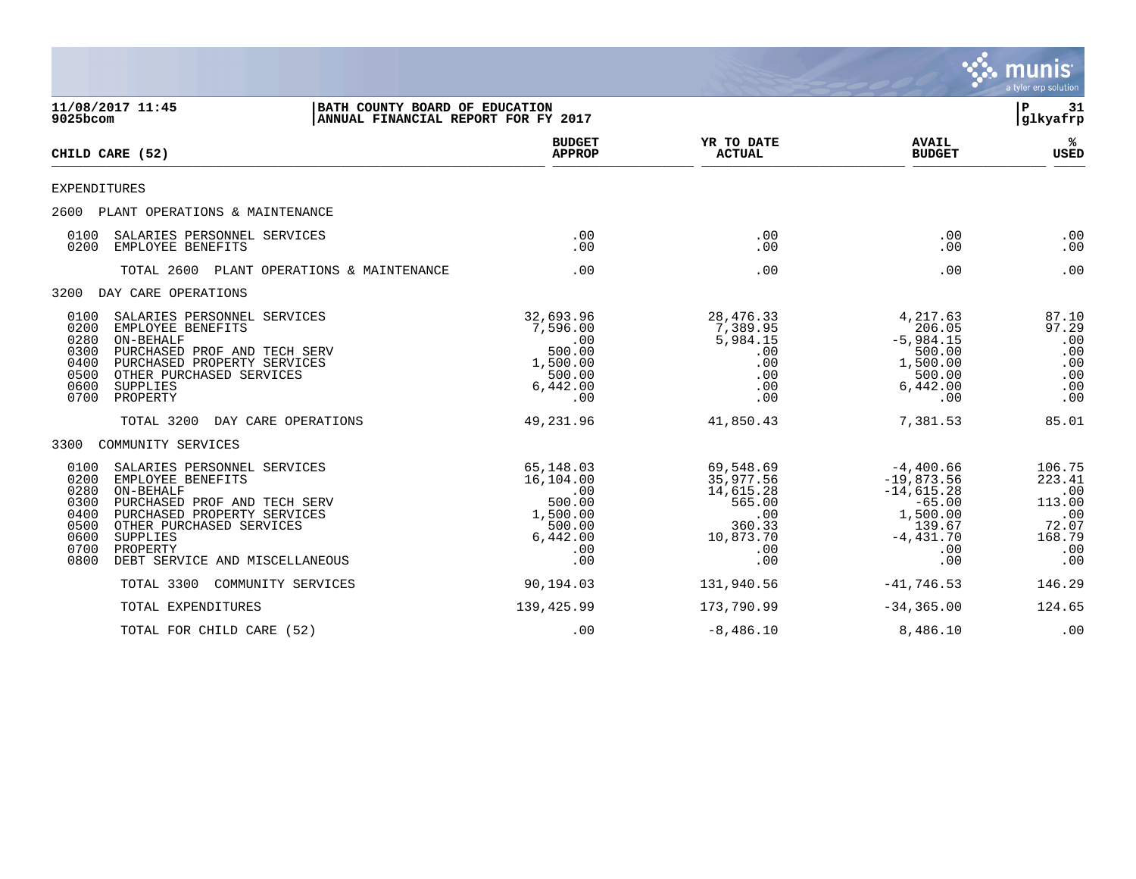|                                                                      |                                                                                                                                                                                                                    |                                                                                              |                                                                                           |                                                                                                             | munis<br>a tyler erp solution                                             |
|----------------------------------------------------------------------|--------------------------------------------------------------------------------------------------------------------------------------------------------------------------------------------------------------------|----------------------------------------------------------------------------------------------|-------------------------------------------------------------------------------------------|-------------------------------------------------------------------------------------------------------------|---------------------------------------------------------------------------|
| 11/08/2017 11:45<br>9025bcom                                         | BATH COUNTY BOARD OF EDUCATION<br> ANNUAL FINANCIAL REPORT FOR FY 2017                                                                                                                                             |                                                                                              |                                                                                           |                                                                                                             | l P<br>31<br>glkyafrp                                                     |
| CHILD CARE (52)                                                      |                                                                                                                                                                                                                    | <b>BUDGET</b><br><b>APPROP</b>                                                               | YR TO DATE<br><b>ACTUAL</b>                                                               | <b>AVAIL</b><br><b>BUDGET</b>                                                                               | ℁<br><b>USED</b>                                                          |
| EXPENDITURES                                                         |                                                                                                                                                                                                                    |                                                                                              |                                                                                           |                                                                                                             |                                                                           |
| 2600                                                                 | PLANT OPERATIONS & MAINTENANCE                                                                                                                                                                                     |                                                                                              |                                                                                           |                                                                                                             |                                                                           |
| 0100<br>0200                                                         | SALARIES PERSONNEL SERVICES<br>EMPLOYEE BENEFITS                                                                                                                                                                   | .00<br>.00.                                                                                  | .00<br>.00                                                                                | .00<br>.00                                                                                                  | .00<br>.00                                                                |
|                                                                      | TOTAL 2600 PLANT OPERATIONS & MAINTENANCE                                                                                                                                                                          | .00                                                                                          | .00                                                                                       | .00                                                                                                         | .00                                                                       |
| 3200                                                                 | DAY CARE OPERATIONS                                                                                                                                                                                                |                                                                                              |                                                                                           |                                                                                                             |                                                                           |
| 0100<br>0200<br>0280<br>0300<br>0400<br>0500<br>0600<br>0700         | SALARIES PERSONNEL SERVICES<br>EMPLOYEE BENEFITS<br>ON-BEHALF<br>PURCHASED PROF AND TECH SERV<br>PURCHASED PROPERTY SERVICES<br>OTHER PURCHASED SERVICES<br>SUPPLIES<br>PROPERTY                                   | 32,693.96<br>7,596.00<br>.00<br>500.00<br>1,500.00<br>500.00<br>6,442.00<br>.00              | 28, 476. 33<br>7,389.95<br>5,984.15<br>.00<br>.00<br>.00<br>.00<br>.00                    | 4,217.63<br>206.05<br>$-5,984.15$<br>500.00<br>1,500.00<br>500.00<br>6,442.00<br>.00                        | 87.10<br>97.29<br>.00<br>.00<br>.00<br>.00<br>.00<br>.00                  |
|                                                                      | TOTAL 3200<br>DAY CARE OPERATIONS                                                                                                                                                                                  | 49,231.96                                                                                    | 41,850.43                                                                                 | 7,381.53                                                                                                    | 85.01                                                                     |
| 3300                                                                 | COMMUNITY SERVICES                                                                                                                                                                                                 |                                                                                              |                                                                                           |                                                                                                             |                                                                           |
| 0100<br>0200<br>0280<br>0300<br>0400<br>0500<br>0600<br>0700<br>0800 | SALARIES PERSONNEL SERVICES<br>EMPLOYEE BENEFITS<br>ON-BEHALF<br>PURCHASED PROF AND TECH SERV<br>PURCHASED PROPERTY SERVICES<br>OTHER PURCHASED SERVICES<br>SUPPLIES<br>PROPERTY<br>DEBT SERVICE AND MISCELLANEOUS | 65,148.03<br>16,104.00<br>$.00 \,$<br>500.00<br>1,500.00<br>500.00<br>6,442.00<br>.00<br>.00 | 69,548.69<br>35,977.56<br>14,615.28<br>565.00<br>.00<br>360.33<br>10,873.70<br>.00<br>.00 | $-4,400.66$<br>$-19,873.56$<br>$-14,615.28$<br>$-65.00$<br>1,500.00<br>139.67<br>$-4,431.70$<br>.00.<br>.00 | 106.75<br>223.41<br>.00<br>113.00<br>.00<br>72.07<br>168.79<br>.00<br>.00 |
|                                                                      | TOTAL 3300<br>COMMUNITY SERVICES                                                                                                                                                                                   | 90,194.03                                                                                    | 131,940.56                                                                                | $-41,746.53$                                                                                                | 146.29                                                                    |
|                                                                      | TOTAL EXPENDITURES                                                                                                                                                                                                 | 139,425.99                                                                                   | 173,790.99                                                                                | $-34, 365.00$                                                                                               | 124.65                                                                    |
|                                                                      | TOTAL FOR CHILD CARE (52)                                                                                                                                                                                          | .00                                                                                          | $-8,486.10$                                                                               | 8,486.10                                                                                                    | .00                                                                       |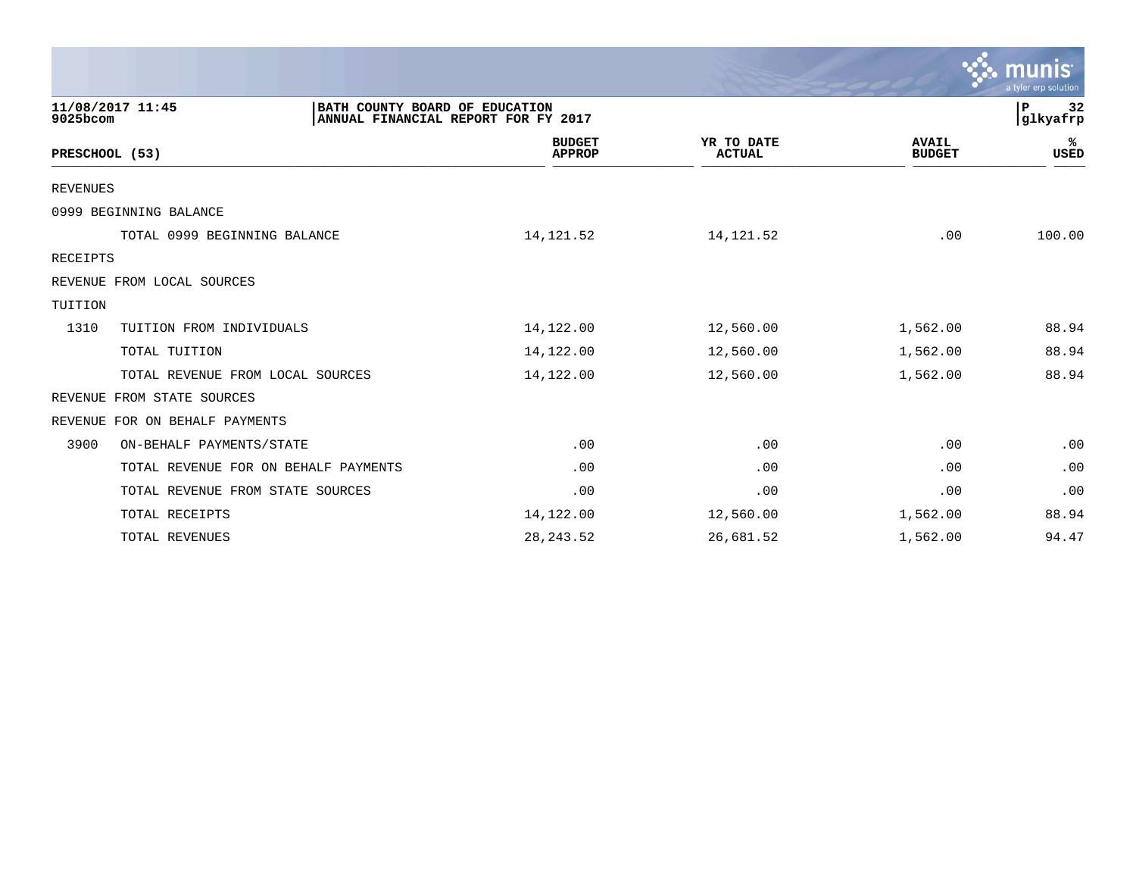|                                      |                                                                       |                                |                             |                               | $\mathbb{C}$ munis<br>a tyler erp solution |
|--------------------------------------|-----------------------------------------------------------------------|--------------------------------|-----------------------------|-------------------------------|--------------------------------------------|
| 11/08/2017 11:45<br>9025bcom         | BATH COUNTY BOARD OF EDUCATION<br>ANNUAL FINANCIAL REPORT FOR FY 2017 |                                |                             |                               | 32<br>P<br> glkyafrp                       |
| PRESCHOOL (53)                       |                                                                       | <b>BUDGET</b><br><b>APPROP</b> | YR TO DATE<br><b>ACTUAL</b> | <b>AVAIL</b><br><b>BUDGET</b> | %ะ<br><b>USED</b>                          |
| <b>REVENUES</b>                      |                                                                       |                                |                             |                               |                                            |
| 0999 BEGINNING BALANCE               |                                                                       |                                |                             |                               |                                            |
| TOTAL 0999 BEGINNING BALANCE         |                                                                       | 14,121.52                      | 14, 121.52                  | .00                           | 100.00                                     |
| RECEIPTS                             |                                                                       |                                |                             |                               |                                            |
| REVENUE FROM LOCAL SOURCES           |                                                                       |                                |                             |                               |                                            |
| TUITION                              |                                                                       |                                |                             |                               |                                            |
| 1310<br>TUITION FROM INDIVIDUALS     |                                                                       | 14,122.00                      | 12,560.00                   | 1,562.00                      | 88.94                                      |
| TOTAL TUITION                        |                                                                       | 14,122.00                      | 12,560.00                   | 1,562.00                      | 88.94                                      |
| TOTAL REVENUE FROM LOCAL SOURCES     |                                                                       | 14,122.00                      | 12,560.00                   | 1,562.00                      | 88.94                                      |
| REVENUE FROM STATE SOURCES           |                                                                       |                                |                             |                               |                                            |
| FOR ON BEHALF PAYMENTS<br>REVENUE    |                                                                       |                                |                             |                               |                                            |
| 3900<br>ON-BEHALF PAYMENTS/STATE     |                                                                       | .00                            | .00                         | .00                           | .00                                        |
| TOTAL REVENUE FOR ON BEHALF PAYMENTS |                                                                       | .00                            | .00                         | .00                           | .00                                        |
| TOTAL REVENUE FROM STATE SOURCES     |                                                                       | .00                            | .00                         | .00                           | .00                                        |
| TOTAL RECEIPTS                       |                                                                       | 14,122.00                      | 12,560.00                   | 1,562.00                      | 88.94                                      |
| TOTAL REVENUES                       |                                                                       | 28, 243.52                     | 26,681.52                   | 1,562.00                      | 94.47                                      |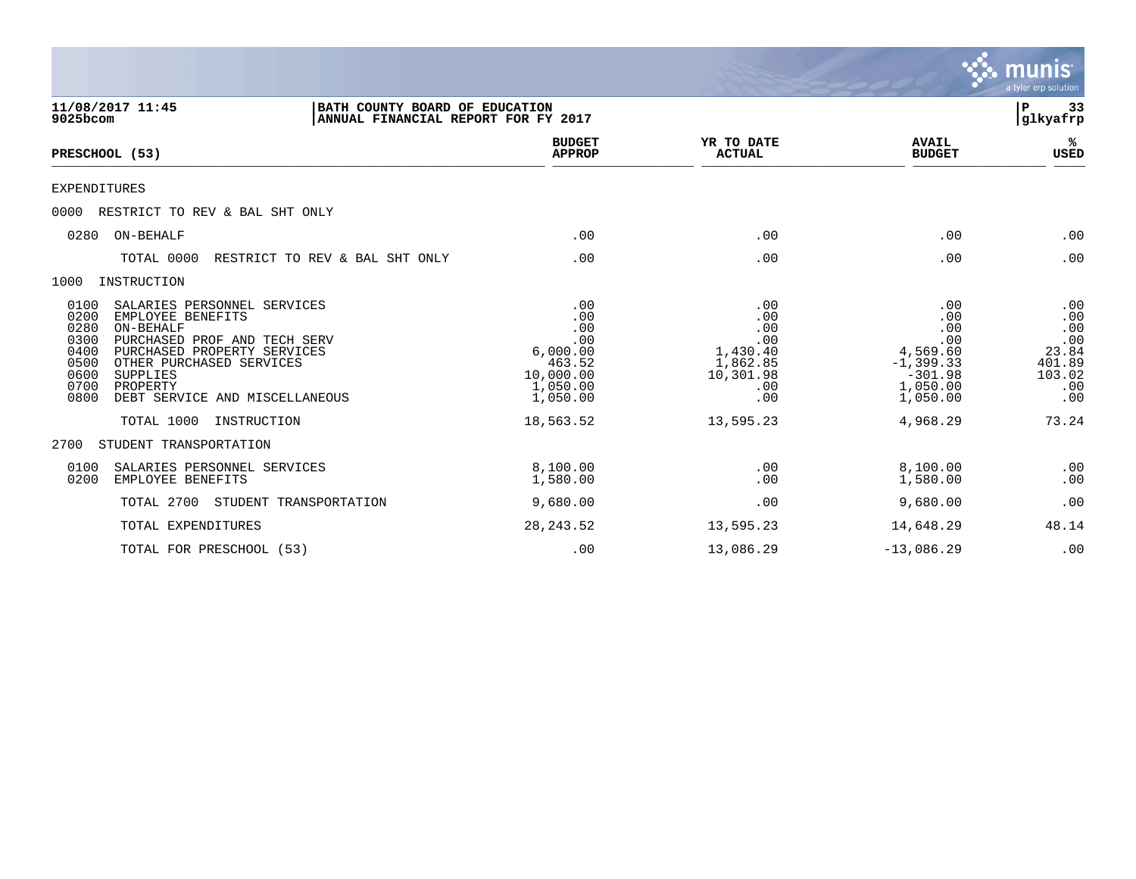|                                                                                                                                                                                                                                                                                                                         |                                                                                                  |                                                                                          |                                                                                                       | munis<br>a tyler erp solution                                                |
|-------------------------------------------------------------------------------------------------------------------------------------------------------------------------------------------------------------------------------------------------------------------------------------------------------------------------|--------------------------------------------------------------------------------------------------|------------------------------------------------------------------------------------------|-------------------------------------------------------------------------------------------------------|------------------------------------------------------------------------------|
| 11/08/2017 11:45<br>BATH COUNTY BOARD OF EDUCATION<br>$9025$ bcom<br>ANNUAL FINANCIAL REPORT FOR FY 2017                                                                                                                                                                                                                |                                                                                                  |                                                                                          |                                                                                                       | ${\bf P}$<br>33<br>glkyafrp                                                  |
| PRESCHOOL (53)                                                                                                                                                                                                                                                                                                          | <b>BUDGET</b><br><b>APPROP</b>                                                                   | YR TO DATE<br><b>ACTUAL</b>                                                              | <b>AVAIL</b><br><b>BUDGET</b>                                                                         | ℁<br>USED                                                                    |
| <b>EXPENDITURES</b>                                                                                                                                                                                                                                                                                                     |                                                                                                  |                                                                                          |                                                                                                       |                                                                              |
| 0000<br>RESTRICT TO REV & BAL SHT ONLY                                                                                                                                                                                                                                                                                  |                                                                                                  |                                                                                          |                                                                                                       |                                                                              |
| 0280<br>ON-BEHALF                                                                                                                                                                                                                                                                                                       | .00                                                                                              | .00                                                                                      | .00                                                                                                   | .00                                                                          |
| TOTAL 0000<br>RESTRICT TO REV & BAL SHT ONLY                                                                                                                                                                                                                                                                            | .00                                                                                              | .00                                                                                      | .00                                                                                                   | .00                                                                          |
| INSTRUCTION<br>1000                                                                                                                                                                                                                                                                                                     |                                                                                                  |                                                                                          |                                                                                                       |                                                                              |
| 0100<br>SALARIES PERSONNEL SERVICES<br>0200<br>EMPLOYEE BENEFITS<br>0280<br>ON-BEHALF<br>0300<br>PURCHASED PROF AND TECH SERV<br>0400<br>PURCHASED PROPERTY SERVICES<br>0500<br>OTHER PURCHASED SERVICES<br>0600<br>SUPPLIES<br>0700<br>PROPERTY<br>0800<br>DEBT SERVICE AND MISCELLANEOUS<br>TOTAL 1000<br>INSTRUCTION | .00<br>.00<br>.00<br>.00<br>6,000.00<br>463.52<br>10,000.00<br>1,050.00<br>1,050.00<br>18,563.52 | .00<br>.00<br>.00<br>.00<br>1,430.40<br>1,862.85<br>10,301.98<br>.00<br>.00<br>13,595.23 | .00<br>.00<br>.00<br>.00<br>4,569.60<br>$-1, 399.33$<br>$-301.98$<br>1,050.00<br>1,050.00<br>4,968.29 | .00<br>.00<br>.00<br>.00<br>23.84<br>401.89<br>103.02<br>.00<br>.00<br>73.24 |
| 2700<br>STUDENT TRANSPORTATION                                                                                                                                                                                                                                                                                          |                                                                                                  |                                                                                          |                                                                                                       |                                                                              |
| 0100<br>SALARIES PERSONNEL SERVICES<br>0200<br>EMPLOYEE BENEFITS                                                                                                                                                                                                                                                        | 8,100.00<br>1,580.00                                                                             | .00<br>.00                                                                               | 8,100.00<br>1,580.00                                                                                  | .00<br>.00                                                                   |
| TOTAL 2700<br>STUDENT TRANSPORTATION                                                                                                                                                                                                                                                                                    | 9,680.00                                                                                         | .00                                                                                      | 9,680.00                                                                                              | .00                                                                          |
| TOTAL EXPENDITURES                                                                                                                                                                                                                                                                                                      | 28, 243.52                                                                                       | 13,595.23                                                                                | 14,648.29                                                                                             | 48.14                                                                        |
| TOTAL FOR PRESCHOOL (53)                                                                                                                                                                                                                                                                                                | .00                                                                                              | 13,086.29                                                                                | $-13,086.29$                                                                                          | .00                                                                          |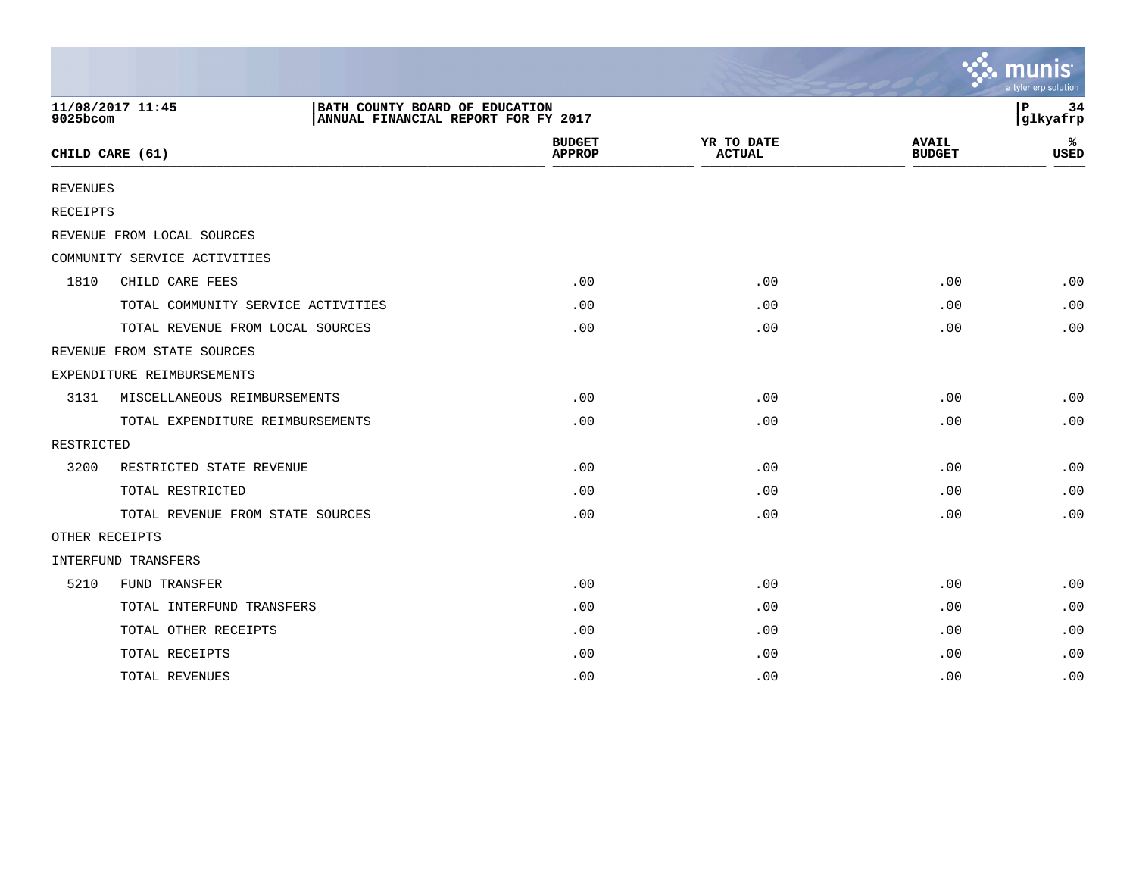|                 |                                    |                                                                       |                                |                             |                               | munis<br>a tyler erp solution |
|-----------------|------------------------------------|-----------------------------------------------------------------------|--------------------------------|-----------------------------|-------------------------------|-------------------------------|
| 9025bcom        | 11/08/2017 11:45                   | BATH COUNTY BOARD OF EDUCATION<br>ANNUAL FINANCIAL REPORT FOR FY 2017 |                                |                             |                               | P<br>34<br>glkyafrp           |
|                 | CHILD CARE (61)                    |                                                                       | <b>BUDGET</b><br><b>APPROP</b> | YR TO DATE<br><b>ACTUAL</b> | <b>AVAIL</b><br><b>BUDGET</b> | ℁<br>USED                     |
| <b>REVENUES</b> |                                    |                                                                       |                                |                             |                               |                               |
| RECEIPTS        |                                    |                                                                       |                                |                             |                               |                               |
|                 | REVENUE FROM LOCAL SOURCES         |                                                                       |                                |                             |                               |                               |
|                 | COMMUNITY SERVICE ACTIVITIES       |                                                                       |                                |                             |                               |                               |
| 1810            | CHILD CARE FEES                    |                                                                       | .00                            | .00                         | .00                           | .00                           |
|                 | TOTAL COMMUNITY SERVICE ACTIVITIES |                                                                       | .00                            | .00                         | .00                           | .00                           |
|                 | TOTAL REVENUE FROM LOCAL SOURCES   |                                                                       | .00                            | .00                         | .00                           | .00                           |
|                 | REVENUE FROM STATE SOURCES         |                                                                       |                                |                             |                               |                               |
|                 | EXPENDITURE REIMBURSEMENTS         |                                                                       |                                |                             |                               |                               |
| 3131            | MISCELLANEOUS REIMBURSEMENTS       |                                                                       | .00                            | .00                         | .00                           | .00                           |
|                 | TOTAL EXPENDITURE REIMBURSEMENTS   |                                                                       | .00                            | .00                         | .00                           | .00                           |
| RESTRICTED      |                                    |                                                                       |                                |                             |                               |                               |
| 3200            | RESTRICTED STATE REVENUE           |                                                                       | .00                            | .00                         | .00                           | .00                           |
|                 | TOTAL RESTRICTED                   |                                                                       | .00                            | .00                         | .00                           | .00                           |
|                 | TOTAL REVENUE FROM STATE SOURCES   |                                                                       | .00                            | .00                         | .00                           | .00                           |
| OTHER RECEIPTS  |                                    |                                                                       |                                |                             |                               |                               |
|                 | INTERFUND TRANSFERS                |                                                                       |                                |                             |                               |                               |
| 5210            | FUND TRANSFER                      |                                                                       | .00                            | .00                         | .00                           | .00                           |
|                 | TOTAL INTERFUND TRANSFERS          |                                                                       | .00                            | .00                         | .00                           | .00                           |
|                 | TOTAL OTHER RECEIPTS               |                                                                       | .00                            | .00                         | .00                           | .00                           |
|                 | TOTAL RECEIPTS                     |                                                                       | .00                            | .00                         | .00                           | .00                           |
|                 | TOTAL REVENUES                     |                                                                       | .00                            | .00                         | .00                           | .00                           |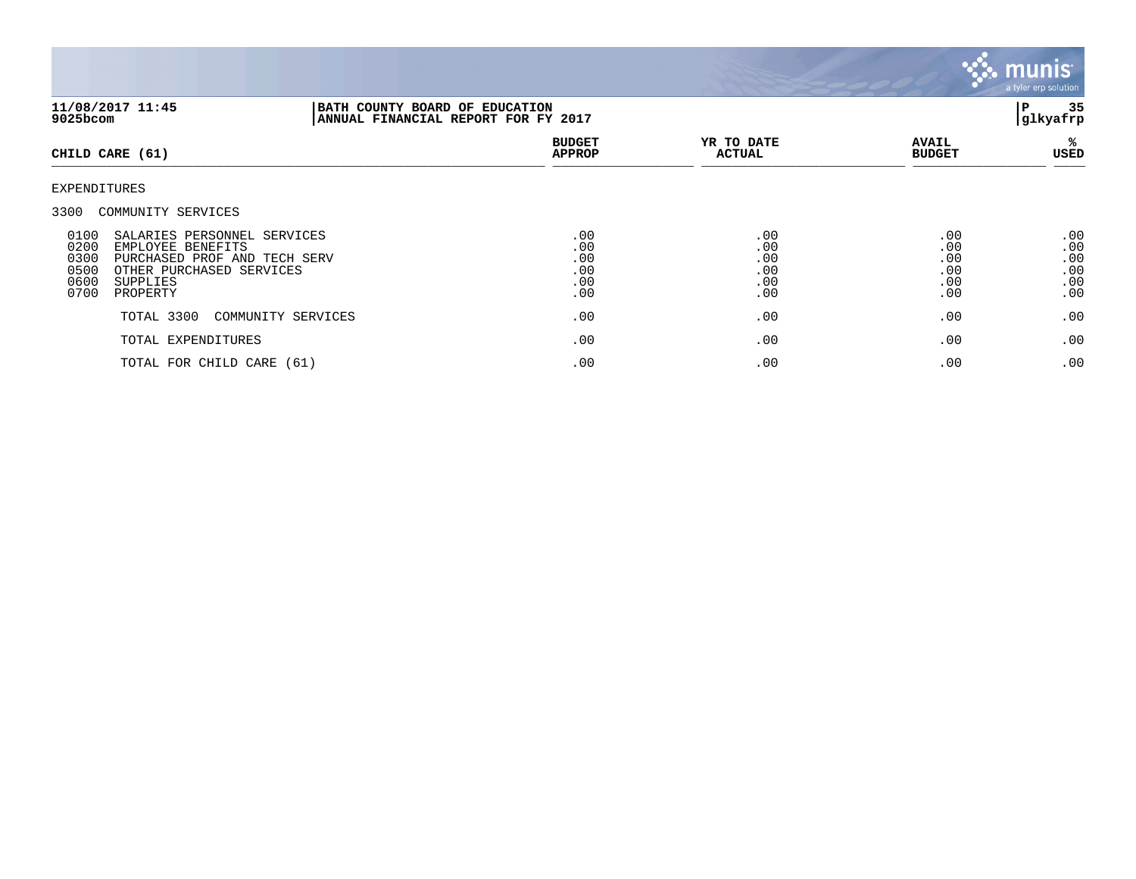

| 11/08/2017 11:45<br>9025bcom                                                                                                                                                                                    | BATH COUNTY BOARD OF EDUCATION<br>ANNUAL FINANCIAL REPORT FOR FY 2017 |                                        |                                        |                                        |
|-----------------------------------------------------------------------------------------------------------------------------------------------------------------------------------------------------------------|-----------------------------------------------------------------------|----------------------------------------|----------------------------------------|----------------------------------------|
| CHILD CARE (61)                                                                                                                                                                                                 | <b>BUDGET</b><br><b>APPROP</b>                                        | YR TO DATE<br><b>ACTUAL</b>            | <b>AVAIL</b><br><b>BUDGET</b>          | %ะ<br>USED                             |
| EXPENDITURES                                                                                                                                                                                                    |                                                                       |                                        |                                        |                                        |
| 3300 COMMUNITY SERVICES<br>0100<br>SALARIES PERSONNEL SERVICES<br>0200<br>EMPLOYEE BENEFITS<br>0300<br>PURCHASED PROF AND TECH SERV<br>0500<br>OTHER PURCHASED SERVICES<br>0600<br>SUPPLIES<br>0700<br>PROPERTY | .00<br>.00<br>.00<br>.00<br>.00<br>.00                                | .00<br>.00<br>.00<br>.00<br>.00<br>.00 | .00<br>.00<br>.00<br>.00<br>.00<br>.00 | .00<br>.00<br>.00<br>.00<br>.00<br>.00 |
| TOTAL 3300<br>COMMUNITY SERVICES                                                                                                                                                                                | .00                                                                   | .00                                    | .00                                    | .00                                    |
| TOTAL EXPENDITURES                                                                                                                                                                                              | .00                                                                   | .00                                    | .00                                    | .00                                    |
| TOTAL FOR CHILD CARE (61)                                                                                                                                                                                       | .00                                                                   | .00                                    | .00                                    | .00                                    |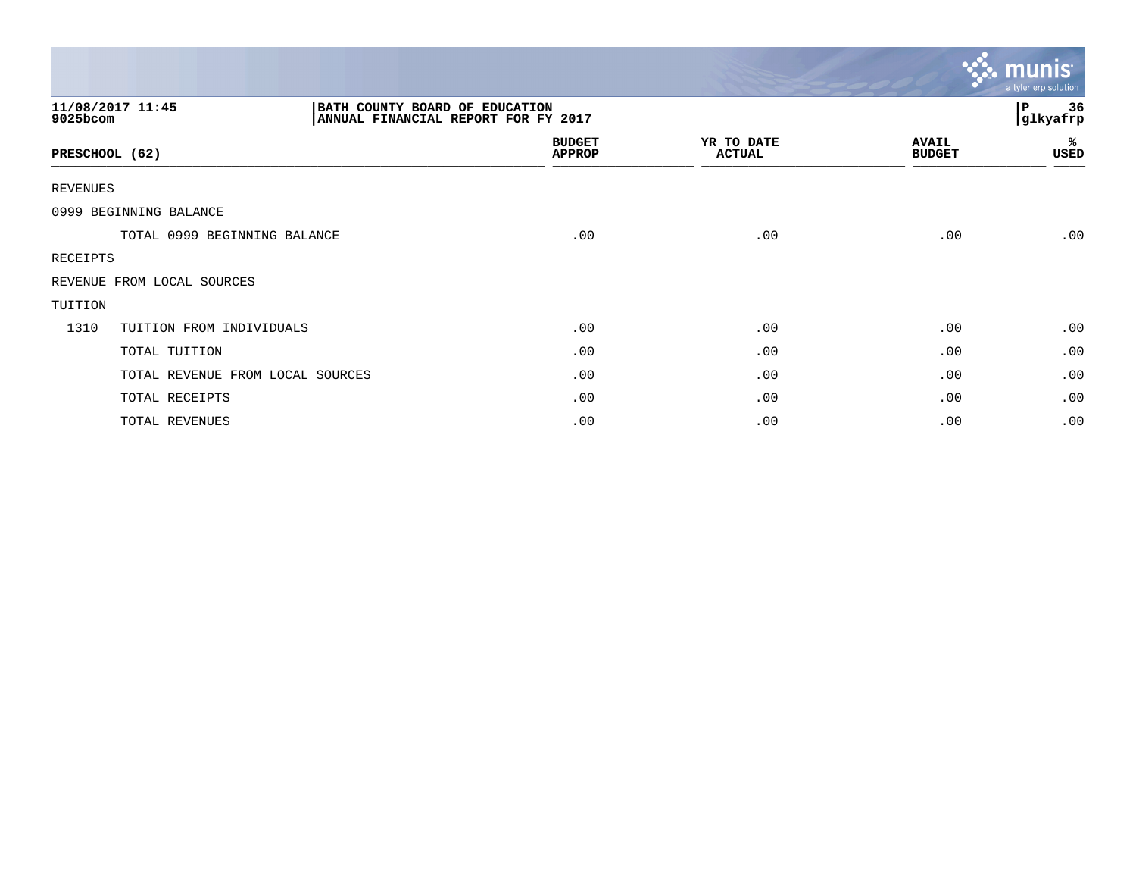|                              |                                                                       |                                |                             |                               | <b>R. MUNIS</b><br>a tyler erp solution |
|------------------------------|-----------------------------------------------------------------------|--------------------------------|-----------------------------|-------------------------------|-----------------------------------------|
| 11/08/2017 11:45<br>9025bcom | BATH COUNTY BOARD OF EDUCATION<br>ANNUAL FINANCIAL REPORT FOR FY 2017 |                                |                             |                               | 36<br>P<br>glkyafrp                     |
| PRESCHOOL (62)               |                                                                       | <b>BUDGET</b><br><b>APPROP</b> | YR TO DATE<br><b>ACTUAL</b> | <b>AVAIL</b><br><b>BUDGET</b> | %<br>USED                               |
| REVENUES                     |                                                                       |                                |                             |                               |                                         |
| 0999 BEGINNING BALANCE       |                                                                       |                                |                             |                               |                                         |
|                              | TOTAL 0999 BEGINNING BALANCE                                          | .00                            | .00                         | .00                           | .00                                     |
| RECEIPTS                     |                                                                       |                                |                             |                               |                                         |
|                              | REVENUE FROM LOCAL SOURCES                                            |                                |                             |                               |                                         |
| TUITION                      |                                                                       |                                |                             |                               |                                         |
| 1310                         | TUITION FROM INDIVIDUALS                                              | .00                            | .00                         | .00                           | .00                                     |
|                              | TOTAL TUITION                                                         | .00                            | .00                         | .00                           | .00                                     |
|                              | TOTAL REVENUE FROM LOCAL SOURCES                                      | .00                            | .00                         | .00                           | .00                                     |
|                              | TOTAL RECEIPTS                                                        | .00                            | .00                         | .00                           | .00                                     |
|                              | TOTAL REVENUES                                                        | .00                            | .00                         | .00                           | .00                                     |

and the contract of the contract of the contract of the contract of the contract of the contract of the contract of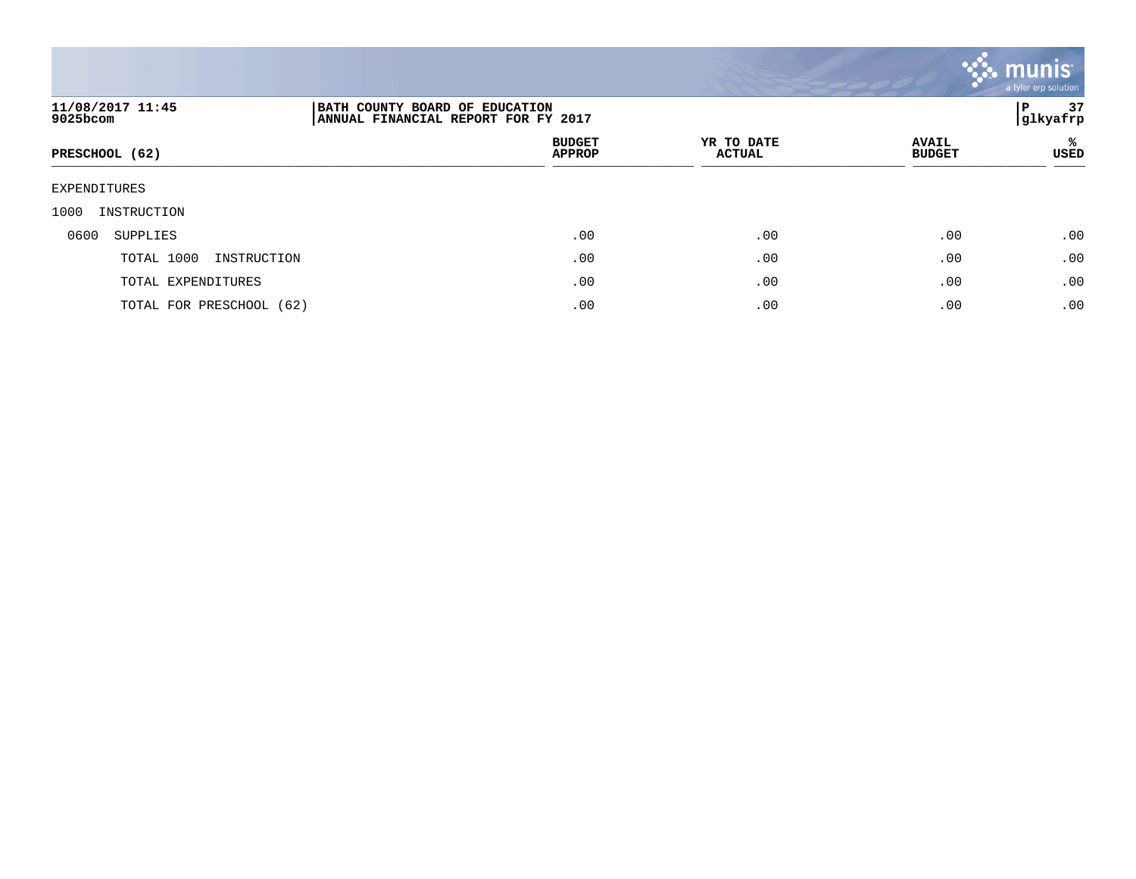

| 11/08/2017 11:45<br>9025bcom |                                |                             |                               |           |  |
|------------------------------|--------------------------------|-----------------------------|-------------------------------|-----------|--|
| PRESCHOOL (62)               | <b>BUDGET</b><br><b>APPROP</b> | YR TO DATE<br><b>ACTUAL</b> | <b>AVAIL</b><br><b>BUDGET</b> | ℁<br>USED |  |
| EXPENDITURES                 |                                |                             |                               |           |  |
| 1000<br>INSTRUCTION          |                                |                             |                               |           |  |
| 0600<br>SUPPLIES             | .00                            | .00                         | .00                           | .00       |  |
| TOTAL 1000<br>INSTRUCTION    | .00                            | .00                         | .00                           | .00       |  |
| TOTAL EXPENDITURES           | .00                            | .00                         | .00                           | .00       |  |
| TOTAL FOR PRESCHOOL (62)     | .00                            | .00                         | .00                           | .00       |  |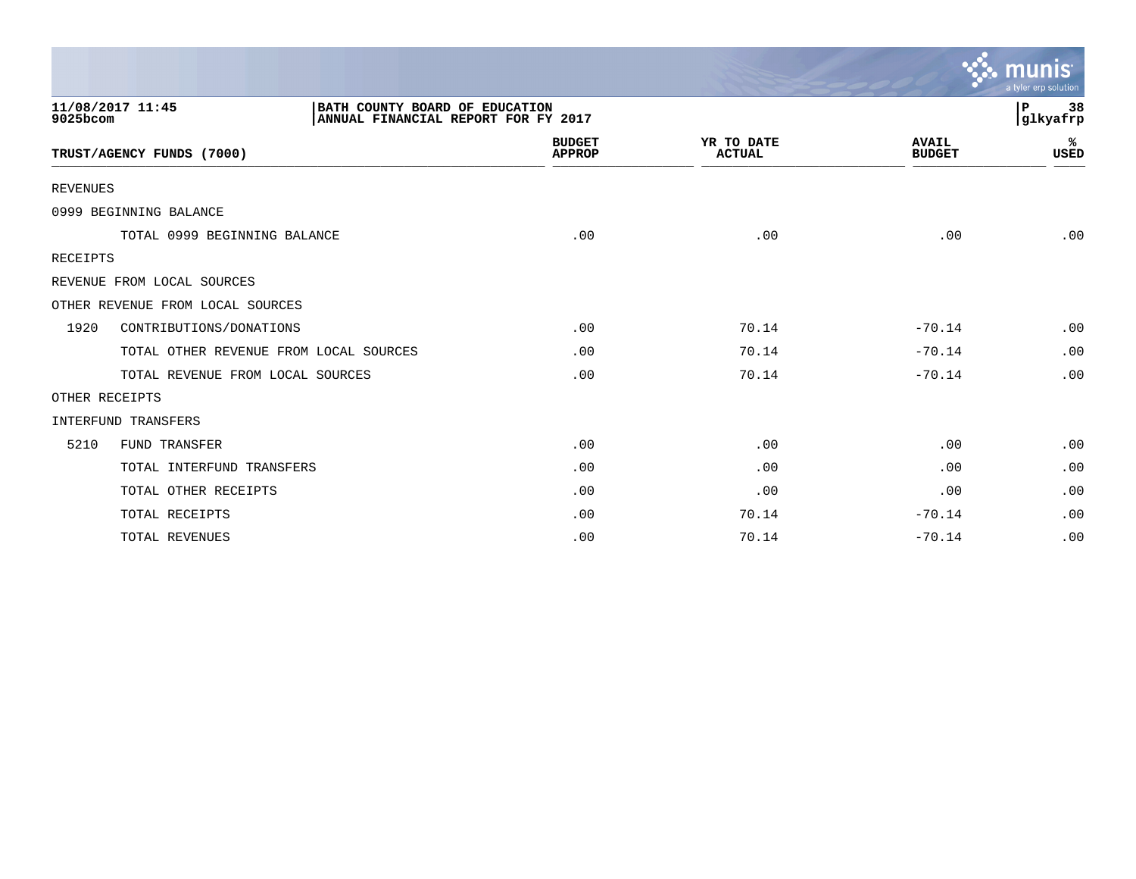|                 |                                                                                           |                                |                             |                               | a tyler erp solution |
|-----------------|-------------------------------------------------------------------------------------------|--------------------------------|-----------------------------|-------------------------------|----------------------|
| 9025bcom        | 11/08/2017 11:45<br>BATH COUNTY BOARD OF EDUCATION<br>ANNUAL FINANCIAL REPORT FOR FY 2017 |                                |                             |                               | P<br>38<br>glkyafrp  |
|                 | TRUST/AGENCY FUNDS (7000)                                                                 | <b>BUDGET</b><br><b>APPROP</b> | YR TO DATE<br><b>ACTUAL</b> | <b>AVAIL</b><br><b>BUDGET</b> | ℁<br><b>USED</b>     |
| <b>REVENUES</b> |                                                                                           |                                |                             |                               |                      |
|                 | 0999 BEGINNING BALANCE                                                                    |                                |                             |                               |                      |
|                 | TOTAL 0999 BEGINNING BALANCE                                                              | .00                            | .00                         | .00                           | .00                  |
| RECEIPTS        |                                                                                           |                                |                             |                               |                      |
|                 | REVENUE FROM LOCAL SOURCES                                                                |                                |                             |                               |                      |
|                 | OTHER REVENUE FROM LOCAL SOURCES                                                          |                                |                             |                               |                      |
| 1920            | CONTRIBUTIONS/DONATIONS                                                                   | .00                            | 70.14                       | $-70.14$                      | .00                  |
|                 | TOTAL OTHER REVENUE FROM LOCAL SOURCES                                                    | .00                            | 70.14                       | $-70.14$                      | .00                  |
|                 | TOTAL REVENUE FROM LOCAL SOURCES                                                          | .00                            | 70.14                       | $-70.14$                      | .00                  |
|                 | OTHER RECEIPTS                                                                            |                                |                             |                               |                      |
|                 | <b>INTERFUND TRANSFERS</b>                                                                |                                |                             |                               |                      |
| 5210            | FUND TRANSFER                                                                             | .00                            | .00                         | .00                           | .00                  |
|                 | TOTAL INTERFUND TRANSFERS                                                                 | .00                            | .00                         | .00                           | .00                  |
|                 | TOTAL OTHER RECEIPTS                                                                      | .00                            | .00                         | .00                           | .00                  |
|                 | TOTAL RECEIPTS                                                                            | .00                            | 70.14                       | $-70.14$                      | .00                  |
|                 | TOTAL REVENUES                                                                            | .00                            | 70.14                       | $-70.14$                      | .00                  |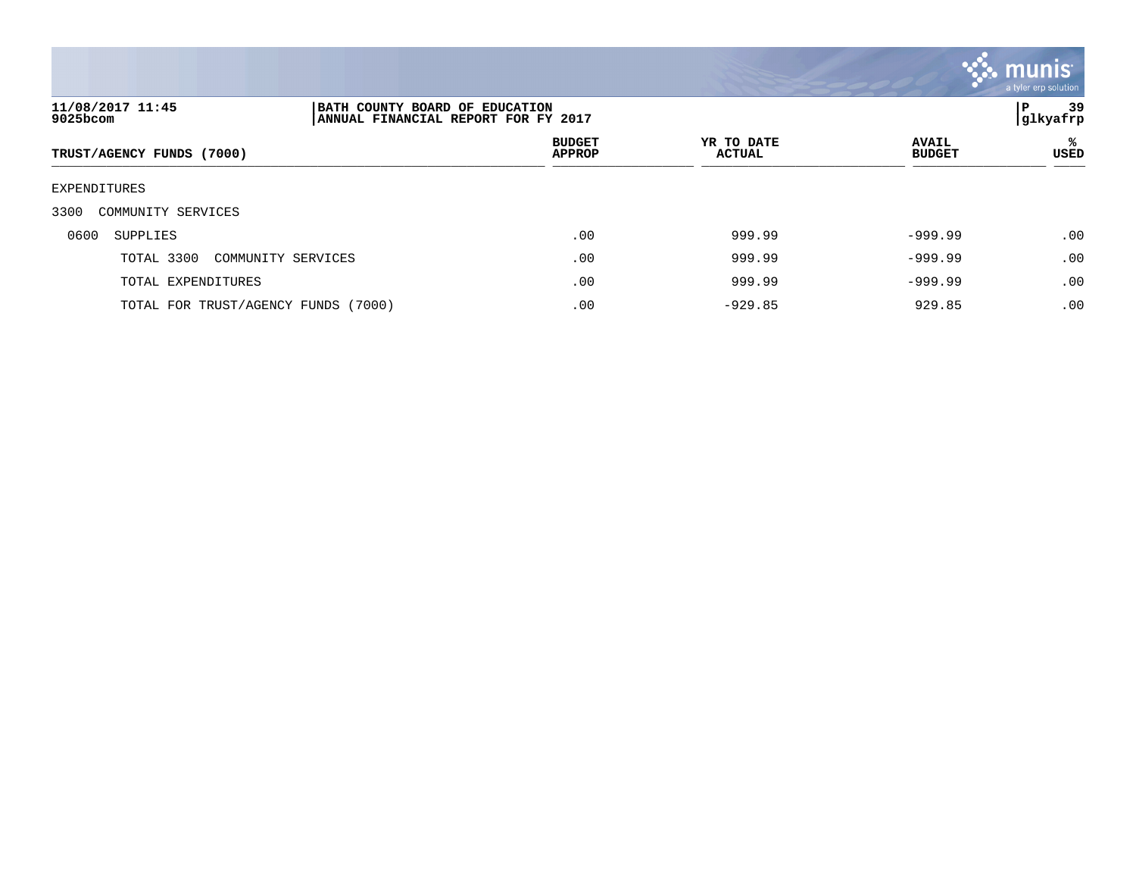

| 11/08/2017 11:45<br>9025bcom        | BATH COUNTY BOARD OF EDUCATION<br>ANNUAL FINANCIAL REPORT FOR FY 2017 |                                |                      |                               | 39<br>P<br>glkyafrp |
|-------------------------------------|-----------------------------------------------------------------------|--------------------------------|----------------------|-------------------------------|---------------------|
| TRUST/AGENCY FUNDS (7000)           |                                                                       | <b>BUDGET</b><br><b>APPROP</b> | YR TO DATE<br>ACTUAL | <b>AVAIL</b><br><b>BUDGET</b> | ℁<br>USED           |
| EXPENDITURES                        |                                                                       |                                |                      |                               |                     |
| 3300<br>COMMUNITY SERVICES          |                                                                       |                                |                      |                               |                     |
| 0600<br>SUPPLIES                    |                                                                       | .00                            | 999.99               | $-999.99$                     | .00                 |
| TOTAL 3300                          | COMMUNITY SERVICES                                                    | .00                            | 999.99               | $-999.99$                     | .00                 |
| TOTAL EXPENDITURES                  |                                                                       | .00                            | 999.99               | $-999.99$                     | .00                 |
| TOTAL FOR TRUST/AGENCY FUNDS (7000) |                                                                       | .00                            | $-929.85$            | 929.85                        | .00                 |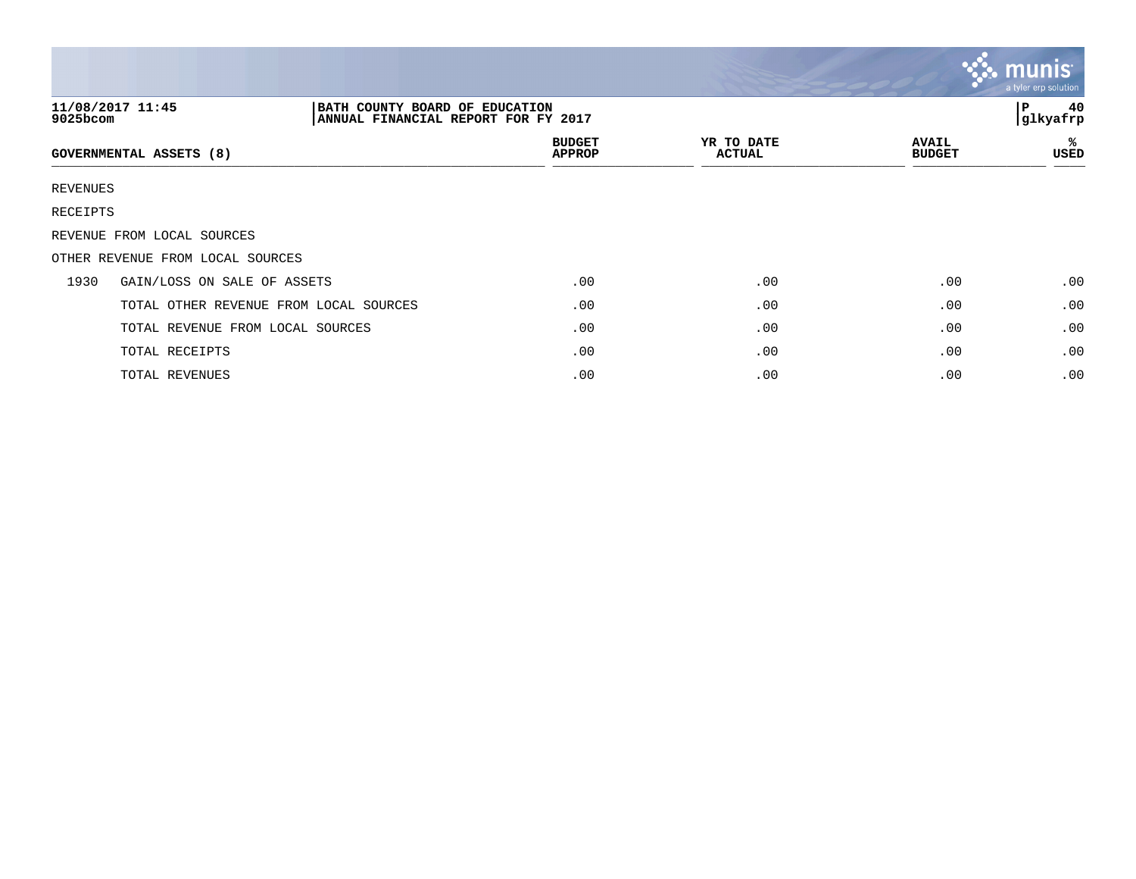|             |                                                                                           |                                |                             |                               | $\mathbf{C}$ munis<br>a tyler erp solution |
|-------------|-------------------------------------------------------------------------------------------|--------------------------------|-----------------------------|-------------------------------|--------------------------------------------|
| $9025$ bcom | 11/08/2017 11:45<br>BATH COUNTY BOARD OF EDUCATION<br>ANNUAL FINANCIAL REPORT FOR FY 2017 |                                |                             |                               | 40<br>l P<br>glkyafrp                      |
|             | <b>GOVERNMENTAL ASSETS (8)</b>                                                            | <b>BUDGET</b><br><b>APPROP</b> | YR TO DATE<br><b>ACTUAL</b> | <b>AVAIL</b><br><b>BUDGET</b> | ℁<br>USED                                  |
| REVENUES    |                                                                                           |                                |                             |                               |                                            |
| RECEIPTS    |                                                                                           |                                |                             |                               |                                            |
|             | REVENUE FROM LOCAL SOURCES                                                                |                                |                             |                               |                                            |
|             | OTHER REVENUE FROM LOCAL SOURCES                                                          |                                |                             |                               |                                            |
| 1930        | GAIN/LOSS ON SALE OF ASSETS                                                               | .00                            | .00                         | .00                           | .00                                        |
|             | TOTAL OTHER REVENUE FROM LOCAL SOURCES                                                    | .00                            | .00                         | .00                           | .00                                        |
|             | TOTAL REVENUE FROM LOCAL SOURCES                                                          | .00                            | .00                         | .00                           | .00                                        |
|             | TOTAL RECEIPTS                                                                            | .00                            | .00                         | .00                           | .00                                        |
|             | TOTAL REVENUES                                                                            | .00                            | .00                         | .00                           | .00                                        |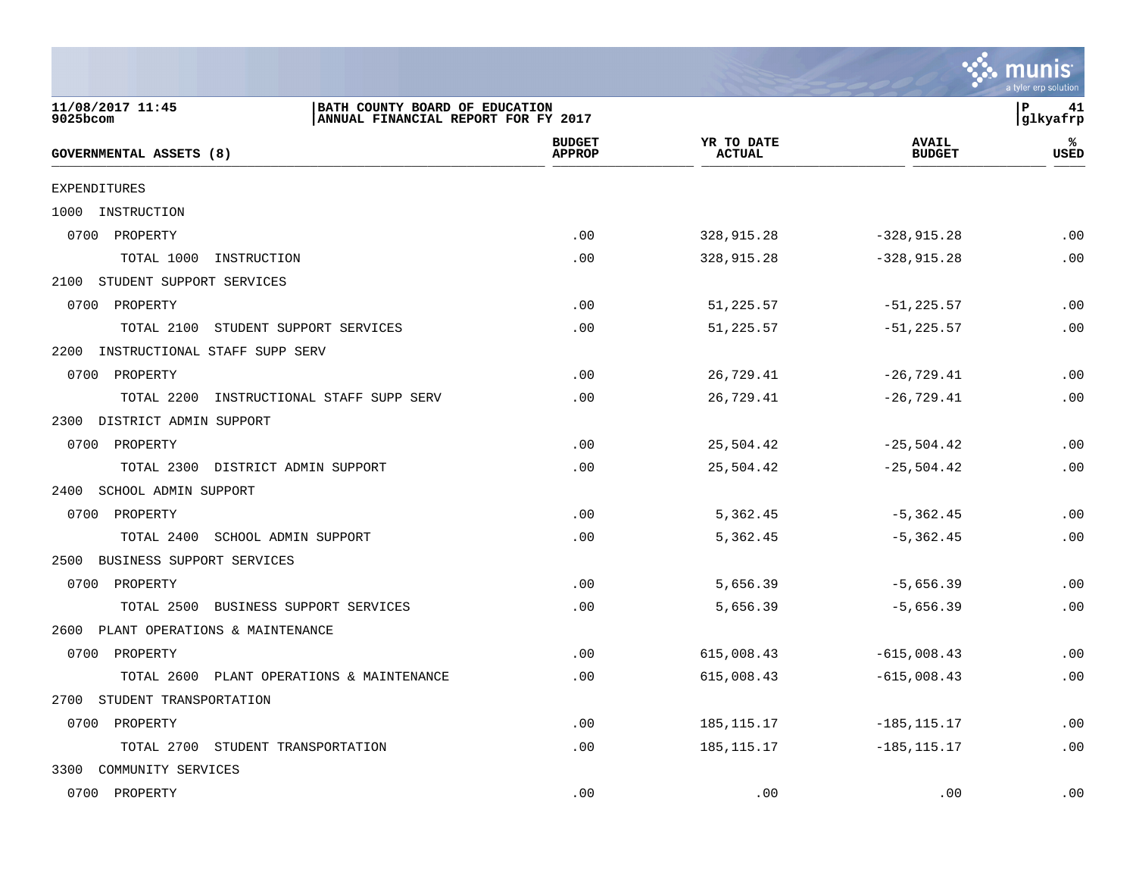|                                                                                                       |                                |                             |                               | a tyler erp solution  |
|-------------------------------------------------------------------------------------------------------|--------------------------------|-----------------------------|-------------------------------|-----------------------|
| 11/08/2017 11:45<br>BATH COUNTY BOARD OF EDUCATION<br>9025bcom<br>ANNUAL FINANCIAL REPORT FOR FY 2017 |                                |                             |                               | l P<br>41<br>glkyafrp |
| GOVERNMENTAL ASSETS (8)                                                                               | <b>BUDGET</b><br><b>APPROP</b> | YR TO DATE<br><b>ACTUAL</b> | <b>AVAIL</b><br><b>BUDGET</b> | ℁<br><b>USED</b>      |
| <b>EXPENDITURES</b>                                                                                   |                                |                             |                               |                       |
| 1000<br>INSTRUCTION                                                                                   |                                |                             |                               |                       |
| 0700 PROPERTY                                                                                         | .00                            | 328,915.28                  | $-328, 915.28$                | .00                   |
| TOTAL 1000<br>INSTRUCTION                                                                             | .00                            | 328,915.28                  | $-328, 915.28$                | .00                   |
| 2100<br>STUDENT SUPPORT SERVICES                                                                      |                                |                             |                               |                       |
| 0700<br>PROPERTY                                                                                      | .00                            | 51,225.57                   | $-51, 225.57$                 | .00                   |
| TOTAL 2100<br>STUDENT SUPPORT SERVICES                                                                | .00                            | 51,225.57                   | $-51, 225.57$                 | .00                   |
| 2200<br>INSTRUCTIONAL STAFF SUPP SERV                                                                 |                                |                             |                               |                       |
| 0700 PROPERTY                                                                                         | .00                            | 26,729.41                   | $-26,729.41$                  | .00                   |
| TOTAL 2200<br>INSTRUCTIONAL STAFF SUPP SERV                                                           | .00                            | 26,729.41                   | $-26,729.41$                  | .00                   |
| 2300<br>DISTRICT ADMIN SUPPORT                                                                        |                                |                             |                               |                       |
| 0700 PROPERTY                                                                                         | .00                            | 25,504.42                   | $-25,504.42$                  | .00                   |
| TOTAL 2300<br>DISTRICT ADMIN SUPPORT                                                                  | .00                            | 25,504.42                   | $-25,504.42$                  | .00                   |
| 2400<br>SCHOOL ADMIN SUPPORT                                                                          |                                |                             |                               |                       |
| 0700 PROPERTY                                                                                         | .00                            | 5,362.45                    | $-5,362.45$                   | .00                   |
| TOTAL 2400<br>SCHOOL ADMIN SUPPORT                                                                    | .00                            | 5,362.45                    | $-5,362.45$                   | .00                   |
| BUSINESS SUPPORT SERVICES<br>2500                                                                     |                                |                             |                               |                       |
| 0700<br>PROPERTY                                                                                      | .00                            | 5,656.39                    | $-5,656.39$                   | .00                   |
| TOTAL 2500<br>BUSINESS SUPPORT SERVICES                                                               | .00                            | 5,656.39                    | $-5,656.39$                   | .00                   |
| PLANT OPERATIONS & MAINTENANCE<br>2600                                                                |                                |                             |                               |                       |
| 0700 PROPERTY                                                                                         | .00                            | 615,008.43                  | $-615,008.43$                 | .00                   |
| TOTAL 2600<br>PLANT OPERATIONS & MAINTENANCE                                                          | .00                            | 615,008.43                  | $-615,008.43$                 | .00                   |
| STUDENT TRANSPORTATION<br>2700                                                                        |                                |                             |                               |                       |
| 0700 PROPERTY                                                                                         | .00                            | 185, 115. 17                | $-185, 115.17$                | .00                   |
| TOTAL 2700 STUDENT TRANSPORTATION                                                                     | .00                            | 185, 115. 17                | $-185, 115.17$                | .00                   |
| 3300 COMMUNITY SERVICES                                                                               |                                |                             |                               |                       |
| 0700 PROPERTY                                                                                         | .00                            | .00                         | .00                           | .00                   |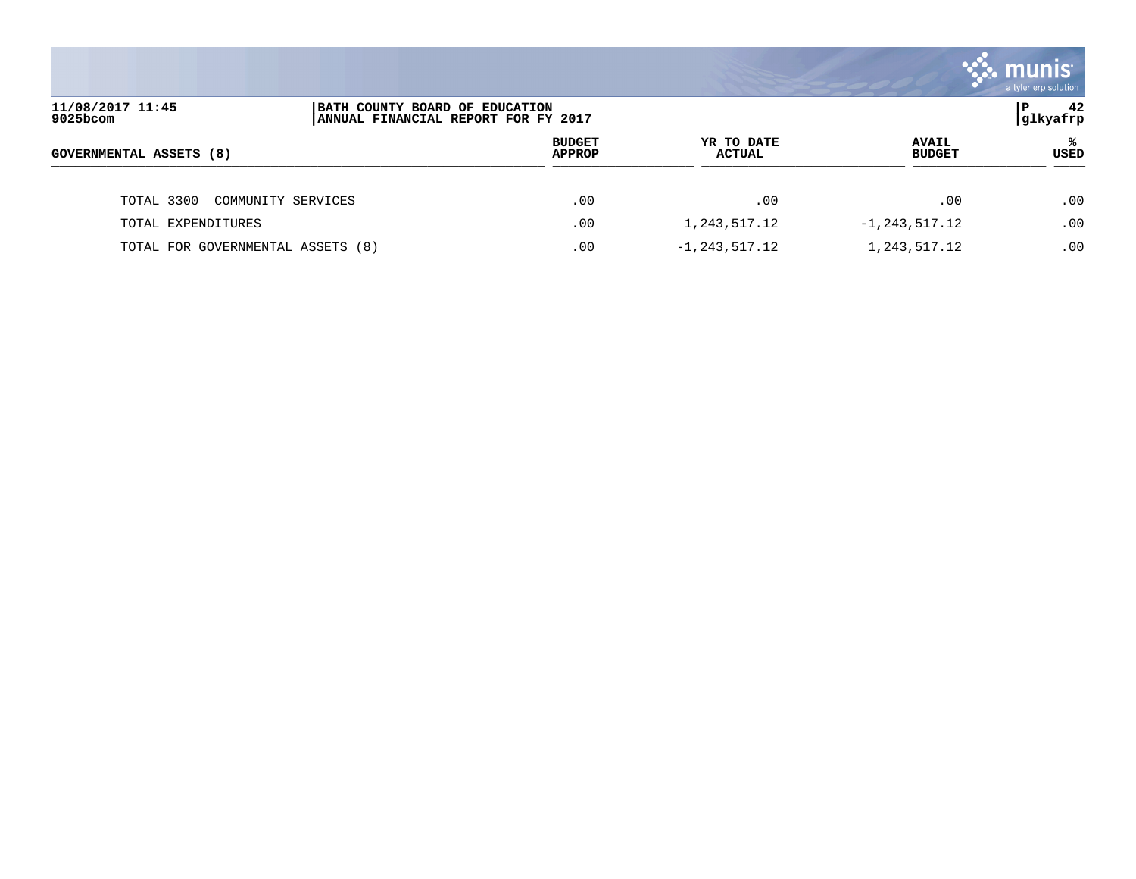|                                   |                                                                       |                                |                             |                               | a tyler erp solution |
|-----------------------------------|-----------------------------------------------------------------------|--------------------------------|-----------------------------|-------------------------------|----------------------|
| 11/08/2017 11:45<br>9025bcom      | BATH COUNTY BOARD OF EDUCATION<br>ANNUAL FINANCIAL REPORT FOR FY 2017 |                                |                             |                               | 42<br>P<br> glkyafrp |
| GOVERNMENTAL ASSETS (8)           |                                                                       | <b>BUDGET</b><br><b>APPROP</b> | YR TO DATE<br><b>ACTUAL</b> | <b>AVAIL</b><br><b>BUDGET</b> | ℁<br>USED            |
| TOTAL 3300                        | COMMUNITY SERVICES                                                    | .00                            | .00                         | .00                           | .00                  |
| TOTAL EXPENDITURES                |                                                                       | .00                            | 1,243,517.12                | $-1, 243, 517.12$             | .00.                 |
| TOTAL FOR GOVERNMENTAL ASSETS (8) |                                                                       | .00                            | $-1, 243, 517.12$           | 1,243,517.12                  | .00                  |

and the contract of the contract of the contract of the contract of the contract of the contract of the contract of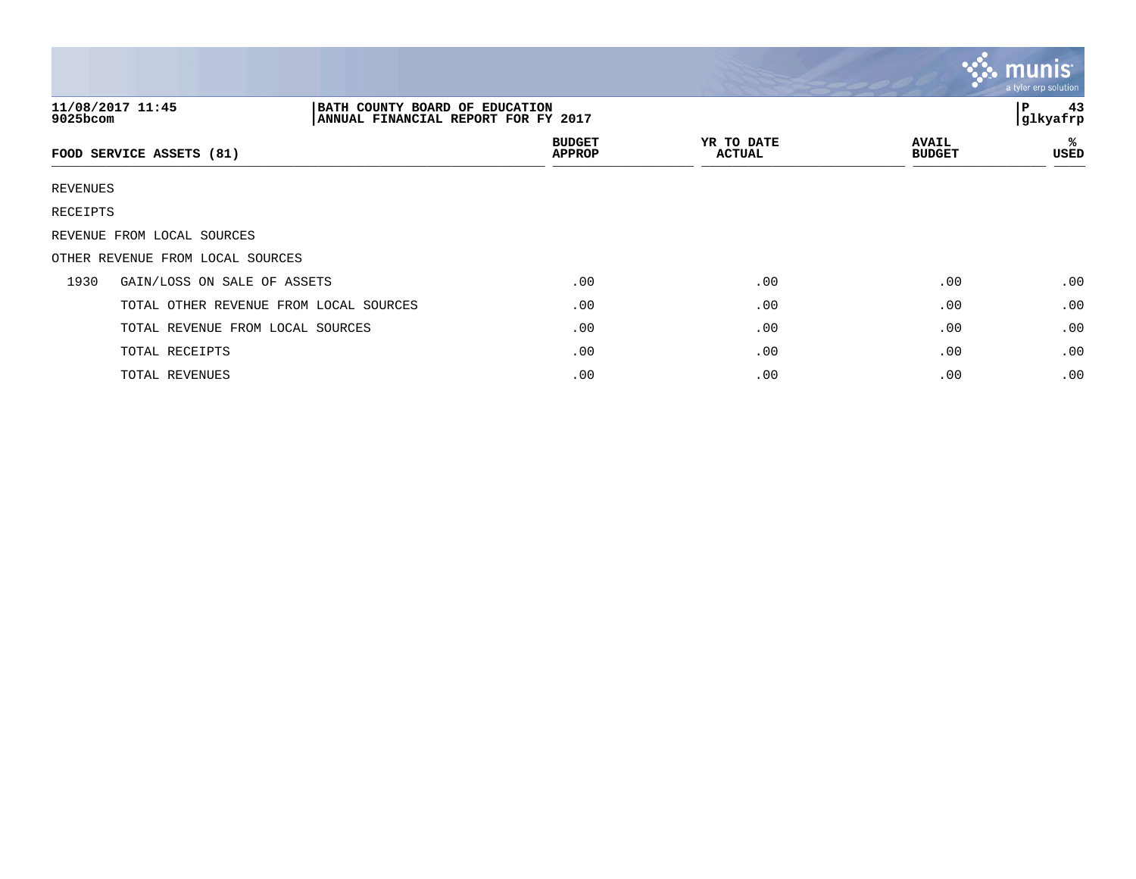|          |                                                                                           |                                |                             |                               | $\mathbf{C}$ munis<br>a tyler erp solution |
|----------|-------------------------------------------------------------------------------------------|--------------------------------|-----------------------------|-------------------------------|--------------------------------------------|
| 9025bcom | 11/08/2017 11:45<br>BATH COUNTY BOARD OF EDUCATION<br>ANNUAL FINANCIAL REPORT FOR FY 2017 |                                |                             |                               | 43<br>l P<br>glkyafrp                      |
|          | FOOD SERVICE ASSETS (81)                                                                  | <b>BUDGET</b><br><b>APPROP</b> | YR TO DATE<br><b>ACTUAL</b> | <b>AVAIL</b><br><b>BUDGET</b> | ℁<br>USED                                  |
| REVENUES |                                                                                           |                                |                             |                               |                                            |
| RECEIPTS |                                                                                           |                                |                             |                               |                                            |
|          | REVENUE FROM LOCAL SOURCES                                                                |                                |                             |                               |                                            |
|          | OTHER REVENUE FROM LOCAL SOURCES                                                          |                                |                             |                               |                                            |
| 1930     | GAIN/LOSS ON SALE OF ASSETS                                                               | .00                            | .00                         | .00                           | .00                                        |
|          | TOTAL OTHER REVENUE FROM LOCAL SOURCES                                                    | .00                            | .00                         | .00                           | .00                                        |
|          | TOTAL REVENUE FROM LOCAL SOURCES                                                          | .00                            | .00                         | .00                           | .00                                        |
|          | TOTAL RECEIPTS                                                                            | .00                            | .00                         | .00                           | .00                                        |
|          | TOTAL REVENUES                                                                            | .00                            | .00                         | .00                           | .00                                        |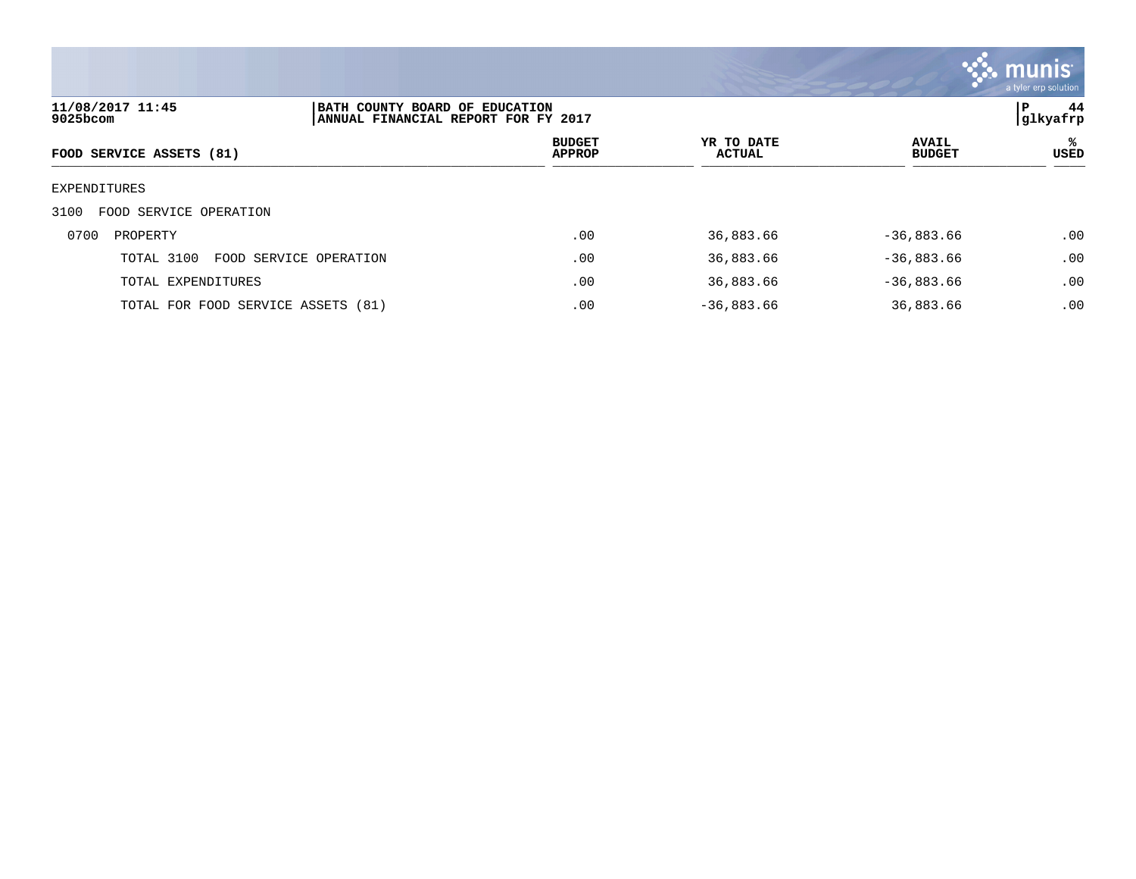

| 11/08/2017 11:45<br>9025bcom   | BATH COUNTY BOARD OF EDUCATION<br>ANNUAL FINANCIAL REPORT FOR FY 2017 |                                |                             |                               | P<br>44<br>glkyafrp |
|--------------------------------|-----------------------------------------------------------------------|--------------------------------|-----------------------------|-------------------------------|---------------------|
| FOOD SERVICE ASSETS (81)       |                                                                       | <b>BUDGET</b><br><b>APPROP</b> | YR TO DATE<br><b>ACTUAL</b> | <b>AVAIL</b><br><b>BUDGET</b> | ℁<br>USED           |
| EXPENDITURES                   |                                                                       |                                |                             |                               |                     |
| FOOD SERVICE OPERATION<br>3100 |                                                                       |                                |                             |                               |                     |
| 0700<br>PROPERTY               |                                                                       | .00                            | 36,883.66                   | $-36,883.66$                  | .00                 |
| TOTAL 3100                     | FOOD SERVICE OPERATION                                                | .00                            | 36,883.66                   | $-36,883.66$                  | .00                 |
| TOTAL EXPENDITURES             |                                                                       | .00                            | 36,883.66                   | $-36,883.66$                  | .00                 |
|                                | TOTAL FOR FOOD SERVICE ASSETS (81)                                    | .00                            | $-36,883.66$                | 36,883.66                     | .00                 |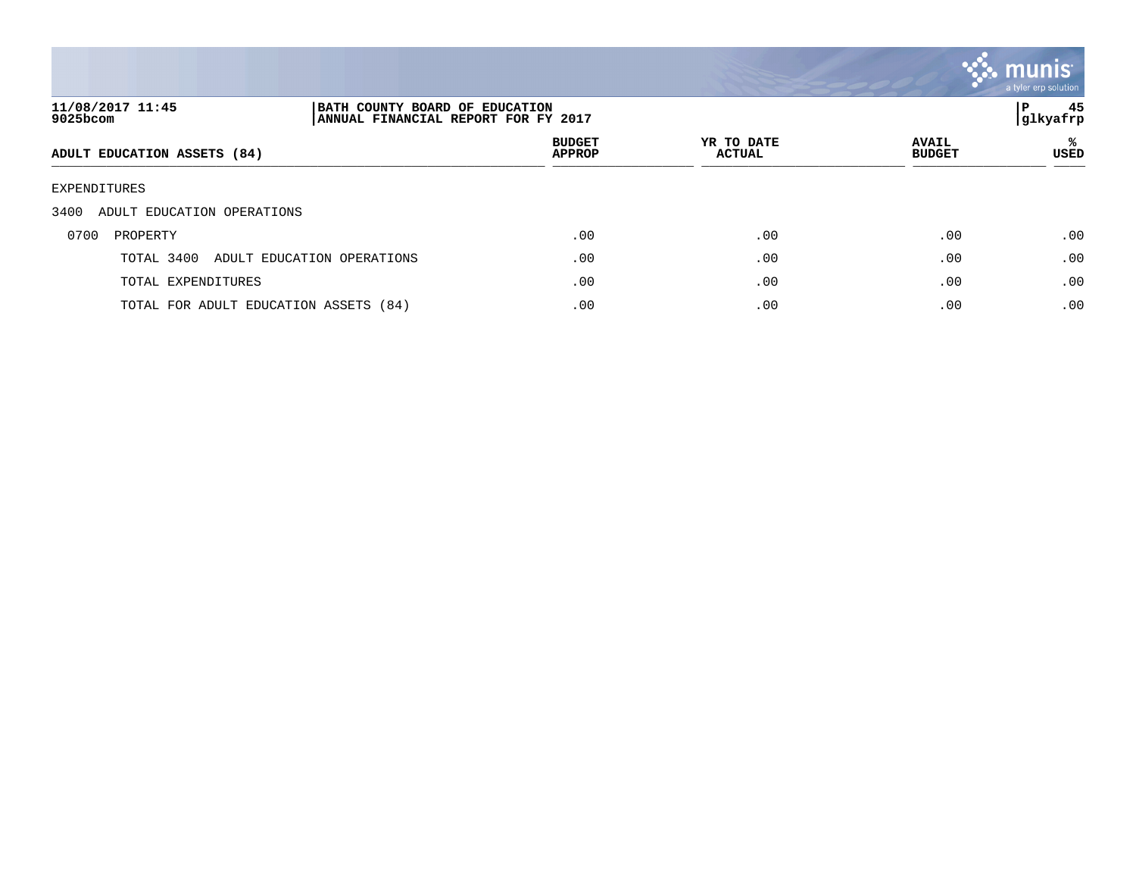

| 11/08/2017 11:45<br>9025bcom          | BATH COUNTY BOARD OF EDUCATION<br>ANNUAL FINANCIAL REPORT FOR FY 2017 |                                |                             |                               | 45<br>P<br> glkyafrp |
|---------------------------------------|-----------------------------------------------------------------------|--------------------------------|-----------------------------|-------------------------------|----------------------|
| ADULT EDUCATION ASSETS (84)           |                                                                       | <b>BUDGET</b><br><b>APPROP</b> | YR TO DATE<br><b>ACTUAL</b> | <b>AVAIL</b><br><b>BUDGET</b> | ℁<br>USED            |
| EXPENDITURES                          |                                                                       |                                |                             |                               |                      |
| 3400<br>ADULT EDUCATION OPERATIONS    |                                                                       |                                |                             |                               |                      |
| 0700<br>PROPERTY                      |                                                                       | .00                            | .00                         | .00                           | .00                  |
| TOTAL 3400                            | ADULT EDUCATION OPERATIONS                                            | .00                            | .00                         | .00                           | .00                  |
| TOTAL EXPENDITURES                    |                                                                       | .00                            | .00                         | .00                           | .00                  |
| TOTAL FOR ADULT EDUCATION ASSETS (84) |                                                                       | .00                            | .00                         | .00                           | .00                  |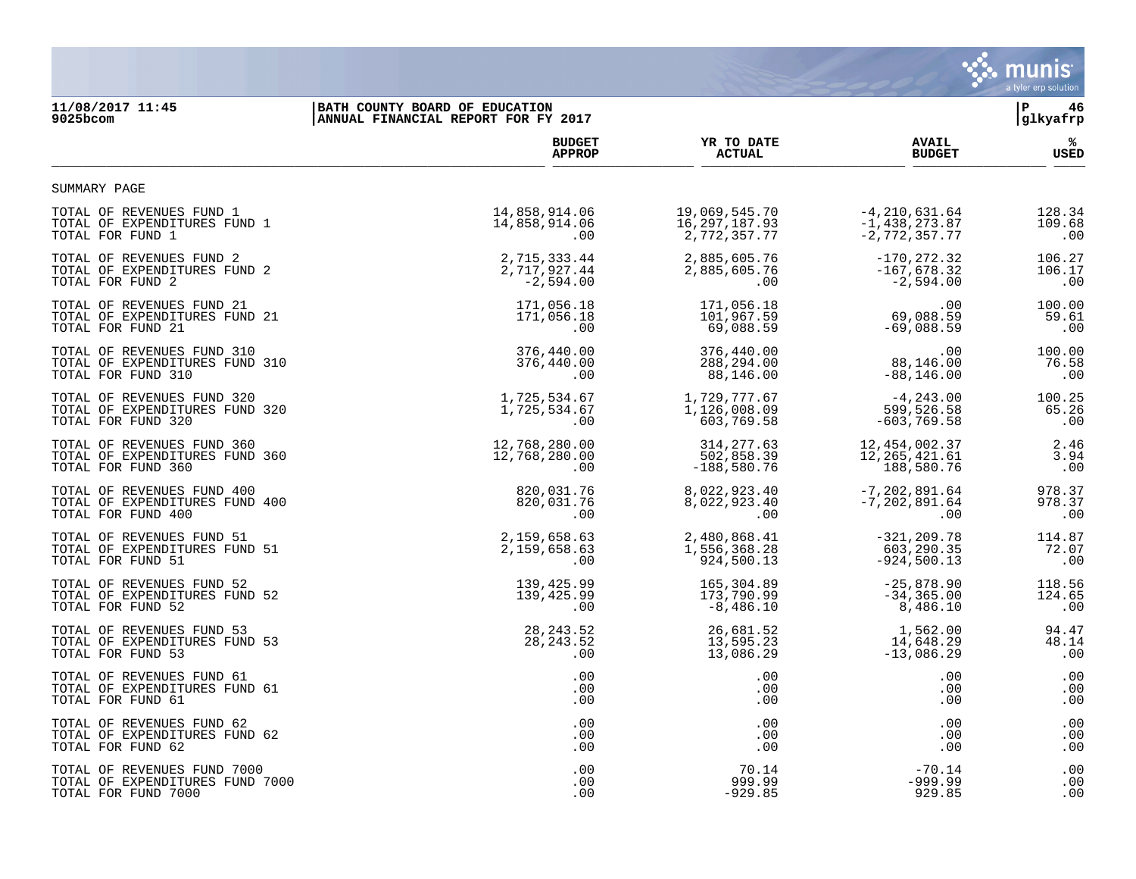

## **11/08/2017 11:45 |BATH COUNTY BOARD OF EDUCATION |P 46**

| 9025bcom                        | ANNUAL FINANCIAL REPORT FOR FY 2017 |                 | glkyafrp          |             |
|---------------------------------|-------------------------------------|-----------------|-------------------|-------------|
|                                 | <b>BUDGET</b>                       | YR TO DATE      | <b>AVAIL</b>      | %ะ          |
|                                 | <b>APPROP</b>                       | <b>ACTUAL</b>   | <b>BUDGET</b>     | <b>USED</b> |
| SUMMARY PAGE                    |                                     |                 |                   |             |
| TOTAL OF REVENUES FUND 1        | 14,858,914.06                       | 19,069,545.70   | $-4, 210, 631.64$ | 128.34      |
| TOTAL OF EXPENDITURES FUND 1    | 14,858,914.06                       | 16, 297, 187.93 | $-1, 438, 273.87$ | 109.68      |
| TOTAL FOR FUND 1                | .00                                 | 2,772,357.77    | $-2,772,357.77$   | .00         |
| TOTAL OF REVENUES FUND 2        | 2,715,333.44                        | 2,885,605.76    | $-170, 272.32$    | 106.27      |
| TOTAL OF EXPENDITURES FUND 2    | 2,717,927.44                        | 2,885,605.76    | $-167,678.32$     | 106.17      |
| TOTAL FOR FUND 2                | $-2,594.00$                         | $.00 \,$        | $-2,594.00$       | .00         |
| TOTAL OF REVENUES FUND 21       | 171,056.18                          | 171,056.18      | .00               | 100.00      |
| TOTAL OF EXPENDITURES FUND 21   | 171,056.18                          | 101,967.59      | 69,088.59         | 59.61       |
| TOTAL FOR FUND 21               | .00                                 | 69,088.59       | $-69,088.59$      | .00         |
| TOTAL OF REVENUES FUND 310      | 376,440.00                          | 376,440.00      | .00               | 100.00      |
| TOTAL OF EXPENDITURES FUND 310  | 376,440.00                          | 288,294.00      | 88,146.00         | 76.58       |
| TOTAL FOR FUND 310              | .00                                 | 88,146.00       | $-88, 146.00$     | .00         |
| TOTAL OF REVENUES FUND 320      | 1,725,534.67                        | 1,729,777.67    | $-4,243.00$       | 100.25      |
| TOTAL OF EXPENDITURES FUND 320  | 1,725,534.67                        | 1,126,008.09    | 599,526.58        | 65.26       |
| TOTAL FOR FUND 320              | .00                                 | 603,769.58      | $-603, 769.58$    | .00         |
| TOTAL OF REVENUES FUND 360      | 12,768,280.00                       | 314, 277.63     | 12, 454, 002.37   | 2.46        |
| TOTAL OF EXPENDITURES FUND 360  | 12,768,280.00                       | 502,858.39      | 12, 265, 421.61   | 3.94        |
| TOTAL FOR FUND 360              | .00                                 | $-188,580.76$   | 188,580.76        | .00         |
| TOTAL OF REVENUES FUND 400      | 820,031.76                          | 8,022,923.40    | $-7, 202, 891.64$ | 978.37      |
| TOTAL OF EXPENDITURES FUND 400  | 820,031.76                          | 8,022,923.40    | $-7, 202, 891.64$ | 978.37      |
| TOTAL FOR FUND 400              | .00                                 | $.00 \,$        | .00               | .00         |
| TOTAL OF REVENUES FUND 51       | 2,159,658.63                        | 2,480,868.41    | $-321, 209.78$    | 114.87      |
| TOTAL OF EXPENDITURES FUND 51   | 2, 159, 658.63                      | 1,556,368.28    | 603,290.35        | 72.07       |
| TOTAL FOR FUND 51               | .00                                 | 924,500.13      | $-924,500.13$     | .00         |
| TOTAL OF REVENUES FUND 52       | 139,425.99                          | 165,304.89      | $-25,878.90$      | 118.56      |
| TOTAL OF EXPENDITURES FUND 52   | 139,425.99                          | 173,790.99      | $-34, 365.00$     | 124.65      |
| TOTAL FOR FUND 52               | .00                                 | $-8,486.10$     | 8,486.10          | .00         |
| TOTAL OF REVENUES FUND 53       | 28, 243.52                          | 26,681.52       | 1,562.00          | 94.47       |
| TOTAL OF EXPENDITURES FUND 53   | 28, 243.52                          | 13,595.23       | 14,648.29         | 48.14       |
| TOTAL FOR FUND 53               | .00                                 | 13,086.29       | $-13,086.29$      | .00         |
| TOTAL OF REVENUES FUND 61       | .00                                 | .00             | .00               | .00         |
| TOTAL OF EXPENDITURES FUND 61   | .00                                 | .00             | .00               | .00         |
| TOTAL FOR FUND 61               | .00                                 | .00             | .00               | .00         |
| TOTAL OF REVENUES FUND 62       | .00                                 | .00             | .00               | .00         |
| TOTAL OF EXPENDITURES FUND 62   | .00                                 | $.00 \,$        | .00               | .00         |
| TOTAL FOR FUND 62               | .00                                 | .00             | .00               | .00         |
| TOTAL OF REVENUES FUND 7000     | .00                                 | 70.14           | $-70.14$          | .00         |
| TOTAL OF EXPENDITURES FUND 7000 | .00                                 | 999.99          | $-999.99$         | .00         |
| TOTAL FOR FUND 7000             | .00                                 | $-929.85$       | 929.85            | .00         |